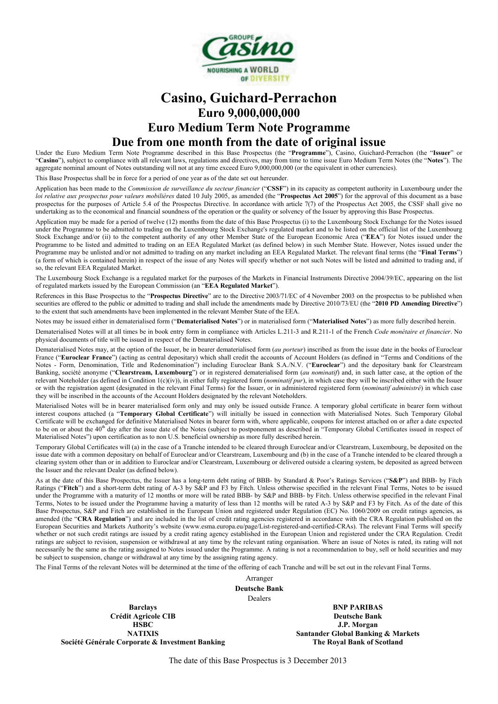

# **Casino, Guichard-Perrachon Euro 9,000,000,000 Euro Medium Term Note Programme Due from one month from the date of original issue**

Under the Euro Medium Term Note Programme described in this Base Prospectus (the "**Programme**"), Casino, Guichard-Perrachon (the "**Issuer**" or "**Casino**"), subject to compliance with all relevant laws, regulations and directives, may from time to time issue Euro Medium Term Notes (the "**Notes**"). The aggregate nominal amount of Notes outstanding will not at any time exceed Euro 9,000,000,000 (or the equivalent in other currencies).

This Base Prospectus shall be in force for a period of one year as of the date set out hereunder.

Application has been made to the *Commission de surveillance du secteur financier* ("**CSSF**") in its capacity as competent authority in Luxembourg under the *loi relative aux prospectus pour valeurs mobilières* dated 10 July 2005, as amended (the "**Prospectus Act 2005**") for the approval of this document as a base prospectus for the purposes of Article 5.4 of the Prospectus Directive. In accordance with article 7(7) of the Prospectus Act 2005, the CSSF shall give no undertaking as to the economical and financial soundness of the operation or the quality or solvency of the Issuer by approving this Base Prospectus.

Application may be made for a period of twelve (12) months from the date of this Base Prospectus (i) to the Luxembourg Stock Exchange for the Notes issued under the Programme to be admitted to trading on the Luxembourg Stock Exchange's regulated market and to be listed on the official list of the Luxembourg Stock Exchange and/or (ii) to the competent authority of any other Member State of the European Economic Area ("**EEA**") for Notes issued under the Programme to be listed and admitted to trading on an EEA Regulated Market (as defined below) in such Member State. However, Notes issued under the Programme may be unlisted and/or not admitted to trading on any market including an EEA Regulated Market. The relevant final terms (the "**Final Terms**") (a form of which is contained herein) in respect of the issue of any Notes will specify whether or not such Notes will be listed and admitted to trading and, if so, the relevant EEA Regulated Market.

The Luxembourg Stock Exchange is a regulated market for the purposes of the Markets in Financial Instruments Directive 2004/39/EC, appearing on the list of regulated markets issued by the European Commission (an "**EEA Regulated Market**").

References in this Base Prospectus to the "Prospectus Directive" are to the Directive 2003/71/EC of 4 November 2003 on the prospectus to be published when securities are offered to the public or admitted to trading and shall include the amendments made by Directive 2010/73/EU (the "2010 PD Amending Directive") to the extent that such amendments have been implemented in the relevant Member State of the EEA.

Notes may be issued either in dematerialised form ("**Dematerialised Notes**") or in materialised form ("**Materialised Notes**") as more fully described herein.

Dematerialised Notes will at all times be in book entry form in compliance with Articles L.211-3 and R.211-1 of the French *Code monétaire et financier*. No physical documents of title will be issued in respect of the Dematerialised Notes.

Dematerialised Notes may, at the option of the Issuer, be in bearer dematerialised form (*au porteur*) inscribed as from the issue date in the books of Euroclear France ("**Euroclear France**") (acting as central depositary) which shall credit the accounts of Account Holders (as defined in "Terms and Conditions of the Notes - Form, Denomination, Title and Redenomination") including Euroclear Bank S.A./N.V. ("**Euroclear**") and the depositary bank for Clearstream Banking, société anonyme ("**Clearstream, Luxembourg**") or in registered dematerialised form (*au nominatif*) and, in such latter case, at the option of the relevant Noteholder (as defined in Condition 1(c)(iv)), in either fully registered form (*nominatif pur*), in which case they will be inscribed either with the Issuer or with the registration agent (designated in the relevant Final Terms) for the Issuer, or in administered registered form (*nominatif administré*) in which case they will be inscribed in the accounts of the Account Holders designated by the relevant Noteholders.

Materialised Notes will be in bearer materialised form only and may only be issued outside France. A temporary global certificate in bearer form without interest coupons attached (a "**Temporary Global Certificate**") will initially be issued in connection with Materialised Notes. Such Temporary Global Certificate will be exchanged for definitive Materialised Notes in bearer form with, where applicable, coupons for interest attached on or after a date expected to be on or about the 40<sup>th</sup> day after the issue date of the Notes (subject to postponement as described in "Temporary Global Certificates issued in respect of Materialised Notes") upon certification as to non U.S. beneficial ownership as more fully described herein.

Temporary Global Certificates will (a) in the case of a Tranche intended to be cleared through Euroclear and/or Clearstream, Luxembourg, be deposited on the issue date with a common depositary on behalf of Euroclear and/or Clearstream, Luxembourg and (b) in the case of a Tranche intended to be cleared through a clearing system other than or in addition to Euroclear and/or Clearstream, Luxembourg or delivered outside a clearing system, be deposited as agreed between the Issuer and the relevant Dealer (as defined below).

As at the date of this Base Prospectus, the Issuer has a long-term debt rating of BBB- by Standard & Poor's Ratings Services ("**S&P**") and BBB- by Fitch Ratings ("**Fitch**") and a short-term debt rating of A-3 by S&P and F3 by Fitch. Unless otherwise specified in the relevant Final Terms, Notes to be issued under the Programme with a maturity of 12 months or more will be rated BBB- by S&P and BBB- by Fitch. Unless otherwise specified in the relevant Final Terms, Notes to be issued under the Programme having a maturity of less than 12 months will be rated A-3 by S&P and F3 by Fitch. As of the date of this Base Prospectus, S&P and Fitch are established in the European Union and registered under Regulation (EC) No. 1060/2009 on credit ratings agencies, as amended (the "**CRA Regulation**") and are included in the list of credit rating agencies registered in accordance with the CRA Regulation published on the European Securities and Markets Authority's website (www.esma.europa.eu/page/List-registered-and-certified-CRAs). The relevant Final Terms will specify whether or not such credit ratings are issued by a credit rating agency established in the European Union and registered under the CRA Regulation. Credit ratings are subject to revision, suspension or withdrawal at any time by the relevant rating organisation. Where an issue of Notes is rated, its rating will not necessarily be the same as the rating assigned to Notes issued under the Programme. A rating is not a recommendation to buy, sell or hold securities and may be subject to suspension, change or withdrawal at any time by the assigning rating agency.

The Final Terms of the relevant Notes will be determined at the time of the offering of each Tranche and will be set out in the relevant Final Terms.

Arranger

**Deutsche Bank**

Dealers

**Barclays Crédit Agricole CIB HSBC NATIXIS Société Générale Corporate & Investment Banking**

**BNP PARIBAS Deutsche Bank J.P. Morgan Santander Global Banking & Markets The Royal Bank of Scotland**

The date of this Base Prospectus is 3 December 2013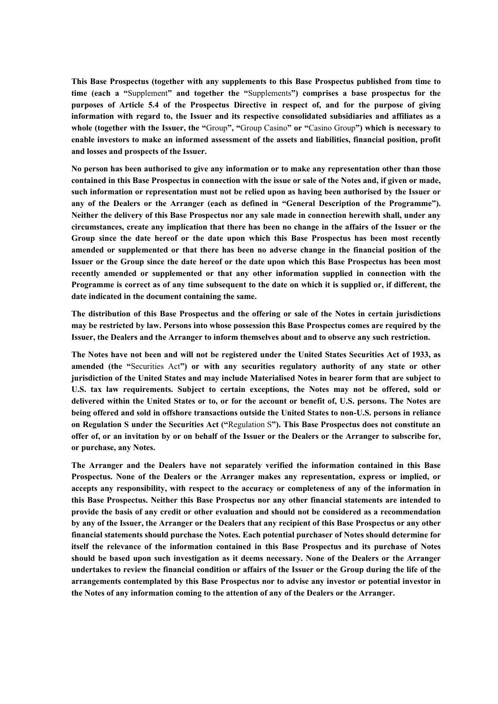**This Base Prospectus (together with any supplements to this Base Prospectus published from time to time (each a "**Supplement**" and together the "**Supplements**") comprises a base prospectus for the purposes of Article 5.4 of the Prospectus Directive in respect of, and for the purpose of giving information with regard to, the Issuer and its respective consolidated subsidiaries and affiliates as a whole (together with the Issuer, the "**Group**", "**Group Casino**" or "**Casino Group**") which is necessary to enable investors to make an informed assessment of the assets and liabilities, financial position, profit and losses and prospects of the Issuer.**

**No person has been authorised to give any information or to make any representation other than those contained in this Base Prospectus in connection with the issue or sale of the Notes and, if given or made, such information or representation must not be relied upon as having been authorised by the Issuer or any of the Dealers or the Arranger (each as defined in "General Description of the Programme"). Neither the delivery of this Base Prospectus nor any sale made in connection herewith shall, under any circumstances, create any implication that there has been no change in the affairs of the Issuer or the Group since the date hereof or the date upon which this Base Prospectus has been most recently amended or supplemented or that there has been no adverse change in the financial position of the Issuer or the Group since the date hereof or the date upon which this Base Prospectus has been most recently amended or supplemented or that any other information supplied in connection with the Programme is correct as of any time subsequent to the date on which it is supplied or, if different, the date indicated in the document containing the same.**

**The distribution of this Base Prospectus and the offering or sale of the Notes in certain jurisdictions may be restricted by law. Persons into whose possession this Base Prospectus comes are required by the Issuer, the Dealers and the Arranger to inform themselves about and to observe any such restriction.** 

**The Notes have not been and will not be registered under the United States Securities Act of 1933, as amended (the "**Securities Act**") or with any securities regulatory authority of any state or other jurisdiction of the United States and may include Materialised Notes in bearer form that are subject to U.S. tax law requirements. Subject to certain exceptions, the Notes may not be offered, sold or delivered within the United States or to, or for the account or benefit of, U.S. persons. The Notes are being offered and sold in offshore transactions outside the United States to non-U.S. persons in reliance on Regulation S under the Securities Act ("**Regulation S**"). This Base Prospectus does not constitute an offer of, or an invitation by or on behalf of the Issuer or the Dealers or the Arranger to subscribe for, or purchase, any Notes.**

**The Arranger and the Dealers have not separately verified the information contained in this Base Prospectus. None of the Dealers or the Arranger makes any representation, express or implied, or accepts any responsibility, with respect to the accuracy or completeness of any of the information in this Base Prospectus. Neither this Base Prospectus nor any other financial statements are intended to provide the basis of any credit or other evaluation and should not be considered as a recommendation by any of the Issuer, the Arranger or the Dealers that any recipient of this Base Prospectus or any other financial statements should purchase the Notes. Each potential purchaser of Notes should determine for itself the relevance of the information contained in this Base Prospectus and its purchase of Notes should be based upon such investigation as it deems necessary. None of the Dealers or the Arranger undertakes to review the financial condition or affairs of the Issuer or the Group during the life of the arrangements contemplated by this Base Prospectus nor to advise any investor or potential investor in the Notes of any information coming to the attention of any of the Dealers or the Arranger.**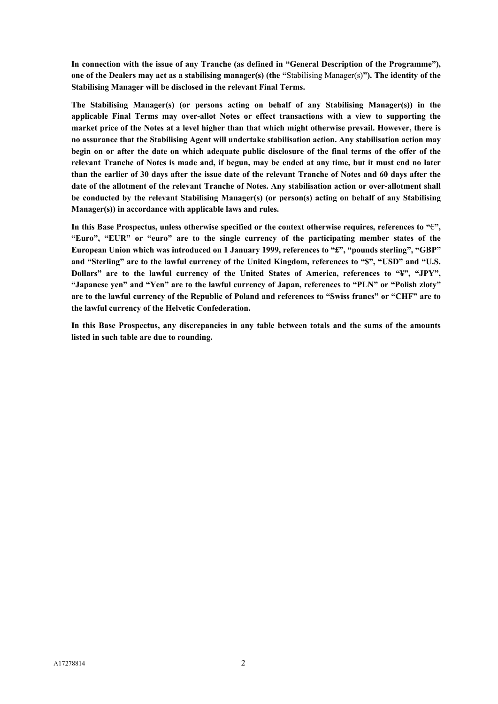**In connection with the issue of any Tranche (as defined in "General Description of the Programme"), one of the Dealers may act as a stabilising manager(s) (the "**Stabilising Manager(s)**"). The identity of the Stabilising Manager will be disclosed in the relevant Final Terms.** 

**The Stabilising Manager(s) (or persons acting on behalf of any Stabilising Manager(s)) in the applicable Final Terms may over-allot Notes or effect transactions with a view to supporting the market price of the Notes at a level higher than that which might otherwise prevail. However, there is no assurance that the Stabilising Agent will undertake stabilisation action. Any stabilisation action may begin on or after the date on which adequate public disclosure of the final terms of the offer of the relevant Tranche of Notes is made and, if begun, may be ended at any time, but it must end no later than the earlier of 30 days after the issue date of the relevant Tranche of Notes and 60 days after the date of the allotment of the relevant Tranche of Notes. Any stabilisation action or over-allotment shall be conducted by the relevant Stabilising Manager(s) (or person(s) acting on behalf of any Stabilising Manager(s)) in accordance with applicable laws and rules.**

In this Base Prospectus, unless otherwise specified or the context otherwise requires, references to  $\mathscr{C}$ ; **"Euro", "EUR" or "euro" are to the single currency of the participating member states of the European Union which was introduced on 1 January 1999, references to "£", "pounds sterling", "GBP" and "Sterling" are to the lawful currency of the United Kingdom, references to "\$", "USD" and "U.S. Dollars" are to the lawful currency of the United States of America, references to "¥", "JPY", "Japanese yen" and "Yen" are to the lawful currency of Japan, references to "PLN" or "Polish zloty" are to the lawful currency of the Republic of Poland and references to "Swiss francs" or "CHF" are to the lawful currency of the Helvetic Confederation.**

**In this Base Prospectus, any discrepancies in any table between totals and the sums of the amounts listed in such table are due to rounding.**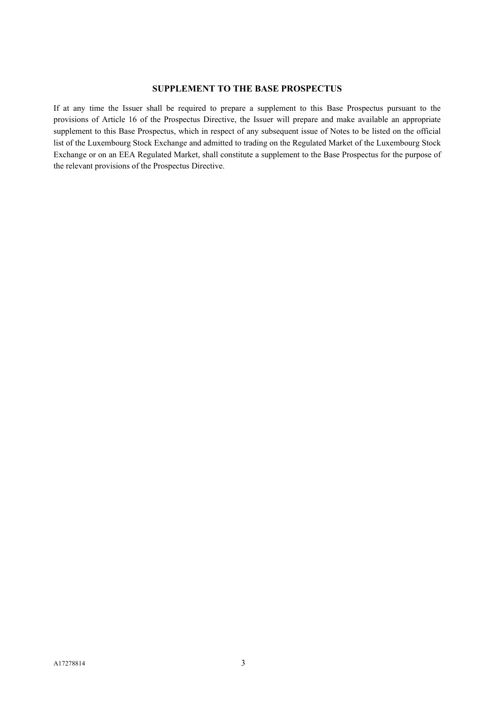# **SUPPLEMENT TO THE BASE PROSPECTUS**

If at any time the Issuer shall be required to prepare a supplement to this Base Prospectus pursuant to the provisions of Article 16 of the Prospectus Directive, the Issuer will prepare and make available an appropriate supplement to this Base Prospectus, which in respect of any subsequent issue of Notes to be listed on the official list of the Luxembourg Stock Exchange and admitted to trading on the Regulated Market of the Luxembourg Stock Exchange or on an EEA Regulated Market, shall constitute a supplement to the Base Prospectus for the purpose of the relevant provisions of the Prospectus Directive.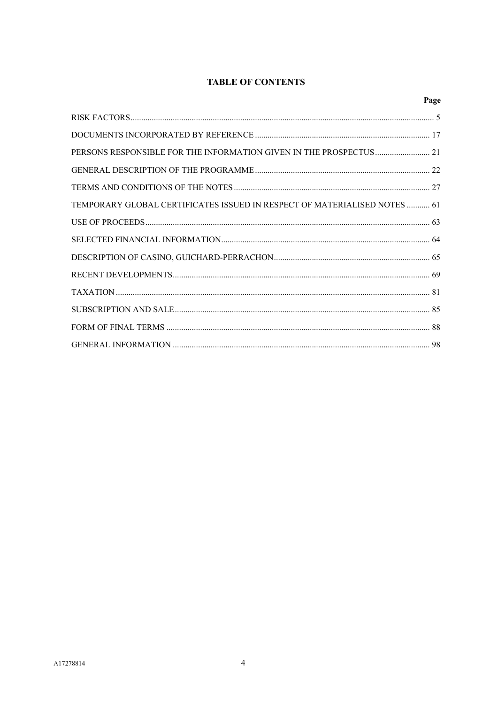# **TABLE OF CONTENTS**

|                                                                           | Page |
|---------------------------------------------------------------------------|------|
|                                                                           |      |
|                                                                           |      |
| PERSONS RESPONSIBLE FOR THE INFORMATION GIVEN IN THE PROSPECTUS 21        |      |
|                                                                           |      |
|                                                                           |      |
| TEMPORARY GLOBAL CERTIFICATES ISSUED IN RESPECT OF MATERIALISED NOTES  61 |      |
|                                                                           |      |
|                                                                           |      |
|                                                                           |      |
|                                                                           |      |
|                                                                           |      |
|                                                                           |      |
|                                                                           |      |
|                                                                           |      |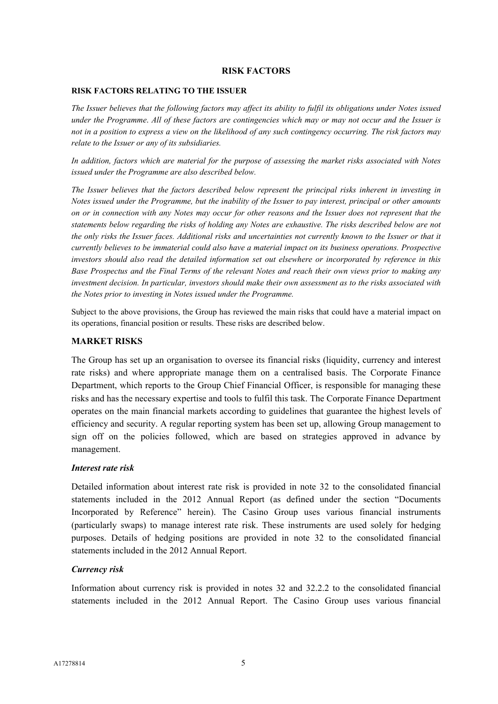# **RISK FACTORS**

#### **RISK FACTORS RELATING TO THE ISSUER**

*The Issuer believes that the following factors may affect its ability to fulfil its obligations under Notes issued under the Programme*. *All of these factors are contingencies which may or may not occur and the Issuer is not in a position to express a view on the likelihood of any such contingency occurring. The risk factors may relate to the Issuer or any of its subsidiaries.*

*In addition, factors which are material for the purpose of assessing the market risks associated with Notes issued under the Programme are also described below.*

*The Issuer believes that the factors described below represent the principal risks inherent in investing in Notes issued under the Programme, but the inability of the Issuer to pay interest, principal or other amounts on or in connection with any Notes may occur for other reasons and the Issuer does not represent that the statements below regarding the risks of holding any Notes are exhaustive. The risks described below are not the only risks the Issuer faces. Additional risks and uncertainties not currently known to the Issuer or that it currently believes to be immaterial could also have a material impact on its business operations. Prospective investors should also read the detailed information set out elsewhere or incorporated by reference in this Base Prospectus and the Final Terms of the relevant Notes and reach their own views prior to making any investment decision. In particular, investors should make their own assessment as to the risks associated with the Notes prior to investing in Notes issued under the Programme.*

Subject to the above provisions, the Group has reviewed the main risks that could have a material impact on its operations, financial position or results. These risks are described below.

# **MARKET RISKS**

The Group has set up an organisation to oversee its financial risks (liquidity, currency and interest rate risks) and where appropriate manage them on a centralised basis. The Corporate Finance Department, which reports to the Group Chief Financial Officer, is responsible for managing these risks and has the necessary expertise and tools to fulfil this task. The Corporate Finance Department operates on the main financial markets according to guidelines that guarantee the highest levels of efficiency and security. A regular reporting system has been set up, allowing Group management to sign off on the policies followed, which are based on strategies approved in advance by management.

# *Interest rate risk*

Detailed information about interest rate risk is provided in note 32 to the consolidated financial statements included in the 2012 Annual Report (as defined under the section "Documents Incorporated by Reference" herein). The Casino Group uses various financial instruments (particularly swaps) to manage interest rate risk. These instruments are used solely for hedging purposes. Details of hedging positions are provided in note 32 to the consolidated financial statements included in the 2012 Annual Report.

# *Currency risk*

Information about currency risk is provided in notes 32 and 32.2.2 to the consolidated financial statements included in the 2012 Annual Report. The Casino Group uses various financial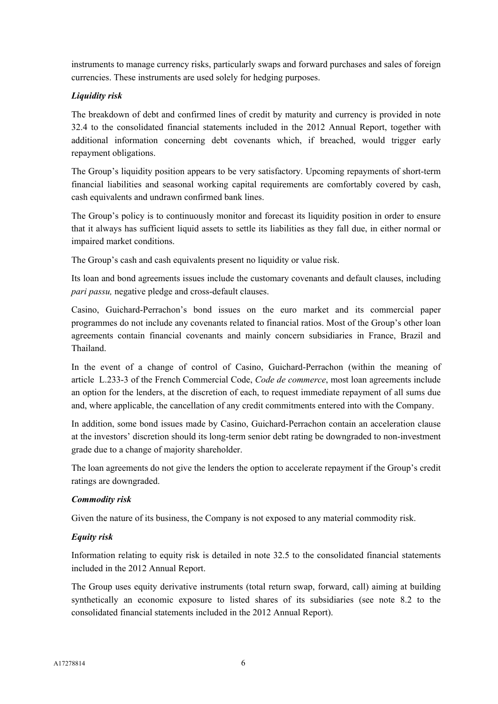instruments to manage currency risks, particularly swaps and forward purchases and sales of foreign currencies. These instruments are used solely for hedging purposes.

# *Liquidity risk*

The breakdown of debt and confirmed lines of credit by maturity and currency is provided in note 32.4 to the consolidated financial statements included in the 2012 Annual Report, together with additional information concerning debt covenants which, if breached, would trigger early repayment obligations.

The Group's liquidity position appears to be very satisfactory. Upcoming repayments of short-term financial liabilities and seasonal working capital requirements are comfortably covered by cash, cash equivalents and undrawn confirmed bank lines.

The Group's policy is to continuously monitor and forecast its liquidity position in order to ensure that it always has sufficient liquid assets to settle its liabilities as they fall due, in either normal or impaired market conditions.

The Group's cash and cash equivalents present no liquidity or value risk.

Its loan and bond agreements issues include the customary covenants and default clauses, including *pari passu,* negative pledge and cross-default clauses.

Casino, Guichard-Perrachon's bond issues on the euro market and its commercial paper programmes do not include any covenants related to financial ratios. Most of the Group's other loan agreements contain financial covenants and mainly concern subsidiaries in France, Brazil and Thailand.

In the event of a change of control of Casino, Guichard-Perrachon (within the meaning of article L.233-3 of the French Commercial Code, *Code de commerce*, most loan agreements include an option for the lenders, at the discretion of each, to request immediate repayment of all sums due and, where applicable, the cancellation of any credit commitments entered into with the Company.

In addition, some bond issues made by Casino, Guichard-Perrachon contain an acceleration clause at the investors' discretion should its long-term senior debt rating be downgraded to non-investment grade due to a change of majority shareholder.

The loan agreements do not give the lenders the option to accelerate repayment if the Group's credit ratings are downgraded.

# *Commodity risk*

Given the nature of its business, the Company is not exposed to any material commodity risk.

# *Equity risk*

Information relating to equity risk is detailed in note 32.5 to the consolidated financial statements included in the 2012 Annual Report.

The Group uses equity derivative instruments (total return swap, forward, call) aiming at building synthetically an economic exposure to listed shares of its subsidiaries (see note 8.2 to the consolidated financial statements included in the 2012 Annual Report).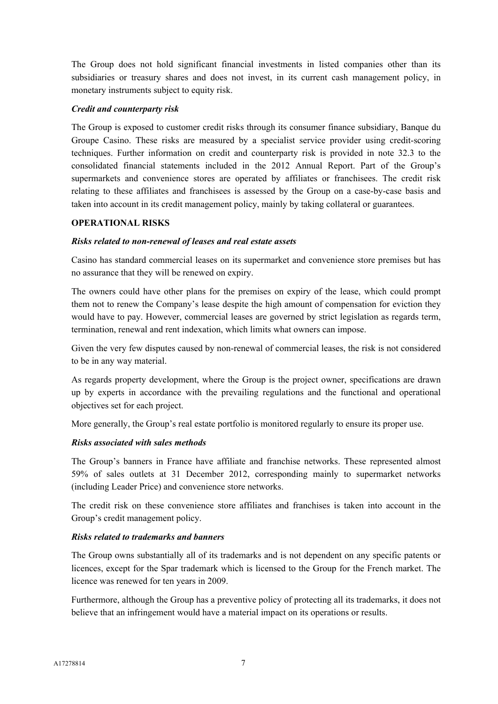The Group does not hold significant financial investments in listed companies other than its subsidiaries or treasury shares and does not invest, in its current cash management policy, in monetary instruments subject to equity risk.

# *Credit and counterparty risk*

The Group is exposed to customer credit risks through its consumer finance subsidiary, Banque du Groupe Casino. These risks are measured by a specialist service provider using credit-scoring techniques. Further information on credit and counterparty risk is provided in note 32.3 to the consolidated financial statements included in the 2012 Annual Report. Part of the Group's supermarkets and convenience stores are operated by affiliates or franchisees. The credit risk relating to these affiliates and franchisees is assessed by the Group on a case-by-case basis and taken into account in its credit management policy, mainly by taking collateral or guarantees.

# **OPERATIONAL RISKS**

# *Risks related to non-renewal of leases and real estate assets*

Casino has standard commercial leases on its supermarket and convenience store premises but has no assurance that they will be renewed on expiry.

The owners could have other plans for the premises on expiry of the lease, which could prompt them not to renew the Company's lease despite the high amount of compensation for eviction they would have to pay. However, commercial leases are governed by strict legislation as regards term, termination, renewal and rent indexation, which limits what owners can impose.

Given the very few disputes caused by non-renewal of commercial leases, the risk is not considered to be in any way material.

As regards property development, where the Group is the project owner, specifications are drawn up by experts in accordance with the prevailing regulations and the functional and operational objectives set for each project.

More generally, the Group's real estate portfolio is monitored regularly to ensure its proper use.

# *Risks associated with sales methods*

The Group's banners in France have affiliate and franchise networks. These represented almost 59% of sales outlets at 31 December 2012, corresponding mainly to supermarket networks (including Leader Price) and convenience store networks.

The credit risk on these convenience store affiliates and franchises is taken into account in the Group's credit management policy.

# *Risks related to trademarks and banners*

The Group owns substantially all of its trademarks and is not dependent on any specific patents or licences, except for the Spar trademark which is licensed to the Group for the French market. The licence was renewed for ten years in 2009.

Furthermore, although the Group has a preventive policy of protecting all its trademarks, it does not believe that an infringement would have a material impact on its operations or results.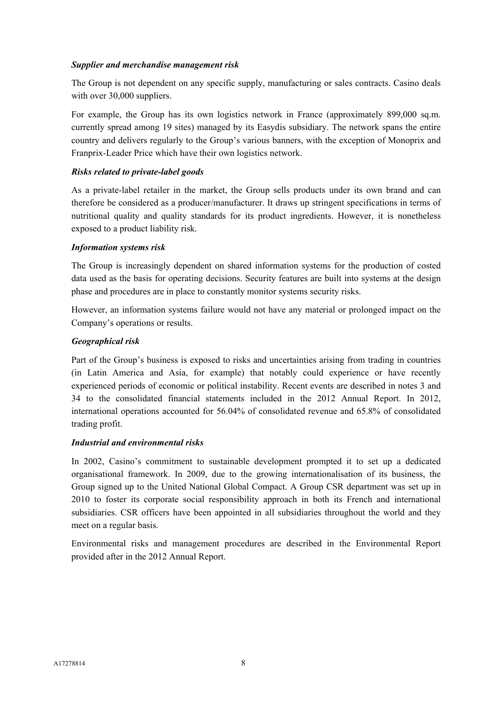# *Supplier and merchandise management risk*

The Group is not dependent on any specific supply, manufacturing or sales contracts. Casino deals with over 30,000 suppliers.

For example, the Group has its own logistics network in France (approximately 899,000 sq.m. currently spread among 19 sites) managed by its Easydis subsidiary. The network spans the entire country and delivers regularly to the Group's various banners, with the exception of Monoprix and Franprix-Leader Price which have their own logistics network.

# *Risks related to private-label goods*

As a private-label retailer in the market, the Group sells products under its own brand and can therefore be considered as a producer/manufacturer. It draws up stringent specifications in terms of nutritional quality and quality standards for its product ingredients. However, it is nonetheless exposed to a product liability risk.

# *Information systems risk*

The Group is increasingly dependent on shared information systems for the production of costed data used as the basis for operating decisions. Security features are built into systems at the design phase and procedures are in place to constantly monitor systems security risks.

However, an information systems failure would not have any material or prolonged impact on the Company's operations or results.

# *Geographical risk*

Part of the Group's business is exposed to risks and uncertainties arising from trading in countries (in Latin America and Asia, for example) that notably could experience or have recently experienced periods of economic or political instability. Recent events are described in notes 3 and 34 to the consolidated financial statements included in the 2012 Annual Report. In 2012, international operations accounted for 56.04% of consolidated revenue and 65.8% of consolidated trading profit.

# *Industrial and environmental risks*

In 2002, Casino's commitment to sustainable development prompted it to set up a dedicated organisational framework. In 2009, due to the growing internationalisation of its business, the Group signed up to the United National Global Compact. A Group CSR department was set up in 2010 to foster its corporate social responsibility approach in both its French and international subsidiaries. CSR officers have been appointed in all subsidiaries throughout the world and they meet on a regular basis.

Environmental risks and management procedures are described in the Environmental Report provided after in the 2012 Annual Report.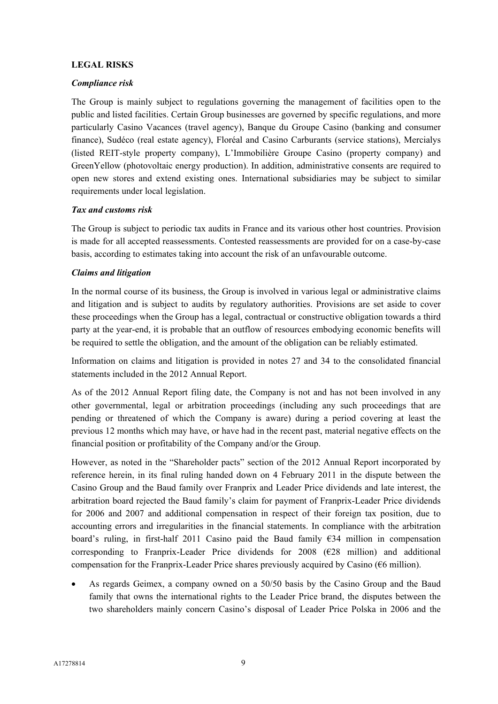# **LEGAL RISKS**

# *Compliance risk*

The Group is mainly subject to regulations governing the management of facilities open to the public and listed facilities. Certain Group businesses are governed by specific regulations, and more particularly Casino Vacances (travel agency), Banque du Groupe Casino (banking and consumer finance), Sudéco (real estate agency), Floréal and Casino Carburants (service stations), Mercialys (listed REIT-style property company), L'Immobilière Groupe Casino (property company) and GreenYellow (photovoltaic energy production). In addition, administrative consents are required to open new stores and extend existing ones. International subsidiaries may be subject to similar requirements under local legislation.

# *Tax and customs risk*

The Group is subject to periodic tax audits in France and its various other host countries. Provision is made for all accepted reassessments. Contested reassessments are provided for on a case-by-case basis, according to estimates taking into account the risk of an unfavourable outcome.

# *Claims and litigation*

In the normal course of its business, the Group is involved in various legal or administrative claims and litigation and is subject to audits by regulatory authorities. Provisions are set aside to cover these proceedings when the Group has a legal, contractual or constructive obligation towards a third party at the year-end, it is probable that an outflow of resources embodying economic benefits will be required to settle the obligation, and the amount of the obligation can be reliably estimated.

Information on claims and litigation is provided in notes 27 and 34 to the consolidated financial statements included in the 2012 Annual Report.

As of the 2012 Annual Report filing date, the Company is not and has not been involved in any other governmental, legal or arbitration proceedings (including any such proceedings that are pending or threatened of which the Company is aware) during a period covering at least the previous 12 months which may have, or have had in the recent past, material negative effects on the financial position or profitability of the Company and/or the Group.

However, as noted in the "Shareholder pacts" section of the 2012 Annual Report incorporated by reference herein, in its final ruling handed down on 4 February 2011 in the dispute between the Casino Group and the Baud family over Franprix and Leader Price dividends and late interest, the arbitration board rejected the Baud family's claim for payment of Franprix-Leader Price dividends for 2006 and 2007 and additional compensation in respect of their foreign tax position, due to accounting errors and irregularities in the financial statements. In compliance with the arbitration board's ruling, in first-half 2011 Casino paid the Baud family  $\epsilon$ 34 million in compensation corresponding to Franprix-Leader Price dividends for  $2008$  ( $E28$  million) and additional compensation for the Franprix-Leader Price shares previously acquired by Casino ( $66$  million).

 As regards Geimex, a company owned on a 50/50 basis by the Casino Group and the Baud family that owns the international rights to the Leader Price brand, the disputes between the two shareholders mainly concern Casino's disposal of Leader Price Polska in 2006 and the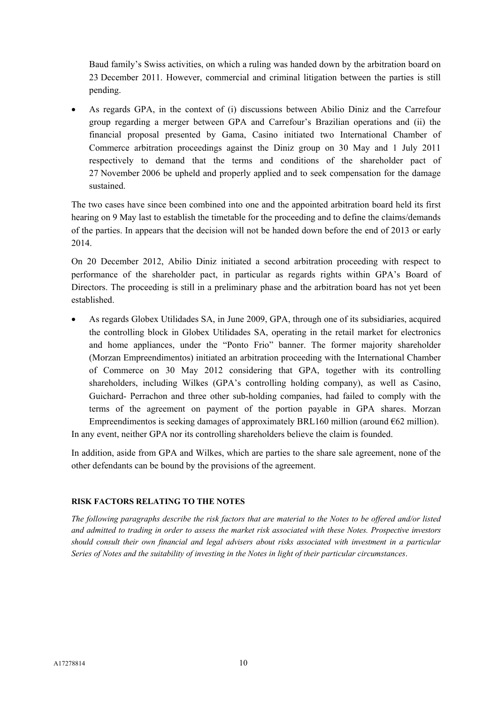Baud family's Swiss activities, on which a ruling was handed down by the arbitration board on 23 December 2011. However, commercial and criminal litigation between the parties is still pending.

 As regards GPA, in the context of (i) discussions between Abilio Diniz and the Carrefour group regarding a merger between GPA and Carrefour's Brazilian operations and (ii) the financial proposal presented by Gama, Casino initiated two International Chamber of Commerce arbitration proceedings against the Diniz group on 30 May and 1 July 2011 respectively to demand that the terms and conditions of the shareholder pact of 27 November 2006 be upheld and properly applied and to seek compensation for the damage sustained.

The two cases have since been combined into one and the appointed arbitration board held its first hearing on 9 May last to establish the timetable for the proceeding and to define the claims/demands of the parties. In appears that the decision will not be handed down before the end of 2013 or early 2014.

On 20 December 2012, Abilio Diniz initiated a second arbitration proceeding with respect to performance of the shareholder pact, in particular as regards rights within GPA's Board of Directors. The proceeding is still in a preliminary phase and the arbitration board has not yet been established.

 As regards Globex Utilidades SA, in June 2009, GPA, through one of its subsidiaries, acquired the controlling block in Globex Utilidades SA, operating in the retail market for electronics and home appliances, under the "Ponto Frio" banner. The former majority shareholder (Morzan Empreendimentos) initiated an arbitration proceeding with the International Chamber of Commerce on 30 May 2012 considering that GPA, together with its controlling shareholders, including Wilkes (GPA's controlling holding company), as well as Casino, Guichard- Perrachon and three other sub-holding companies, had failed to comply with the terms of the agreement on payment of the portion payable in GPA shares. Morzan Empreendimentos is seeking damages of approximately BRL160 million (around  $\epsilon$ 62 million).

In any event, neither GPA nor its controlling shareholders believe the claim is founded.

In addition, aside from GPA and Wilkes, which are parties to the share sale agreement, none of the other defendants can be bound by the provisions of the agreement.

# **RISK FACTORS RELATING TO THE NOTES**

*The following paragraphs describe the risk factors that are material to the Notes to be offered and/or listed and admitted to trading in order to assess the market risk associated with these Notes. Prospective investors should consult their own financial and legal advisers about risks associated with investment in a particular Series of Notes and the suitability of investing in the Notes in light of their particular circumstances*.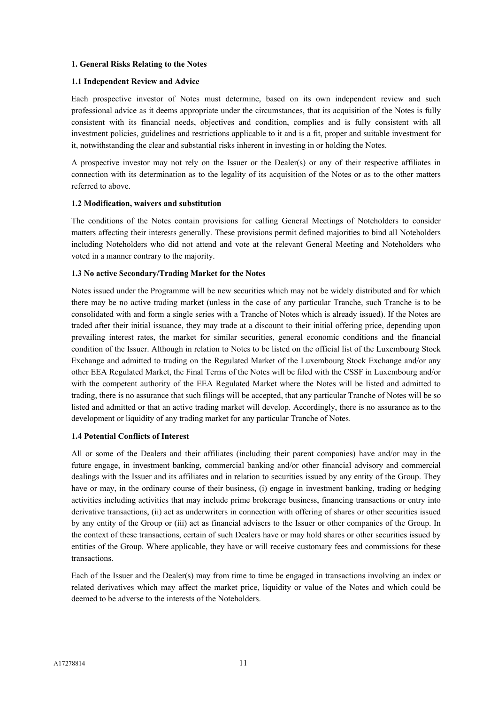#### **1. General Risks Relating to the Notes**

### **1.1 Independent Review and Advice**

Each prospective investor of Notes must determine, based on its own independent review and such professional advice as it deems appropriate under the circumstances, that its acquisition of the Notes is fully consistent with its financial needs, objectives and condition, complies and is fully consistent with all investment policies, guidelines and restrictions applicable to it and is a fit, proper and suitable investment for it, notwithstanding the clear and substantial risks inherent in investing in or holding the Notes.

A prospective investor may not rely on the Issuer or the Dealer(s) or any of their respective affiliates in connection with its determination as to the legality of its acquisition of the Notes or as to the other matters referred to above.

### **1.2 Modification, waivers and substitution**

The conditions of the Notes contain provisions for calling General Meetings of Noteholders to consider matters affecting their interests generally. These provisions permit defined majorities to bind all Noteholders including Noteholders who did not attend and vote at the relevant General Meeting and Noteholders who voted in a manner contrary to the majority.

### **1.3 No active Secondary/Trading Market for the Notes**

Notes issued under the Programme will be new securities which may not be widely distributed and for which there may be no active trading market (unless in the case of any particular Tranche, such Tranche is to be consolidated with and form a single series with a Tranche of Notes which is already issued). If the Notes are traded after their initial issuance, they may trade at a discount to their initial offering price, depending upon prevailing interest rates, the market for similar securities, general economic conditions and the financial condition of the Issuer. Although in relation to Notes to be listed on the official list of the Luxembourg Stock Exchange and admitted to trading on the Regulated Market of the Luxembourg Stock Exchange and/or any other EEA Regulated Market, the Final Terms of the Notes will be filed with the CSSF in Luxembourg and/or with the competent authority of the EEA Regulated Market where the Notes will be listed and admitted to trading, there is no assurance that such filings will be accepted, that any particular Tranche of Notes will be so listed and admitted or that an active trading market will develop. Accordingly, there is no assurance as to the development or liquidity of any trading market for any particular Tranche of Notes.

#### **1.4 Potential Conflicts of Interest**

All or some of the Dealers and their affiliates (including their parent companies) have and/or may in the future engage, in investment banking, commercial banking and/or other financial advisory and commercial dealings with the Issuer and its affiliates and in relation to securities issued by any entity of the Group. They have or may, in the ordinary course of their business, (i) engage in investment banking, trading or hedging activities including activities that may include prime brokerage business, financing transactions or entry into derivative transactions, (ii) act as underwriters in connection with offering of shares or other securities issued by any entity of the Group or (iii) act as financial advisers to the Issuer or other companies of the Group. In the context of these transactions, certain of such Dealers have or may hold shares or other securities issued by entities of the Group. Where applicable, they have or will receive customary fees and commissions for these transactions.

Each of the Issuer and the Dealer(s) may from time to time be engaged in transactions involving an index or related derivatives which may affect the market price, liquidity or value of the Notes and which could be deemed to be adverse to the interests of the Noteholders.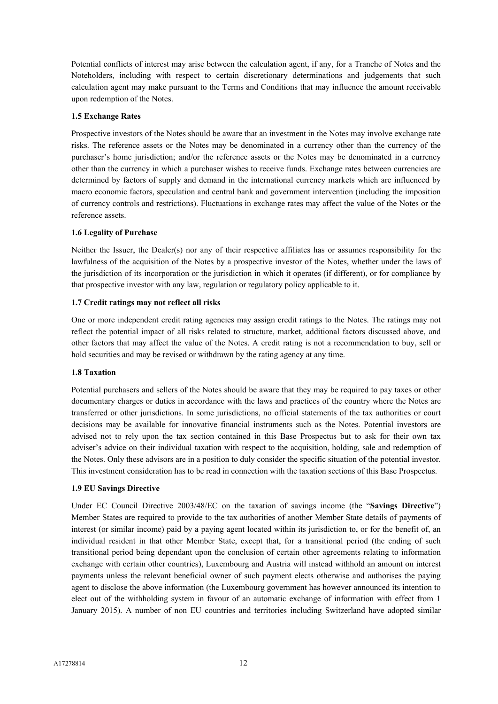Potential conflicts of interest may arise between the calculation agent, if any, for a Tranche of Notes and the Noteholders, including with respect to certain discretionary determinations and judgements that such calculation agent may make pursuant to the Terms and Conditions that may influence the amount receivable upon redemption of the Notes.

# **1.5 Exchange Rates**

Prospective investors of the Notes should be aware that an investment in the Notes may involve exchange rate risks. The reference assets or the Notes may be denominated in a currency other than the currency of the purchaser's home jurisdiction; and/or the reference assets or the Notes may be denominated in a currency other than the currency in which a purchaser wishes to receive funds. Exchange rates between currencies are determined by factors of supply and demand in the international currency markets which are influenced by macro economic factors, speculation and central bank and government intervention (including the imposition of currency controls and restrictions). Fluctuations in exchange rates may affect the value of the Notes or the reference assets.

### **1.6 Legality of Purchase**

Neither the Issuer, the Dealer(s) nor any of their respective affiliates has or assumes responsibility for the lawfulness of the acquisition of the Notes by a prospective investor of the Notes, whether under the laws of the jurisdiction of its incorporation or the jurisdiction in which it operates (if different), or for compliance by that prospective investor with any law, regulation or regulatory policy applicable to it.

#### **1.7 Credit ratings may not reflect all risks**

One or more independent credit rating agencies may assign credit ratings to the Notes. The ratings may not reflect the potential impact of all risks related to structure, market, additional factors discussed above, and other factors that may affect the value of the Notes. A credit rating is not a recommendation to buy, sell or hold securities and may be revised or withdrawn by the rating agency at any time.

#### **1.8 Taxation**

Potential purchasers and sellers of the Notes should be aware that they may be required to pay taxes or other documentary charges or duties in accordance with the laws and practices of the country where the Notes are transferred or other jurisdictions. In some jurisdictions, no official statements of the tax authorities or court decisions may be available for innovative financial instruments such as the Notes. Potential investors are advised not to rely upon the tax section contained in this Base Prospectus but to ask for their own tax adviser's advice on their individual taxation with respect to the acquisition, holding, sale and redemption of the Notes. Only these advisors are in a position to duly consider the specific situation of the potential investor. This investment consideration has to be read in connection with the taxation sections of this Base Prospectus.

#### **1.9 EU Savings Directive**

Under EC Council Directive 2003/48/EC on the taxation of savings income (the "**Savings Directive**") Member States are required to provide to the tax authorities of another Member State details of payments of interest (or similar income) paid by a paying agent located within its jurisdiction to, or for the benefit of, an individual resident in that other Member State, except that, for a transitional period (the ending of such transitional period being dependant upon the conclusion of certain other agreements relating to information exchange with certain other countries), Luxembourg and Austria will instead withhold an amount on interest payments unless the relevant beneficial owner of such payment elects otherwise and authorises the paying agent to disclose the above information (the Luxembourg government has however announced its intention to elect out of the withholding system in favour of an automatic exchange of information with effect from 1 January 2015). A number of non EU countries and territories including Switzerland have adopted similar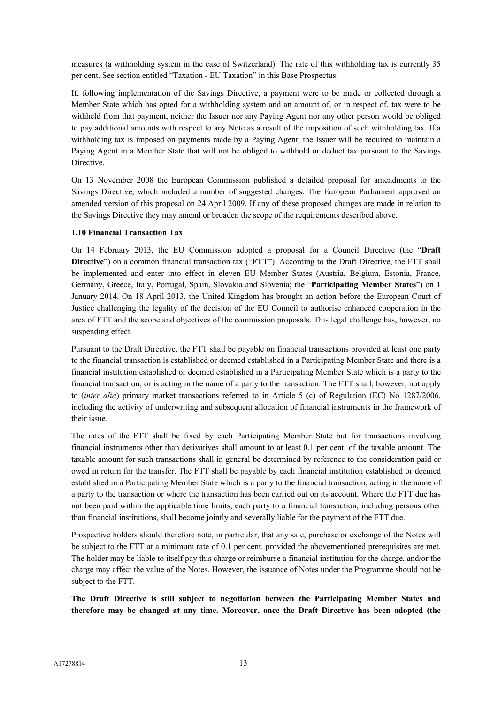measures (a withholding system in the case of Switzerland). The rate of this withholding tax is currently 35 per cent. See section entitled "Taxation - EU Taxation" in this Base Prospectus.

If, following implementation of the Savings Directive, a payment were to be made or collected through a Member State which has opted for a withholding system and an amount of, or in respect of, tax were to be withheld from that payment, neither the Issuer nor any Paying Agent nor any other person would be obliged to pay additional amounts with respect to any Note as a result of the imposition of such withholding tax. If a withholding tax is imposed on payments made by a Paying Agent, the Issuer will be required to maintain a Paying Agent in a Member State that will not be obliged to withhold or deduct tax pursuant to the Savings Directive.

On 13 November 2008 the European Commission published a detailed proposal for amendments to the Savings Directive, which included a number of suggested changes. The European Parliament approved an amended version of this proposal on 24 April 2009. If any of these proposed changes are made in relation to the Savings Directive they may amend or broaden the scope of the requirements described above.

### **1.10 Financial Transaction Tax**

On 14 February 2013, the EU Commission adopted a proposal for a Council Directive (the "**Draft Directive**") on a common financial transaction tax ("**FTT**"). According to the Draft Directive, the FTT shall be implemented and enter into effect in eleven EU Member States (Austria, Belgium, Estonia, France, Germany, Greece, Italy, Portugal, Spain, Slovakia and Slovenia; the "**Participating Member States**") on 1 January 2014. On 18 April 2013, the United Kingdom has brought an action before the European Court of Justice challenging the legality of the decision of the EU Council to authorise enhanced cooperation in the area of FTT and the scope and objectives of the commission proposals. This legal challenge has, however, no suspending effect.

Pursuant to the Draft Directive, the FTT shall be payable on financial transactions provided at least one party to the financial transaction is established or deemed established in a Participating Member State and there is a financial institution established or deemed established in a Participating Member State which is a party to the financial transaction, or is acting in the name of a party to the transaction. The FTT shall, however, not apply to (*inter alia*) primary market transactions referred to in Article 5 (c) of Regulation (EC) No 1287/2006, including the activity of underwriting and subsequent allocation of financial instruments in the framework of their issue.

The rates of the FTT shall be fixed by each Participating Member State but for transactions involving financial instruments other than derivatives shall amount to at least 0.1 per cent. of the taxable amount. The taxable amount for such transactions shall in general be determined by reference to the consideration paid or owed in return for the transfer. The FTT shall be payable by each financial institution established or deemed established in a Participating Member State which is a party to the financial transaction, acting in the name of a party to the transaction or where the transaction has been carried out on its account. Where the FTT due has not been paid within the applicable time limits, each party to a financial transaction, including persons other than financial institutions, shall become jointly and severally liable for the payment of the FTT due.

Prospective holders should therefore note, in particular, that any sale, purchase or exchange of the Notes will be subject to the FTT at a minimum rate of 0.1 per cent. provided the abovementioned prerequisites are met. The holder may be liable to itself pay this charge or reimburse a financial institution for the charge, and/or the charge may affect the value of the Notes. However, the issuance of Notes under the Programme should not be subject to the FTT.

**The Draft Directive is still subject to negotiation between the Participating Member States and therefore may be changed at any time. Moreover, once the Draft Directive has been adopted (the**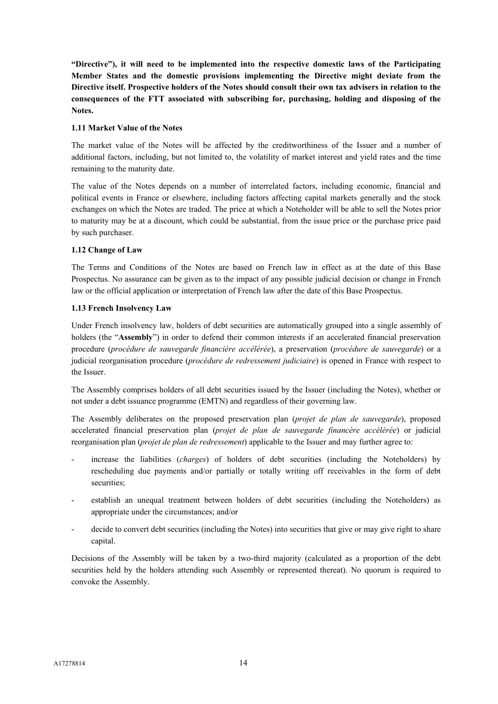**"Directive"), it will need to be implemented into the respective domestic laws of the Participating Member States and the domestic provisions implementing the Directive might deviate from the Directive itself. Prospective holders of the Notes should consult their own tax advisers in relation to the consequences of the FTT associated with subscribing for, purchasing, holding and disposing of the Notes.**

### **1.11 Market Value of the Notes**

The market value of the Notes will be affected by the creditworthiness of the Issuer and a number of additional factors, including, but not limited to, the volatility of market interest and yield rates and the time remaining to the maturity date.

The value of the Notes depends on a number of interrelated factors, including economic, financial and political events in France or elsewhere, including factors affecting capital markets generally and the stock exchanges on which the Notes are traded. The price at which a Noteholder will be able to sell the Notes prior to maturity may be at a discount, which could be substantial, from the issue price or the purchase price paid by such purchaser.

### **1.12 Change of Law**

The Terms and Conditions of the Notes are based on French law in effect as at the date of this Base Prospectus. No assurance can be given as to the impact of any possible judicial decision or change in French law or the official application or interpretation of French law after the date of this Base Prospectus.

### **1.13 French Insolvency Law**

Under French insolvency law, holders of debt securities are automatically grouped into a single assembly of holders (the "**Assembly**") in order to defend their common interests if an accelerated financial preservation procedure (*procédure de sauvegarde financière accélérée*), a preservation (*procédure de sauvegarde*) or a judicial reorganisation procedure (*procédure de redressement judiciaire*) is opened in France with respect to the Issuer.

The Assembly comprises holders of all debt securities issued by the Issuer (including the Notes), whether or not under a debt issuance programme (EMTN) and regardless of their governing law.

The Assembly deliberates on the proposed preservation plan (*projet de plan de sauvegarde*), proposed accelerated financial preservation plan (*projet de plan de sauvegarde financère accélérée*) or judicial reorganisation plan (*projet de plan de redressement*) applicable to the Issuer and may further agree to:

- increase the liabilities (*charges*) of holders of debt securities (including the Noteholders) by rescheduling due payments and/or partially or totally writing off receivables in the form of debt securities;
- establish an unequal treatment between holders of debt securities (including the Noteholders) as appropriate under the circumstances; and/or
- decide to convert debt securities (including the Notes) into securities that give or may give right to share capital.

Decisions of the Assembly will be taken by a two-third majority (calculated as a proportion of the debt securities held by the holders attending such Assembly or represented thereat). No quorum is required to convoke the Assembly.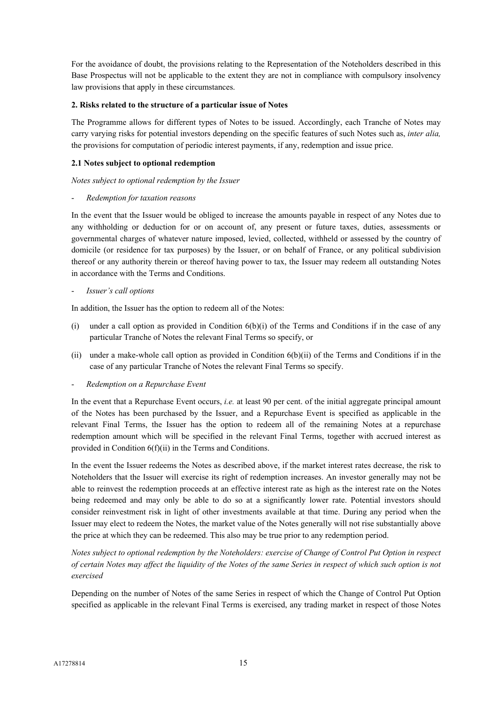For the avoidance of doubt, the provisions relating to the Representation of the Noteholders described in this Base Prospectus will not be applicable to the extent they are not in compliance with compulsory insolvency law provisions that apply in these circumstances.

# **2. Risks related to the structure of a particular issue of Notes**

The Programme allows for different types of Notes to be issued. Accordingly, each Tranche of Notes may carry varying risks for potential investors depending on the specific features of such Notes such as, *inter alia,* the provisions for computation of periodic interest payments, if any, redemption and issue price.

# **2.1 Notes subject to optional redemption**

*Notes subject to optional redemption by the Issuer*

- *Redemption for taxation reasons*

In the event that the Issuer would be obliged to increase the amounts payable in respect of any Notes due to any withholding or deduction for or on account of, any present or future taxes, duties, assessments or governmental charges of whatever nature imposed, levied, collected, withheld or assessed by the country of domicile (or residence for tax purposes) by the Issuer, or on behalf of France, or any political subdivision thereof or any authority therein or thereof having power to tax, the Issuer may redeem all outstanding Notes in accordance with the Terms and Conditions.

- *Issuer's call options*

In addition, the Issuer has the option to redeem all of the Notes:

- (i) under a call option as provided in Condition  $6(b)(i)$  of the Terms and Conditions if in the case of any particular Tranche of Notes the relevant Final Terms so specify, or
- (ii) under a make-whole call option as provided in Condition 6(b)(ii) of the Terms and Conditions if in the case of any particular Tranche of Notes the relevant Final Terms so specify.
- *Redemption on a Repurchase Event*

In the event that a Repurchase Event occurs, *i.e.* at least 90 per cent. of the initial aggregate principal amount of the Notes has been purchased by the Issuer, and a Repurchase Event is specified as applicable in the relevant Final Terms, the Issuer has the option to redeem all of the remaining Notes at a repurchase redemption amount which will be specified in the relevant Final Terms, together with accrued interest as provided in Condition 6(f)(ii) in the Terms and Conditions.

In the event the Issuer redeems the Notes as described above, if the market interest rates decrease, the risk to Noteholders that the Issuer will exercise its right of redemption increases. An investor generally may not be able to reinvest the redemption proceeds at an effective interest rate as high as the interest rate on the Notes being redeemed and may only be able to do so at a significantly lower rate. Potential investors should consider reinvestment risk in light of other investments available at that time. During any period when the Issuer may elect to redeem the Notes, the market value of the Notes generally will not rise substantially above the price at which they can be redeemed. This also may be true prior to any redemption period.

*Notes subject to optional redemption by the Noteholders: exercise of Change of Control Put Option in respect of certain Notes may affect the liquidity of the Notes of the same Series in respect of which such option is not exercised*

Depending on the number of Notes of the same Series in respect of which the Change of Control Put Option specified as applicable in the relevant Final Terms is exercised, any trading market in respect of those Notes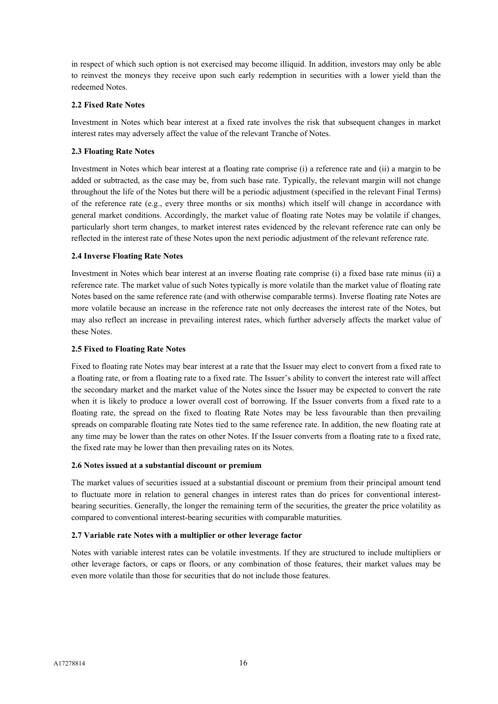in respect of which such option is not exercised may become illiquid. In addition, investors may only be able to reinvest the moneys they receive upon such early redemption in securities with a lower yield than the redeemed Notes.

# **2.2 Fixed Rate Notes**

Investment in Notes which bear interest at a fixed rate involves the risk that subsequent changes in market interest rates may adversely affect the value of the relevant Tranche of Notes.

### **2.3 Floating Rate Notes**

Investment in Notes which bear interest at a floating rate comprise (i) a reference rate and (ii) a margin to be added or subtracted, as the case may be, from such base rate. Typically, the relevant margin will not change throughout the life of the Notes but there will be a periodic adjustment (specified in the relevant Final Terms) of the reference rate (e.g., every three months or six months) which itself will change in accordance with general market conditions. Accordingly, the market value of floating rate Notes may be volatile if changes, particularly short term changes, to market interest rates evidenced by the relevant reference rate can only be reflected in the interest rate of these Notes upon the next periodic adjustment of the relevant reference rate.

### **2.4 Inverse Floating Rate Notes**

Investment in Notes which bear interest at an inverse floating rate comprise (i) a fixed base rate minus (ii) a reference rate. The market value of such Notes typically is more volatile than the market value of floating rate Notes based on the same reference rate (and with otherwise comparable terms). Inverse floating rate Notes are more volatile because an increase in the reference rate not only decreases the interest rate of the Notes, but may also reflect an increase in prevailing interest rates, which further adversely affects the market value of these Notes.

### **2.5 Fixed to Floating Rate Notes**

Fixed to floating rate Notes may bear interest at a rate that the Issuer may elect to convert from a fixed rate to a floating rate, or from a floating rate to a fixed rate. The Issuer's ability to convert the interest rate will affect the secondary market and the market value of the Notes since the Issuer may be expected to convert the rate when it is likely to produce a lower overall cost of borrowing. If the Issuer converts from a fixed rate to a floating rate, the spread on the fixed to floating Rate Notes may be less favourable than then prevailing spreads on comparable floating rate Notes tied to the same reference rate. In addition, the new floating rate at any time may be lower than the rates on other Notes. If the Issuer converts from a floating rate to a fixed rate, the fixed rate may be lower than then prevailing rates on its Notes.

#### **2.6 Notes issued at a substantial discount or premium**

The market values of securities issued at a substantial discount or premium from their principal amount tend to fluctuate more in relation to general changes in interest rates than do prices for conventional interestbearing securities. Generally, the longer the remaining term of the securities, the greater the price volatility as compared to conventional interest-bearing securities with comparable maturities.

#### **2.7 Variable rate Notes with a multiplier or other leverage factor**

Notes with variable interest rates can be volatile investments. If they are structured to include multipliers or other leverage factors, or caps or floors, or any combination of those features, their market values may be even more volatile than those for securities that do not include those features.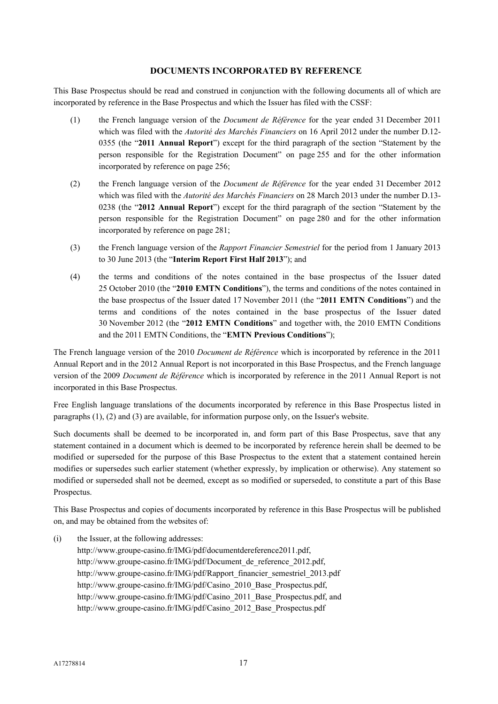### **DOCUMENTS INCORPORATED BY REFERENCE**

This Base Prospectus should be read and construed in conjunction with the following documents all of which are incorporated by reference in the Base Prospectus and which the Issuer has filed with the CSSF:

- (1) the French language version of the *Document de Référence* for the year ended 31 December 2011 which was filed with the *Autorité des Marchés Financiers* on 16 April 2012 under the number D.12- 0355 (the "**2011 Annual Report**") except for the third paragraph of the section "Statement by the person responsible for the Registration Document" on page 255 and for the other information incorporated by reference on page 256;
- (2) the French language version of the *Document de Référence* for the year ended 31 December 2012 which was filed with the *Autorité des Marchés Financiers* on 28 March 2013 under the number D.13- 0238 (the "**2012 Annual Report**") except for the third paragraph of the section "Statement by the person responsible for the Registration Document" on page 280 and for the other information incorporated by reference on page 281;
- (3) the French language version of the *Rapport Financier Semestriel* for the period from 1 January 2013 to 30 June 2013 (the "**Interim Report First Half 2013**"); and
- (4) the terms and conditions of the notes contained in the base prospectus of the Issuer dated 25 October 2010 (the "**2010 EMTN Conditions**"), the terms and conditions of the notes contained in the base prospectus of the Issuer dated 17 November 2011 (the "**2011 EMTN Conditions**") and the terms and conditions of the notes contained in the base prospectus of the Issuer dated 30 November 2012 (the "**2012 EMTN Conditions**" and together with, the 2010 EMTN Conditions and the 2011 EMTN Conditions, the "**EMTN Previous Conditions**");

The French language version of the 2010 *Document de Référence* which is incorporated by reference in the 2011 Annual Report and in the 2012 Annual Report is not incorporated in this Base Prospectus, and the French language version of the 2009 *Document de Référence* which is incorporated by reference in the 2011 Annual Report is not incorporated in this Base Prospectus.

Free English language translations of the documents incorporated by reference in this Base Prospectus listed in paragraphs (1), (2) and (3) are available, for information purpose only, on the Issuer's website.

Such documents shall be deemed to be incorporated in, and form part of this Base Prospectus, save that any statement contained in a document which is deemed to be incorporated by reference herein shall be deemed to be modified or superseded for the purpose of this Base Prospectus to the extent that a statement contained herein modifies or supersedes such earlier statement (whether expressly, by implication or otherwise). Any statement so modified or superseded shall not be deemed, except as so modified or superseded, to constitute a part of this Base Prospectus.

This Base Prospectus and copies of documents incorporated by reference in this Base Prospectus will be published on, and may be obtained from the websites of:

(i) the Issuer, at the following addresses: http://www.groupe-casino.fr/IMG/pdf/documentdereference2011.pdf, http://www.groupe-casino.fr/IMG/pdf/Document\_de\_reference\_2012.pdf, http://www.groupe-casino.fr/IMG/pdf/Rapport\_financier\_semestriel\_2013.pdf http://www.groupe-casino.fr/IMG/pdf/Casino\_2010\_Base\_Prospectus.pdf, http://www.groupe-casino.fr/IMG/pdf/Casino\_2011\_Base\_Prospectus.pdf, and http://www.groupe-casino.fr/IMG/pdf/Casino\_2012\_Base\_Prospectus.pdf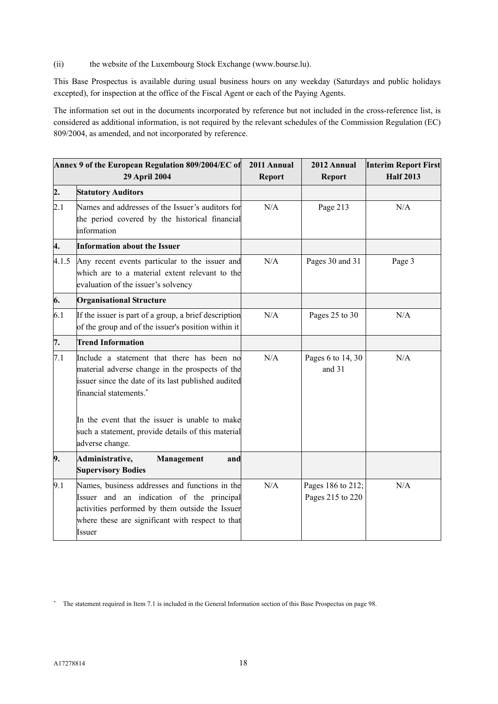(ii) the website of the Luxembourg Stock Exchange (www.bourse.lu).

This Base Prospectus is available during usual business hours on any weekday (Saturdays and public holidays excepted), for inspection at the office of the Fiscal Agent or each of the Paying Agents.

The information set out in the documents incorporated by reference but not included in the cross-reference list, is considered as additional information, is not required by the relevant schedules of the Commission Regulation (EC) 809/2004, as amended, and not incorporated by reference.

| Annex 9 of the European Regulation 809/2004/EC of<br>29 April 2004                                                                                                                                                                                                                            |                                                                                                                                                                                                              | 2011 Annual<br>Report | 2012 Annual<br><b>Report</b>          | <b>Interim Report First</b><br><b>Half 2013</b> |
|-----------------------------------------------------------------------------------------------------------------------------------------------------------------------------------------------------------------------------------------------------------------------------------------------|--------------------------------------------------------------------------------------------------------------------------------------------------------------------------------------------------------------|-----------------------|---------------------------------------|-------------------------------------------------|
| $\overline{2}$ .                                                                                                                                                                                                                                                                              | <b>Statutory Auditors</b>                                                                                                                                                                                    |                       |                                       |                                                 |
| 2.1                                                                                                                                                                                                                                                                                           | Names and addresses of the Issuer's auditors for<br>the period covered by the historical financial<br>information                                                                                            | N/A                   | Page 213                              | N/A                                             |
| 4.                                                                                                                                                                                                                                                                                            | <b>Information about the Issuer</b>                                                                                                                                                                          |                       |                                       |                                                 |
| 4.1.5<br>Any recent events particular to the issuer and<br>which are to a material extent relevant to the<br>evaluation of the issuer's solvency                                                                                                                                              |                                                                                                                                                                                                              | N/A                   | Pages 30 and 31                       | Page 3                                          |
| 6.                                                                                                                                                                                                                                                                                            | <b>Organisational Structure</b>                                                                                                                                                                              |                       |                                       |                                                 |
| 6.1                                                                                                                                                                                                                                                                                           | If the issuer is part of a group, a brief description<br>of the group and of the issuer's position within it                                                                                                 | N/A                   | Pages 25 to 30                        | N/A                                             |
| 7.                                                                                                                                                                                                                                                                                            | <b>Trend Information</b>                                                                                                                                                                                     |                       |                                       |                                                 |
| 7.1<br>Include a statement that there has been no<br>material adverse change in the prospects of the<br>issuer since the date of its last published audited<br>financial statements.*<br>In the event that the issuer is unable to make<br>such a statement, provide details of this material |                                                                                                                                                                                                              | N/A                   | Pages 6 to 14, 30<br>and 31           | N/A                                             |
|                                                                                                                                                                                                                                                                                               | adverse change.                                                                                                                                                                                              |                       |                                       |                                                 |
| 9.                                                                                                                                                                                                                                                                                            | Administrative,<br>Management<br>and<br><b>Supervisory Bodies</b>                                                                                                                                            |                       |                                       |                                                 |
| 9.1                                                                                                                                                                                                                                                                                           | Names, business addresses and functions in the<br>Issuer and an indication of the principal<br>activities performed by them outside the Issuer<br>where these are significant with respect to that<br>Issuer | N/A                   | Pages 186 to 212;<br>Pages 215 to 220 | N/A                                             |

The statement required in Item 7.1 is included in the General Information section of this Base Prospectus on page 98.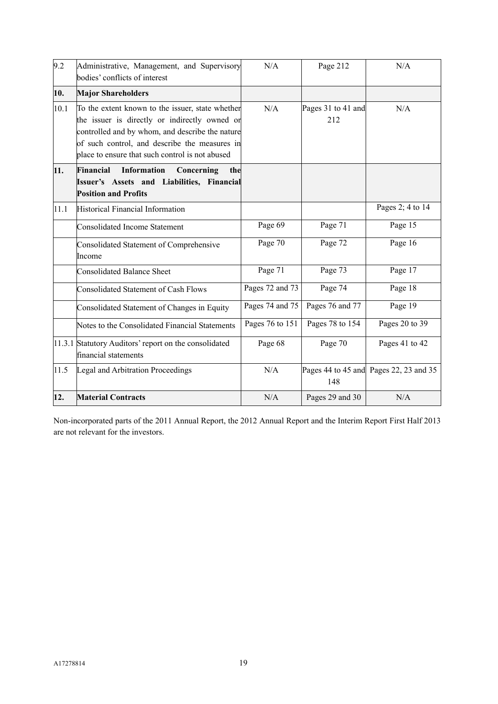| 9.2  | Administrative, Management, and Supervisory<br>bodies' conflicts of interest                                                                                                                                                                             | N/A             | Page 212                  | N/A                                    |
|------|----------------------------------------------------------------------------------------------------------------------------------------------------------------------------------------------------------------------------------------------------------|-----------------|---------------------------|----------------------------------------|
| 10.  | <b>Major Shareholders</b>                                                                                                                                                                                                                                |                 |                           |                                        |
| 10.1 | To the extent known to the issuer, state whether<br>the issuer is directly or indirectly owned or<br>controlled and by whom, and describe the nature<br>of such control, and describe the measures in<br>place to ensure that such control is not abused | N/A             | Pages 31 to 41 and<br>212 | N/A                                    |
| 11.  | Financial<br>Information<br>Concerning<br>the<br>Issuer's Assets and Liabilities, Financial<br><b>Position and Profits</b>                                                                                                                               |                 |                           |                                        |
| 11.1 | <b>Historical Financial Information</b>                                                                                                                                                                                                                  |                 |                           | Pages 2; 4 to 14                       |
|      | <b>Consolidated Income Statement</b>                                                                                                                                                                                                                     | Page 69         | Page 71                   | Page 15                                |
|      | Consolidated Statement of Comprehensive<br>Income                                                                                                                                                                                                        | Page 70         | Page 72                   | Page 16                                |
|      | <b>Consolidated Balance Sheet</b>                                                                                                                                                                                                                        | Page 71         | Page 73                   | Page 17                                |
|      | <b>Consolidated Statement of Cash Flows</b>                                                                                                                                                                                                              | Pages 72 and 73 | Page 74                   | Page $1\overline{8}$                   |
|      | Consolidated Statement of Changes in Equity                                                                                                                                                                                                              | Pages 74 and 75 | Pages 76 and 77           | Page 19                                |
|      | Notes to the Consolidated Financial Statements                                                                                                                                                                                                           | Pages 76 to 151 | Pages 78 to 154           | Pages 20 to 39                         |
|      | 11.3.1 Statutory Auditors' report on the consolidated<br>financial statements                                                                                                                                                                            | Page 68         | Page 70                   | Pages 41 to 42                         |
| 11.5 | <b>Legal and Arbitration Proceedings</b>                                                                                                                                                                                                                 | N/A             | 148                       | Pages 44 to 45 and Pages 22, 23 and 35 |
| 12.  | <b>Material Contracts</b>                                                                                                                                                                                                                                | N/A             | Pages 29 and 30           | N/A                                    |

Non-incorporated parts of the 2011 Annual Report, the 2012 Annual Report and the Interim Report First Half 2013 are not relevant for the investors.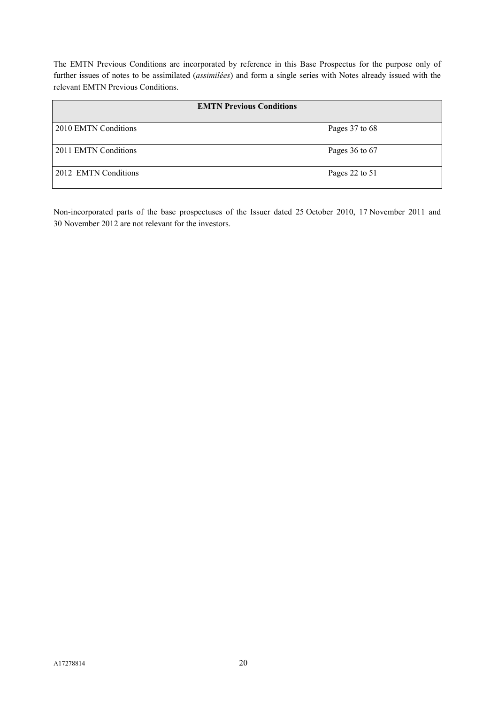The EMTN Previous Conditions are incorporated by reference in this Base Prospectus for the purpose only of further issues of notes to be assimilated (*assimilées*) and form a single series with Notes already issued with the relevant EMTN Previous Conditions.

| <b>EMTN Previous Conditions</b> |                |  |
|---------------------------------|----------------|--|
| 2010 EMTN Conditions            | Pages 37 to 68 |  |
| 2011 EMTN Conditions            | Pages 36 to 67 |  |
| 2012 EMTN Conditions            | Pages 22 to 51 |  |

Non-incorporated parts of the base prospectuses of the Issuer dated 25 October 2010, 17 November 2011 and 30 November 2012 are not relevant for the investors.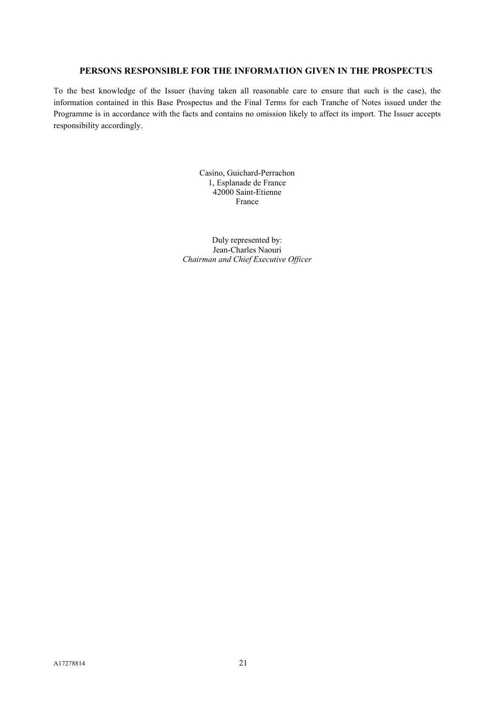# **PERSONS RESPONSIBLE FOR THE INFORMATION GIVEN IN THE PROSPECTUS**

To the best knowledge of the Issuer (having taken all reasonable care to ensure that such is the case), the information contained in this Base Prospectus and the Final Terms for each Tranche of Notes issued under the Programme is in accordance with the facts and contains no omission likely to affect its import. The Issuer accepts responsibility accordingly.

> Casino, Guichard-Perrachon 1, Esplanade de France 42000 Saint-Etienne France

Duly represented by: Jean-Charles Naouri *Chairman and Chief Executive Officer*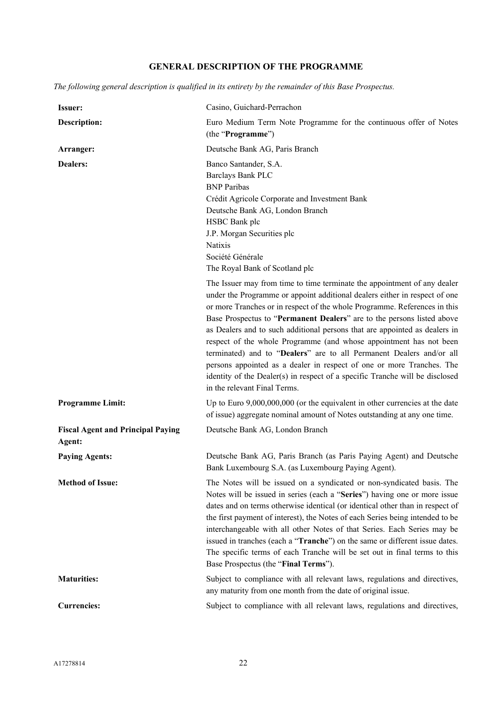# **GENERAL DESCRIPTION OF THE PROGRAMME**

*The following general description is qualified in its entirety by the remainder of this Base Prospectus.*

| <b>Issuer:</b>                                     | Casino, Guichard-Perrachon                                                                                                                                                                                                                                                                                                                                                                                                                                                                                                                                                                                                                                                                                                         |
|----------------------------------------------------|------------------------------------------------------------------------------------------------------------------------------------------------------------------------------------------------------------------------------------------------------------------------------------------------------------------------------------------------------------------------------------------------------------------------------------------------------------------------------------------------------------------------------------------------------------------------------------------------------------------------------------------------------------------------------------------------------------------------------------|
| <b>Description:</b>                                | Euro Medium Term Note Programme for the continuous offer of Notes<br>(the "Programme")                                                                                                                                                                                                                                                                                                                                                                                                                                                                                                                                                                                                                                             |
| Arranger:                                          | Deutsche Bank AG, Paris Branch                                                                                                                                                                                                                                                                                                                                                                                                                                                                                                                                                                                                                                                                                                     |
| <b>Dealers:</b>                                    | Banco Santander, S.A.<br><b>Barclays Bank PLC</b><br><b>BNP</b> Paribas<br>Crédit Agricole Corporate and Investment Bank<br>Deutsche Bank AG, London Branch<br>HSBC Bank plc<br>J.P. Morgan Securities plc<br>Natixis<br>Société Générale<br>The Royal Bank of Scotland plc                                                                                                                                                                                                                                                                                                                                                                                                                                                        |
|                                                    | The Issuer may from time to time terminate the appointment of any dealer<br>under the Programme or appoint additional dealers either in respect of one<br>or more Tranches or in respect of the whole Programme. References in this<br>Base Prospectus to "Permanent Dealers" are to the persons listed above<br>as Dealers and to such additional persons that are appointed as dealers in<br>respect of the whole Programme (and whose appointment has not been<br>terminated) and to "Dealers" are to all Permanent Dealers and/or all<br>persons appointed as a dealer in respect of one or more Tranches. The<br>identity of the Dealer(s) in respect of a specific Tranche will be disclosed<br>in the relevant Final Terms. |
| <b>Programme Limit:</b>                            | Up to Euro $9,000,000,000$ (or the equivalent in other currencies at the date<br>of issue) aggregate nominal amount of Notes outstanding at any one time.                                                                                                                                                                                                                                                                                                                                                                                                                                                                                                                                                                          |
| <b>Fiscal Agent and Principal Paying</b><br>Agent: | Deutsche Bank AG, London Branch                                                                                                                                                                                                                                                                                                                                                                                                                                                                                                                                                                                                                                                                                                    |
| <b>Paying Agents:</b>                              | Deutsche Bank AG, Paris Branch (as Paris Paying Agent) and Deutsche<br>Bank Luxembourg S.A. (as Luxembourg Paying Agent).                                                                                                                                                                                                                                                                                                                                                                                                                                                                                                                                                                                                          |
| <b>Method of Issue:</b>                            | The Notes will be issued on a syndicated or non-syndicated basis. The<br>Notes will be issued in series (each a "Series") having one or more issue<br>dates and on terms otherwise identical (or identical other than in respect of<br>the first payment of interest), the Notes of each Series being intended to be<br>interchangeable with all other Notes of that Series. Each Series may be<br>issued in tranches (each a "Tranche") on the same or different issue dates.<br>The specific terms of each Tranche will be set out in final terms to this<br>Base Prospectus (the "Final Terms").                                                                                                                                |
| <b>Maturities:</b>                                 | Subject to compliance with all relevant laws, regulations and directives,<br>any maturity from one month from the date of original issue.                                                                                                                                                                                                                                                                                                                                                                                                                                                                                                                                                                                          |
| <b>Currencies:</b>                                 | Subject to compliance with all relevant laws, regulations and directives,                                                                                                                                                                                                                                                                                                                                                                                                                                                                                                                                                                                                                                                          |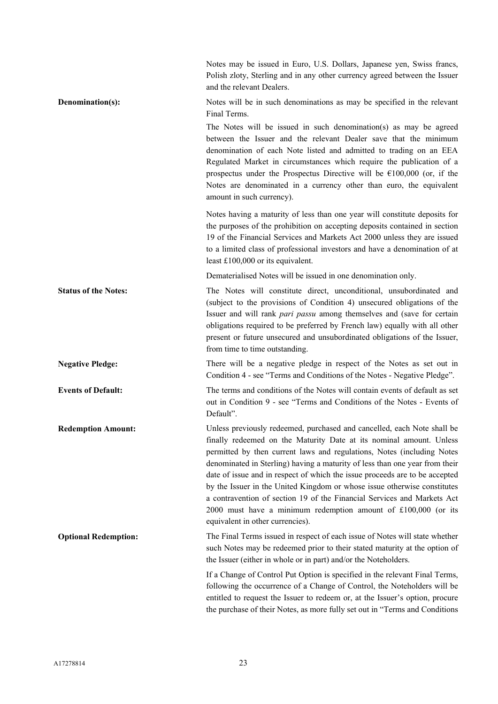|                             | Notes may be issued in Euro, U.S. Dollars, Japanese yen, Swiss francs,<br>Polish zloty, Sterling and in any other currency agreed between the Issuer<br>and the relevant Dealers.                                                                                                                                                                                                                                                                                                                                                                                                                                                                   |
|-----------------------------|-----------------------------------------------------------------------------------------------------------------------------------------------------------------------------------------------------------------------------------------------------------------------------------------------------------------------------------------------------------------------------------------------------------------------------------------------------------------------------------------------------------------------------------------------------------------------------------------------------------------------------------------------------|
| Denomination(s):            | Notes will be in such denominations as may be specified in the relevant<br>Final Terms.                                                                                                                                                                                                                                                                                                                                                                                                                                                                                                                                                             |
|                             | The Notes will be issued in such denomination(s) as may be agreed<br>between the Issuer and the relevant Dealer save that the minimum<br>denomination of each Note listed and admitted to trading on an EEA<br>Regulated Market in circumstances which require the publication of a<br>prospectus under the Prospectus Directive will be $\epsilon$ 100,000 (or, if the<br>Notes are denominated in a currency other than euro, the equivalent<br>amount in such currency).                                                                                                                                                                         |
|                             | Notes having a maturity of less than one year will constitute deposits for<br>the purposes of the prohibition on accepting deposits contained in section<br>19 of the Financial Services and Markets Act 2000 unless they are issued<br>to a limited class of professional investors and have a denomination of at<br>least $£100,000$ or its equivalent.                                                                                                                                                                                                                                                                                           |
|                             | Dematerialised Notes will be issued in one denomination only.                                                                                                                                                                                                                                                                                                                                                                                                                                                                                                                                                                                       |
| <b>Status of the Notes:</b> | The Notes will constitute direct, unconditional, unsubordinated and<br>(subject to the provisions of Condition 4) unsecured obligations of the<br>Issuer and will rank pari passu among themselves and (save for certain<br>obligations required to be preferred by French law) equally with all other<br>present or future unsecured and unsubordinated obligations of the Issuer,<br>from time to time outstanding.                                                                                                                                                                                                                               |
| <b>Negative Pledge:</b>     | There will be a negative pledge in respect of the Notes as set out in<br>Condition 4 - see "Terms and Conditions of the Notes - Negative Pledge".                                                                                                                                                                                                                                                                                                                                                                                                                                                                                                   |
| <b>Events of Default:</b>   | The terms and conditions of the Notes will contain events of default as set<br>out in Condition 9 - see "Terms and Conditions of the Notes - Events of<br>Default".                                                                                                                                                                                                                                                                                                                                                                                                                                                                                 |
| <b>Redemption Amount:</b>   | Unless previously redeemed, purchased and cancelled, each Note shall be<br>finally redeemed on the Maturity Date at its nominal amount. Unless<br>permitted by then current laws and regulations, Notes (including Notes<br>denominated in Sterling) having a maturity of less than one year from their<br>date of issue and in respect of which the issue proceeds are to be accepted<br>by the Issuer in the United Kingdom or whose issue otherwise constitutes<br>a contravention of section 19 of the Financial Services and Markets Act<br>2000 must have a minimum redemption amount of £100,000 (or its<br>equivalent in other currencies). |
| <b>Optional Redemption:</b> | The Final Terms issued in respect of each issue of Notes will state whether<br>such Notes may be redeemed prior to their stated maturity at the option of<br>the Issuer (either in whole or in part) and/or the Noteholders.                                                                                                                                                                                                                                                                                                                                                                                                                        |
|                             | If a Change of Control Put Option is specified in the relevant Final Terms,<br>following the occurrence of a Change of Control, the Noteholders will be<br>entitled to request the Issuer to redeem or, at the Issuer's option, procure<br>the purchase of their Notes, as more fully set out in "Terms and Conditions                                                                                                                                                                                                                                                                                                                              |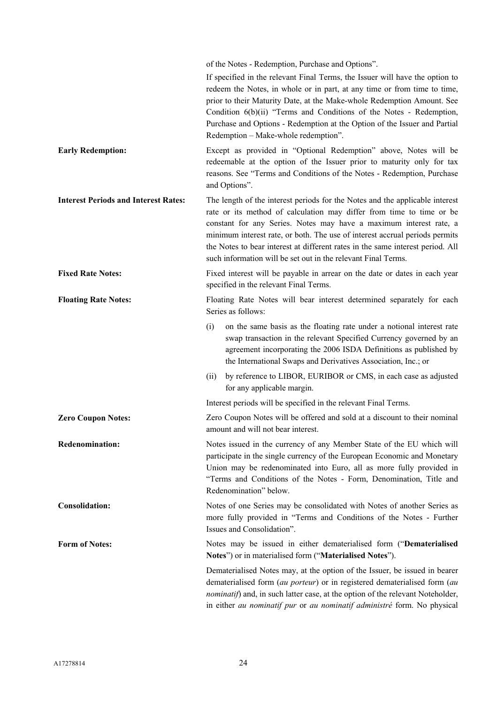|                                             | of the Notes - Redemption, Purchase and Options".                                                                                                                                                                                                                                                                                                                                                                                                            |
|---------------------------------------------|--------------------------------------------------------------------------------------------------------------------------------------------------------------------------------------------------------------------------------------------------------------------------------------------------------------------------------------------------------------------------------------------------------------------------------------------------------------|
|                                             | If specified in the relevant Final Terms, the Issuer will have the option to<br>redeem the Notes, in whole or in part, at any time or from time to time,<br>prior to their Maturity Date, at the Make-whole Redemption Amount. See<br>Condition 6(b)(ii) "Terms and Conditions of the Notes - Redemption,<br>Purchase and Options - Redemption at the Option of the Issuer and Partial<br>Redemption - Make-whole redemption".                               |
| <b>Early Redemption:</b>                    | Except as provided in "Optional Redemption" above, Notes will be<br>redeemable at the option of the Issuer prior to maturity only for tax<br>reasons. See "Terms and Conditions of the Notes - Redemption, Purchase<br>and Options".                                                                                                                                                                                                                         |
| <b>Interest Periods and Interest Rates:</b> | The length of the interest periods for the Notes and the applicable interest<br>rate or its method of calculation may differ from time to time or be<br>constant for any Series. Notes may have a maximum interest rate, a<br>minimum interest rate, or both. The use of interest accrual periods permits<br>the Notes to bear interest at different rates in the same interest period. All<br>such information will be set out in the relevant Final Terms. |
| <b>Fixed Rate Notes:</b>                    | Fixed interest will be payable in arrear on the date or dates in each year<br>specified in the relevant Final Terms.                                                                                                                                                                                                                                                                                                                                         |
| <b>Floating Rate Notes:</b>                 | Floating Rate Notes will bear interest determined separately for each<br>Series as follows:                                                                                                                                                                                                                                                                                                                                                                  |
|                                             | (i)<br>on the same basis as the floating rate under a notional interest rate<br>swap transaction in the relevant Specified Currency governed by an<br>agreement incorporating the 2006 ISDA Definitions as published by<br>the International Swaps and Derivatives Association, Inc.; or                                                                                                                                                                     |
|                                             | by reference to LIBOR, EURIBOR or CMS, in each case as adjusted<br>(ii)<br>for any applicable margin.                                                                                                                                                                                                                                                                                                                                                        |
|                                             | Interest periods will be specified in the relevant Final Terms.                                                                                                                                                                                                                                                                                                                                                                                              |
| <b>Zero Coupon Notes:</b>                   | Zero Coupon Notes will be offered and sold at a discount to their nominal<br>amount and will not bear interest.                                                                                                                                                                                                                                                                                                                                              |
| <b>Redenomination:</b>                      | Notes issued in the currency of any Member State of the EU which will<br>participate in the single currency of the European Economic and Monetary<br>Union may be redenominated into Euro, all as more fully provided in<br>"Terms and Conditions of the Notes - Form, Denomination, Title and<br>Redenomination" below.                                                                                                                                     |
| <b>Consolidation:</b>                       | Notes of one Series may be consolidated with Notes of another Series as<br>more fully provided in "Terms and Conditions of the Notes - Further<br>Issues and Consolidation".                                                                                                                                                                                                                                                                                 |
| <b>Form of Notes:</b>                       | Notes may be issued in either dematerialised form ("Dematerialised<br>Notes") or in materialised form ("Materialised Notes").                                                                                                                                                                                                                                                                                                                                |
|                                             | Dematerialised Notes may, at the option of the Issuer, be issued in bearer<br>dematerialised form (au porteur) or in registered dematerialised form (au<br>nominatif) and, in such latter case, at the option of the relevant Noteholder,<br>in either au nominatif pur or au nominatif administré form. No physical                                                                                                                                         |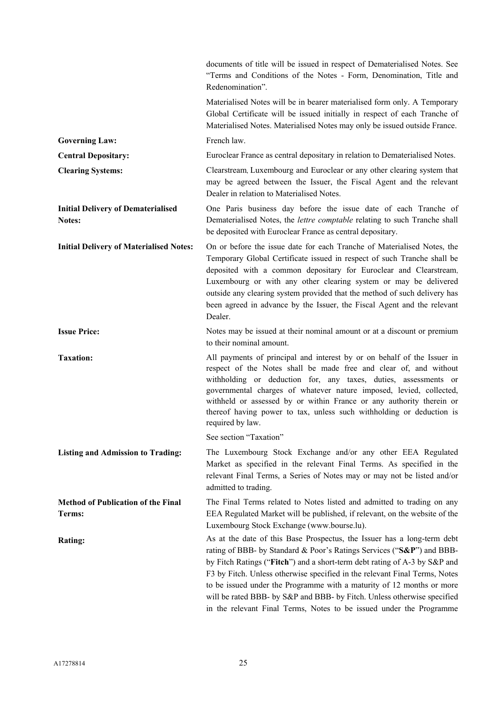|                                                     | documents of title will be issued in respect of Dematerialised Notes. See<br>"Terms and Conditions of the Notes - Form, Denomination, Title and<br>Redenomination".                                                                                                                                                                                                                                                                                                                                                                    |
|-----------------------------------------------------|----------------------------------------------------------------------------------------------------------------------------------------------------------------------------------------------------------------------------------------------------------------------------------------------------------------------------------------------------------------------------------------------------------------------------------------------------------------------------------------------------------------------------------------|
|                                                     | Materialised Notes will be in bearer materialised form only. A Temporary<br>Global Certificate will be issued initially in respect of each Tranche of<br>Materialised Notes. Materialised Notes may only be issued outside France.                                                                                                                                                                                                                                                                                                     |
| <b>Governing Law:</b>                               | French law.                                                                                                                                                                                                                                                                                                                                                                                                                                                                                                                            |
| <b>Central Depositary:</b>                          | Euroclear France as central depositary in relation to Dematerialised Notes.                                                                                                                                                                                                                                                                                                                                                                                                                                                            |
| <b>Clearing Systems:</b>                            | Clearstream, Luxembourg and Euroclear or any other clearing system that<br>may be agreed between the Issuer, the Fiscal Agent and the relevant<br>Dealer in relation to Materialised Notes.                                                                                                                                                                                                                                                                                                                                            |
| <b>Initial Delivery of Dematerialised</b><br>Notes: | One Paris business day before the issue date of each Tranche of<br>Dematerialised Notes, the <i>lettre comptable</i> relating to such Tranche shall<br>be deposited with Euroclear France as central depositary.                                                                                                                                                                                                                                                                                                                       |
| <b>Initial Delivery of Materialised Notes:</b>      | On or before the issue date for each Tranche of Materialised Notes, the<br>Temporary Global Certificate issued in respect of such Tranche shall be<br>deposited with a common depositary for Euroclear and Clearstream,<br>Luxembourg or with any other clearing system or may be delivered<br>outside any clearing system provided that the method of such delivery has<br>been agreed in advance by the Issuer, the Fiscal Agent and the relevant<br>Dealer.                                                                         |
| <b>Issue Price:</b>                                 | Notes may be issued at their nominal amount or at a discount or premium<br>to their nominal amount.                                                                                                                                                                                                                                                                                                                                                                                                                                    |
| <b>Taxation:</b>                                    | All payments of principal and interest by or on behalf of the Issuer in<br>respect of the Notes shall be made free and clear of, and without<br>withholding or deduction for, any taxes, duties, assessments or<br>governmental charges of whatever nature imposed, levied, collected,<br>withheld or assessed by or within France or any authority therein or<br>thereof having power to tax, unless such withholding or deduction is<br>required by law.                                                                             |
|                                                     | See section "Taxation"                                                                                                                                                                                                                                                                                                                                                                                                                                                                                                                 |
| <b>Listing and Admission to Trading:</b>            | The Luxembourg Stock Exchange and/or any other EEA Regulated<br>Market as specified in the relevant Final Terms. As specified in the<br>relevant Final Terms, a Series of Notes may or may not be listed and/or<br>admitted to trading.                                                                                                                                                                                                                                                                                                |
| <b>Method of Publication of the Final</b><br>Terms: | The Final Terms related to Notes listed and admitted to trading on any<br>EEA Regulated Market will be published, if relevant, on the website of the<br>Luxembourg Stock Exchange (www.bourse.lu).                                                                                                                                                                                                                                                                                                                                     |
| <b>Rating:</b>                                      | As at the date of this Base Prospectus, the Issuer has a long-term debt<br>rating of BBB- by Standard & Poor's Ratings Services ("S&P") and BBB-<br>by Fitch Ratings ("Fitch") and a short-term debt rating of A-3 by S&P and<br>F3 by Fitch. Unless otherwise specified in the relevant Final Terms, Notes<br>to be issued under the Programme with a maturity of 12 months or more<br>will be rated BBB- by S&P and BBB- by Fitch. Unless otherwise specified<br>in the relevant Final Terms, Notes to be issued under the Programme |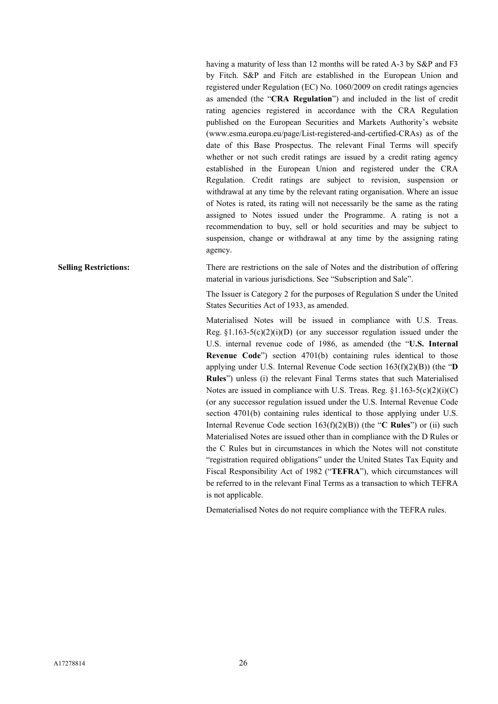having a maturity of less than 12 months will be rated A-3 by S&P and F3 by Fitch. S&P and Fitch are established in the European Union and registered under Regulation (EC) No. 1060/2009 on credit ratings agencies as amended (the "**CRA Regulation**") and included in the list of credit rating agencies registered in accordance with the CRA Regulation published on the European Securities and Markets Authority's website (www.esma.europa.eu/page/List-registered-and-certified-CRAs) as of the date of this Base Prospectus. The relevant Final Terms will specify whether or not such credit ratings are issued by a credit rating agency established in the European Union and registered under the CRA Regulation. Credit ratings are subject to revision, suspension or withdrawal at any time by the relevant rating organisation. Where an issue of Notes is rated, its rating will not necessarily be the same as the rating assigned to Notes issued under the Programme. A rating is not a recommendation to buy, sell or hold securities and may be subject to suspension, change or withdrawal at any time by the assigning rating agency.

**Selling Restrictions:** There are restrictions on the sale of Notes and the distribution of offering material in various jurisdictions. See "Subscription and Sale".

> The Issuer is Category 2 for the purposes of Regulation S under the United States Securities Act of 1933, as amended.

> Materialised Notes will be issued in compliance with U.S. Treas. Reg.  $\S1.163-5(c)(2)(i)(D)$  (or any successor regulation issued under the U.S. internal revenue code of 1986, as amended (the "**U.S. Internal Revenue Code**") section 4701(b) containing rules identical to those applying under U.S. Internal Revenue Code section 163(f)(2)(B)) (the "**D Rules**") unless (i) the relevant Final Terms states that such Materialised Notes are issued in compliance with U.S. Treas. Reg.  $\S1.163-5(c)(2)(i)(C)$ (or any successor regulation issued under the U.S. Internal Revenue Code section 4701(b) containing rules identical to those applying under U.S. Internal Revenue Code section 163(f)(2)(B)) (the "**C Rules**") or (ii) such Materialised Notes are issued other than in compliance with the D Rules or the C Rules but in circumstances in which the Notes will not constitute "registration required obligations" under the United States Tax Equity and Fiscal Responsibility Act of 1982 ("**TEFRA**"), which circumstances will be referred to in the relevant Final Terms as a transaction to which TEFRA is not applicable.

Dematerialised Notes do not require compliance with the TEFRA rules.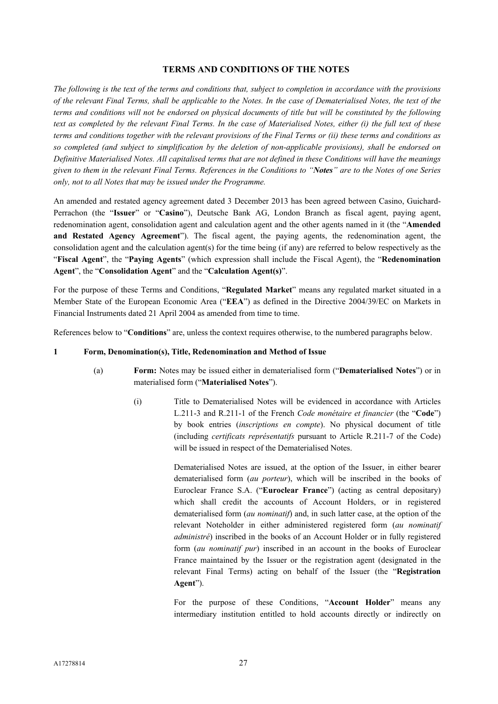#### **TERMS AND CONDITIONS OF THE NOTES**

*The following is the text of the terms and conditions that, subject to completion in accordance with the provisions of the relevant Final Terms, shall be applicable to the Notes. In the case of Dematerialised Notes, the text of the terms and conditions will not be endorsed on physical documents of title but will be constituted by the following text as completed by the relevant Final Terms. In the case of Materialised Notes, either (i) the full text of these terms and conditions together with the relevant provisions of the Final Terms or (ii) these terms and conditions as so completed (and subject to simplification by the deletion of non-applicable provisions), shall be endorsed on Definitive Materialised Notes. All capitalised terms that are not defined in these Conditions will have the meanings given to them in the relevant Final Terms. References in the Conditions to "Notes" are to the Notes of one Series only, not to all Notes that may be issued under the Programme.*

An amended and restated agency agreement dated 3 December 2013 has been agreed between Casino, Guichard-Perrachon (the "**Issuer**" or "**Casino**"), Deutsche Bank AG, London Branch as fiscal agent, paying agent, redenomination agent, consolidation agent and calculation agent and the other agents named in it (the "**Amended and Restated Agency Agreement**"). The fiscal agent, the paying agents, the redenomination agent, the consolidation agent and the calculation agent(s) for the time being (if any) are referred to below respectively as the "**Fiscal Agent**", the "**Paying Agents**" (which expression shall include the Fiscal Agent), the "**Redenomination Agent**", the "**Consolidation Agent**" and the "**Calculation Agent(s)**".

For the purpose of these Terms and Conditions, "**Regulated Market**" means any regulated market situated in a Member State of the European Economic Area ("**EEA**") as defined in the Directive 2004/39/EC on Markets in Financial Instruments dated 21 April 2004 as amended from time to time.

References below to "**Conditions**" are, unless the context requires otherwise, to the numbered paragraphs below.

#### **1 Form, Denomination(s), Title, Redenomination and Method of Issue**

- (a) **Form:** Notes may be issued either in dematerialised form ("**Dematerialised Notes**") or in materialised form ("**Materialised Notes**").
	- (i) Title to Dematerialised Notes will be evidenced in accordance with Articles L.211-3 and R.211-1 of the French *Code monétaire et financier* (the "**Code**") by book entries (*inscriptions en compte*). No physical document of title (including *certificats représentatifs* pursuant to Article R.211-7 of the Code) will be issued in respect of the Dematerialised Notes.

Dematerialised Notes are issued, at the option of the Issuer, in either bearer dematerialised form (*au porteur*), which will be inscribed in the books of Euroclear France S.A. ("**Euroclear France**") (acting as central depositary) which shall credit the accounts of Account Holders, or in registered dematerialised form (*au nominatif*) and, in such latter case, at the option of the relevant Noteholder in either administered registered form (*au nominatif administré*) inscribed in the books of an Account Holder or in fully registered form (*au nominatif pur*) inscribed in an account in the books of Euroclear France maintained by the Issuer or the registration agent (designated in the relevant Final Terms) acting on behalf of the Issuer (the "**Registration Agent**").

For the purpose of these Conditions, "**Account Holder**" means any intermediary institution entitled to hold accounts directly or indirectly on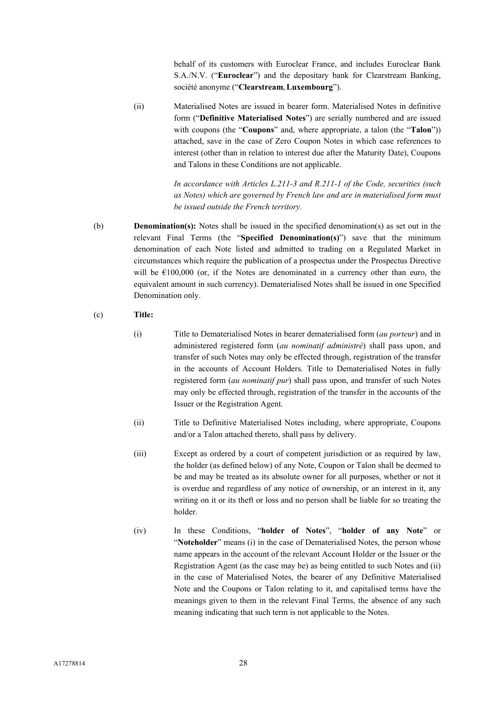behalf of its customers with Euroclear France, and includes Euroclear Bank S.A./N.V. ("**Euroclear**") and the depositary bank for Clearstream Banking, société anonyme ("**Clearstream, Luxembourg**").

(ii) Materialised Notes are issued in bearer form. Materialised Notes in definitive form ("**Definitive Materialised Notes**") are serially numbered and are issued with coupons (the "**Coupons**" and, where appropriate, a talon (the "**Talon**")) attached, save in the case of Zero Coupon Notes in which case references to interest (other than in relation to interest due after the Maturity Date), Coupons and Talons in these Conditions are not applicable.

> *In accordance with Articles L.211-3 and R.211-1 of the Code, securities (such as Notes) which are governed by French law and are in materialised form must be issued outside the French territory.*

- (b) **Denomination(s):** Notes shall be issued in the specified denomination(s) as set out in the relevant Final Terms (the "**Specified Denomination(s)**") save that the minimum denomination of each Note listed and admitted to trading on a Regulated Market in circumstances which require the publication of a prospectus under the Prospectus Directive will be  $\epsilon$ 100,000 (or, if the Notes are denominated in a currency other than euro, the equivalent amount in such currency). Dematerialised Notes shall be issued in one Specified Denomination only.
- (c) **Title:**
	- (i) Title to Dematerialised Notes in bearer dematerialised form (*au porteur*) and in administered registered form (*au nominatif administré*) shall pass upon, and transfer of such Notes may only be effected through, registration of the transfer in the accounts of Account Holders. Title to Dematerialised Notes in fully registered form (*au nominatif pur*) shall pass upon, and transfer of such Notes may only be effected through, registration of the transfer in the accounts of the Issuer or the Registration Agent.
	- (ii) Title to Definitive Materialised Notes including, where appropriate, Coupons and/or a Talon attached thereto, shall pass by delivery.
	- (iii) Except as ordered by a court of competent jurisdiction or as required by law, the holder (as defined below) of any Note, Coupon or Talon shall be deemed to be and may be treated as its absolute owner for all purposes, whether or not it is overdue and regardless of any notice of ownership, or an interest in it, any writing on it or its theft or loss and no person shall be liable for so treating the holder.
	- (iv) In these Conditions, "**holder of Notes**", "**holder of any Note**" or "**Noteholder**" means (i) in the case of Dematerialised Notes, the person whose name appears in the account of the relevant Account Holder or the Issuer or the Registration Agent (as the case may be) as being entitled to such Notes and (ii) in the case of Materialised Notes, the bearer of any Definitive Materialised Note and the Coupons or Talon relating to it, and capitalised terms have the meanings given to them in the relevant Final Terms, the absence of any such meaning indicating that such term is not applicable to the Notes.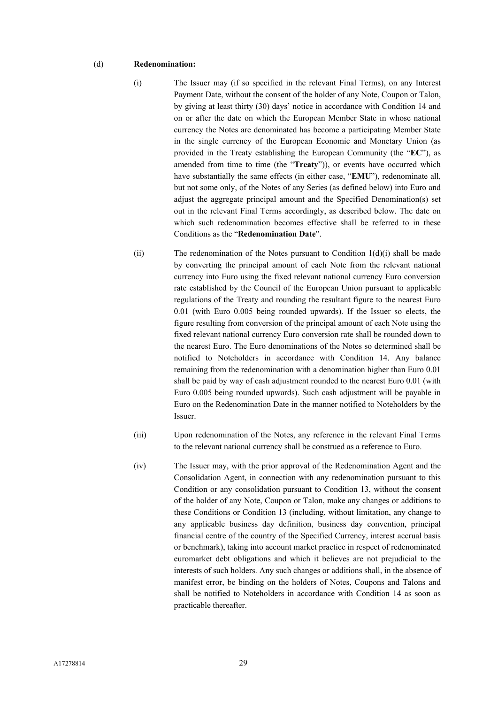#### (d) **Redenomination:**

- (i) The Issuer may (if so specified in the relevant Final Terms), on any Interest Payment Date, without the consent of the holder of any Note, Coupon or Talon, by giving at least thirty (30) days' notice in accordance with Condition 14 and on or after the date on which the European Member State in whose national currency the Notes are denominated has become a participating Member State in the single currency of the European Economic and Monetary Union (as provided in the Treaty establishing the European Community (the "**EC**"), as amended from time to time (the "**Treaty**")), or events have occurred which have substantially the same effects (in either case, "**EMU**"), redenominate all, but not some only, of the Notes of any Series (as defined below) into Euro and adjust the aggregate principal amount and the Specified Denomination(s) set out in the relevant Final Terms accordingly, as described below. The date on which such redenomination becomes effective shall be referred to in these Conditions as the "**Redenomination Date**".
- (ii) The redenomination of the Notes pursuant to Condition  $1(d)(i)$  shall be made by converting the principal amount of each Note from the relevant national currency into Euro using the fixed relevant national currency Euro conversion rate established by the Council of the European Union pursuant to applicable regulations of the Treaty and rounding the resultant figure to the nearest Euro 0.01 (with Euro 0.005 being rounded upwards). If the Issuer so elects, the figure resulting from conversion of the principal amount of each Note using the fixed relevant national currency Euro conversion rate shall be rounded down to the nearest Euro. The Euro denominations of the Notes so determined shall be notified to Noteholders in accordance with Condition 14. Any balance remaining from the redenomination with a denomination higher than Euro 0.01 shall be paid by way of cash adjustment rounded to the nearest Euro 0.01 (with Euro 0.005 being rounded upwards). Such cash adjustment will be payable in Euro on the Redenomination Date in the manner notified to Noteholders by the Issuer.
- (iii) Upon redenomination of the Notes, any reference in the relevant Final Terms to the relevant national currency shall be construed as a reference to Euro.
- (iv) The Issuer may, with the prior approval of the Redenomination Agent and the Consolidation Agent, in connection with any redenomination pursuant to this Condition or any consolidation pursuant to Condition 13, without the consent of the holder of any Note, Coupon or Talon, make any changes or additions to these Conditions or Condition 13 (including, without limitation, any change to any applicable business day definition, business day convention, principal financial centre of the country of the Specified Currency, interest accrual basis or benchmark), taking into account market practice in respect of redenominated euromarket debt obligations and which it believes are not prejudicial to the interests of such holders. Any such changes or additions shall, in the absence of manifest error, be binding on the holders of Notes, Coupons and Talons and shall be notified to Noteholders in accordance with Condition 14 as soon as practicable thereafter.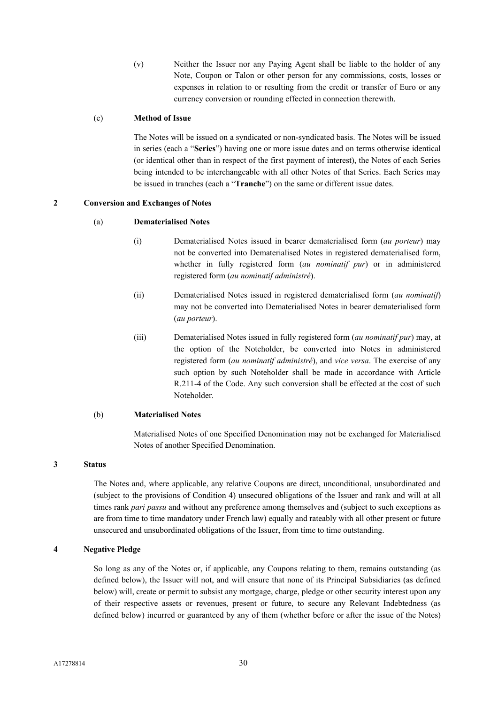(v) Neither the Issuer nor any Paying Agent shall be liable to the holder of any Note, Coupon or Talon or other person for any commissions, costs, losses or expenses in relation to or resulting from the credit or transfer of Euro or any currency conversion or rounding effected in connection therewith.

#### (e) **Method of Issue**

The Notes will be issued on a syndicated or non-syndicated basis. The Notes will be issued in series (each a "**Series**") having one or more issue dates and on terms otherwise identical (or identical other than in respect of the first payment of interest), the Notes of each Series being intended to be interchangeable with all other Notes of that Series. Each Series may be issued in tranches (each a "**Tranche**") on the same or different issue dates.

#### **2 Conversion and Exchanges of Notes**

#### (a) **Dematerialised Notes**

- (i) Dematerialised Notes issued in bearer dematerialised form (*au porteur*) may not be converted into Dematerialised Notes in registered dematerialised form, whether in fully registered form (*au nominatif pur*) or in administered registered form (*au nominatif administré*).
- (ii) Dematerialised Notes issued in registered dematerialised form (*au nominatif*) may not be converted into Dematerialised Notes in bearer dematerialised form (*au porteur*).
- (iii) Dematerialised Notes issued in fully registered form (*au nominatif pur*) may, at the option of the Noteholder, be converted into Notes in administered registered form (*au nominatif administré*), and *vice versa*. The exercise of any such option by such Noteholder shall be made in accordance with Article R.211-4 of the Code. Any such conversion shall be effected at the cost of such Noteholder.

#### (b) **Materialised Notes**

Materialised Notes of one Specified Denomination may not be exchanged for Materialised Notes of another Specified Denomination.

#### **3 Status**

The Notes and, where applicable, any relative Coupons are direct, unconditional, unsubordinated and (subject to the provisions of Condition 4) unsecured obligations of the Issuer and rank and will at all times rank *pari passu* and without any preference among themselves and (subject to such exceptions as are from time to time mandatory under French law) equally and rateably with all other present or future unsecured and unsubordinated obligations of the Issuer, from time to time outstanding.

#### **4 Negative Pledge**

So long as any of the Notes or, if applicable, any Coupons relating to them, remains outstanding (as defined below), the Issuer will not, and will ensure that none of its Principal Subsidiaries (as defined below) will, create or permit to subsist any mortgage, charge, pledge or other security interest upon any of their respective assets or revenues, present or future, to secure any Relevant Indebtedness (as defined below) incurred or guaranteed by any of them (whether before or after the issue of the Notes)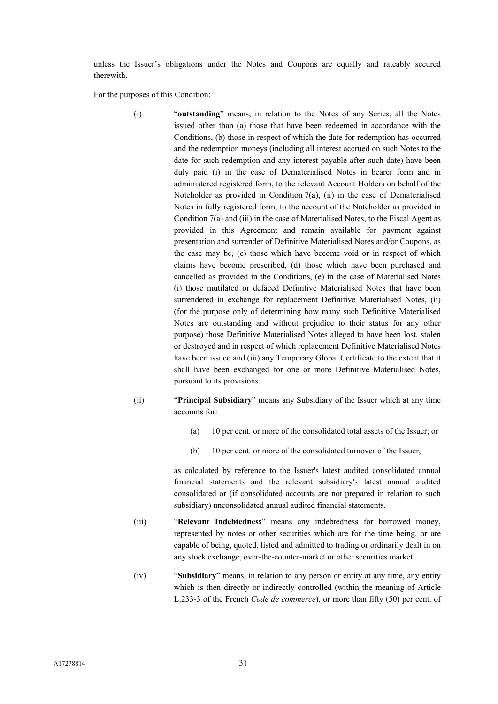unless the Issuer's obligations under the Notes and Coupons are equally and rateably secured therewith.

For the purposes of this Condition:

- (i) "**outstanding**" means, in relation to the Notes of any Series, all the Notes issued other than (a) those that have been redeemed in accordance with the Conditions, (b) those in respect of which the date for redemption has occurred and the redemption moneys (including all interest accrued on such Notes to the date for such redemption and any interest payable after such date) have been duly paid (i) in the case of Dematerialised Notes in bearer form and in administered registered form, to the relevant Account Holders on behalf of the Noteholder as provided in Condition 7(a), (ii) in the case of Dematerialised Notes in fully registered form, to the account of the Noteholder as provided in Condition 7(a) and (iii) in the case of Materialised Notes, to the Fiscal Agent as provided in this Agreement and remain available for payment against presentation and surrender of Definitive Materialised Notes and/or Coupons, as the case may be, (c) those which have become void or in respect of which claims have become prescribed, (d) those which have been purchased and cancelled as provided in the Conditions, (e) in the case of Materialised Notes (i) those mutilated or defaced Definitive Materialised Notes that have been surrendered in exchange for replacement Definitive Materialised Notes, (ii) (for the purpose only of determining how many such Definitive Materialised Notes are outstanding and without prejudice to their status for any other purpose) those Definitive Materialised Notes alleged to have been lost, stolen or destroyed and in respect of which replacement Definitive Materialised Notes have been issued and (iii) any Temporary Global Certificate to the extent that it shall have been exchanged for one or more Definitive Materialised Notes, pursuant to its provisions.
- (ii) "**Principal Subsidiary**" means any Subsidiary of the Issuer which at any time accounts for:
	- (a) 10 per cent. or more of the consolidated total assets of the Issuer; or
	- (b) 10 per cent. or more of the consolidated turnover of the Issuer,

as calculated by reference to the Issuer's latest audited consolidated annual financial statements and the relevant subsidiary's latest annual audited consolidated or (if consolidated accounts are not prepared in relation to such subsidiary) unconsolidated annual audited financial statements.

- (iii) "**Relevant Indebtedness**" means any indebtedness for borrowed money, represented by notes or other securities which are for the time being, or are capable of being, quoted, listed and admitted to trading or ordinarily dealt in on any stock exchange, over-the-counter-market or other securities market.
- (iv) "**Subsidiary**" means, in relation to any person or entity at any time, any entity which is then directly or indirectly controlled (within the meaning of Article L.233-3 of the French *Code de commerce*), or more than fifty (50) per cent. of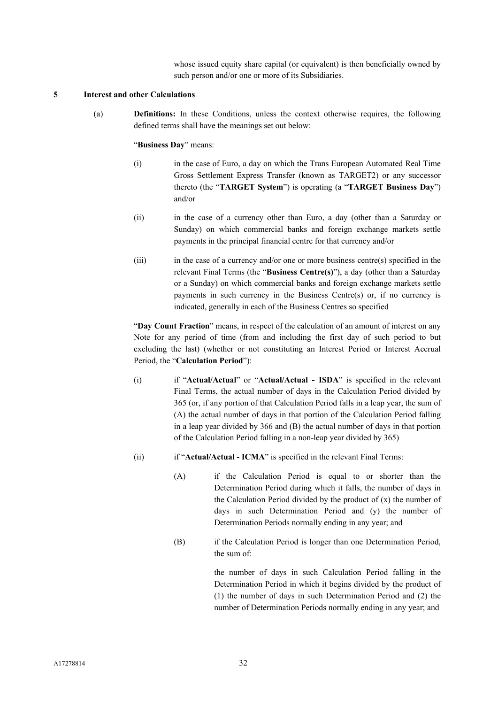whose issued equity share capital (or equivalent) is then beneficially owned by such person and/or one or more of its Subsidiaries.

#### **5 Interest and other Calculations**

(a) **Definitions:** In these Conditions, unless the context otherwise requires, the following defined terms shall have the meanings set out below:

### "**Business Day**" means:

- (i) in the case of Euro, a day on which the Trans European Automated Real Time Gross Settlement Express Transfer (known as TARGET2) or any successor thereto (the "**TARGET System**") is operating (a "**TARGET Business Day**") and/or
- (ii) in the case of a currency other than Euro, a day (other than a Saturday or Sunday) on which commercial banks and foreign exchange markets settle payments in the principal financial centre for that currency and/or
- (iii) in the case of a currency and/or one or more business centre(s) specified in the relevant Final Terms (the "**Business Centre(s)**"), a day (other than a Saturday or a Sunday) on which commercial banks and foreign exchange markets settle payments in such currency in the Business Centre(s) or, if no currency is indicated, generally in each of the Business Centres so specified

"**Day Count Fraction**" means, in respect of the calculation of an amount of interest on any Note for any period of time (from and including the first day of such period to but excluding the last) (whether or not constituting an Interest Period or Interest Accrual Period, the "**Calculation Period**"):

- (i) if "**Actual/Actual**" or "**Actual/Actual - ISDA**" is specified in the relevant Final Terms, the actual number of days in the Calculation Period divided by 365 (or, if any portion of that Calculation Period falls in a leap year, the sum of (A) the actual number of days in that portion of the Calculation Period falling in a leap year divided by 366 and (B) the actual number of days in that portion of the Calculation Period falling in a non-leap year divided by 365)
- (ii) if "**Actual/Actual - ICMA**" is specified in the relevant Final Terms:
	- (A) if the Calculation Period is equal to or shorter than the Determination Period during which it falls, the number of days in the Calculation Period divided by the product of  $(x)$  the number of days in such Determination Period and (y) the number of Determination Periods normally ending in any year; and
	- (B) if the Calculation Period is longer than one Determination Period, the sum of:

the number of days in such Calculation Period falling in the Determination Period in which it begins divided by the product of (1) the number of days in such Determination Period and (2) the number of Determination Periods normally ending in any year; and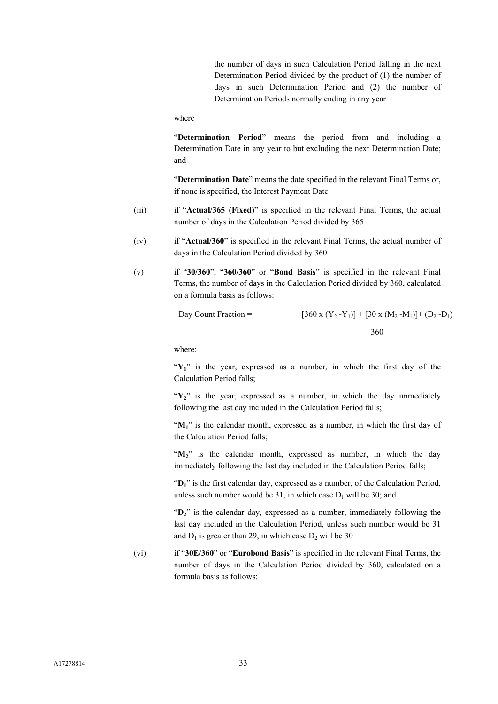the number of days in such Calculation Period falling in the next Determination Period divided by the product of (1) the number of days in such Determination Period and (2) the number of Determination Periods normally ending in any year

where

"**Determination Period**" means the period from and including a Determination Date in any year to but excluding the next Determination Date; and

"**Determination Date**" means the date specified in the relevant Final Terms or, if none is specified, the Interest Payment Date

- (iii) if "**Actual/365 (Fixed)**" is specified in the relevant Final Terms, the actual number of days in the Calculation Period divided by 365
- (iv) if "**Actual/360**" is specified in the relevant Final Terms, the actual number of days in the Calculation Period divided by 360
- (v) if "**30/360**", "**360/360**" or "**Bond Basis**" is specified in the relevant Final Terms, the number of days in the Calculation Period divided by 360, calculated on a formula basis as follows:

```
Day Count Fraction = [360 \times (Y_2 - Y_1)] + [30 \times (M_2 - M_1)] + (D_2 - D_1)
```
360

where:

"Y<sub>1</sub>" is the year, expressed as a number, in which the first day of the Calculation Period falls;

"Y<sub>2</sub>" is the year, expressed as a number, in which the day immediately following the last day included in the Calculation Period falls;

"M<sub>1</sub>" is the calendar month, expressed as a number, in which the first day of the Calculation Period falls;

"M<sub>2</sub>" is the calendar month, expressed as number, in which the day immediately following the last day included in the Calculation Period falls;

"D<sub>1</sub>" is the first calendar day, expressed as a number, of the Calculation Period, unless such number would be  $31$ , in which case  $D_1$  will be  $30$ ; and

" $D_2$ " is the calendar day, expressed as a number, immediately following the last day included in the Calculation Period, unless such number would be 31 and  $D_1$  is greater than 29, in which case  $D_2$  will be 30

(vi) if "**30E/360**" or "**Eurobond Basis**" is specified in the relevant Final Terms, the number of days in the Calculation Period divided by 360, calculated on a formula basis as follows: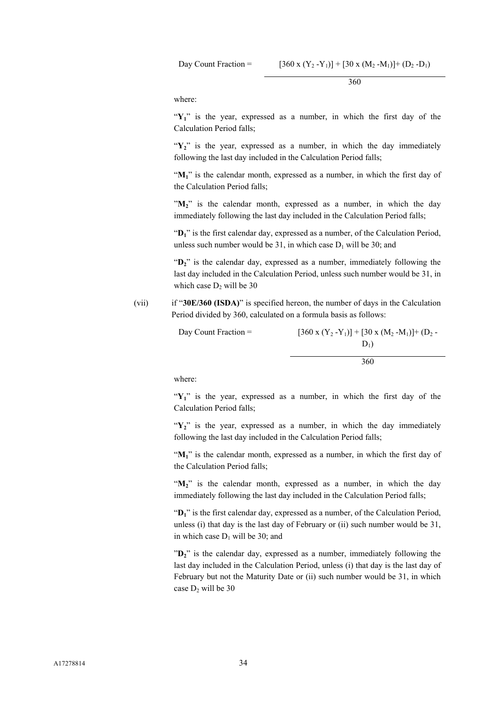Day Count Fraction =  $[360 \times (Y_2 - Y_1)] + [30 \times (M_2 - M_1)] + (D_2 - D_1)$ 

360

where:

"Y<sub>1</sub>" is the year, expressed as a number, in which the first day of the Calculation Period falls;

"Y<sub>2</sub>" is the year, expressed as a number, in which the day immediately following the last day included in the Calculation Period falls;

"M<sub>1</sub>" is the calendar month, expressed as a number, in which the first day of the Calculation Period falls;

" $M_2$ " is the calendar month, expressed as a number, in which the day immediately following the last day included in the Calculation Period falls;

"**D1**" is the first calendar day, expressed as a number, of the Calculation Period, unless such number would be 31, in which case  $D_1$  will be 30; and

"D<sub>2</sub>" is the calendar day, expressed as a number, immediately following the last day included in the Calculation Period, unless such number would be 31, in which case  $D_2$  will be 30

(vii) if "**30E/360 (ISDA)**" is specified hereon, the number of days in the Calculation Period divided by 360, calculated on a formula basis as follows:

| Day Count Fraction $=$ | $[360 \times (Y_2 - Y_1)] + [30 \times (M_2 - M_1)] + (D_2 -$ |
|------------------------|---------------------------------------------------------------|
|                        | $D_1$                                                         |
|                        | 360                                                           |

where:

"Y<sub>1</sub>" is the year, expressed as a number, in which the first day of the Calculation Period falls;

"Y<sub>2</sub>" is the year, expressed as a number, in which the day immediately following the last day included in the Calculation Period falls;

"M<sub>1</sub>" is the calendar month, expressed as a number, in which the first day of the Calculation Period falls;

"M<sub>2</sub>" is the calendar month, expressed as a number, in which the day immediately following the last day included in the Calculation Period falls;

"D<sub>1</sub>" is the first calendar day, expressed as a number, of the Calculation Period, unless (i) that day is the last day of February or (ii) such number would be 31, in which case  $D_1$  will be 30; and

"**D2**" is the calendar day, expressed as a number, immediately following the last day included in the Calculation Period, unless (i) that day is the last day of February but not the Maturity Date or (ii) such number would be 31, in which case  $D_2$  will be 30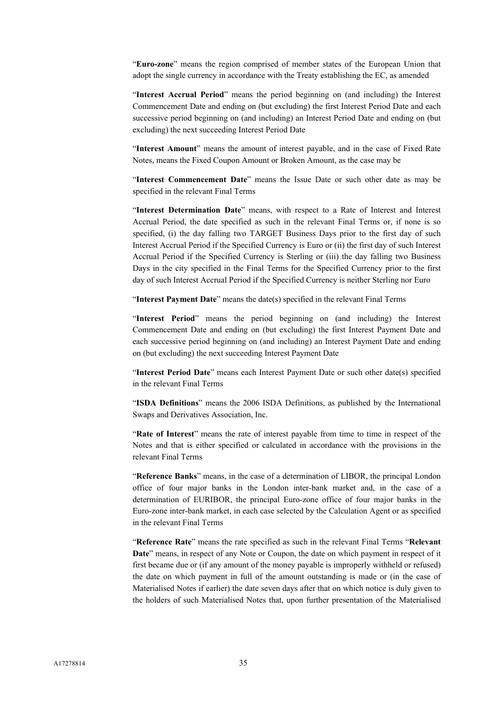"**Euro-zone**" means the region comprised of member states of the European Union that adopt the single currency in accordance with the Treaty establishing the EC, as amended

"**Interest Accrual Period**" means the period beginning on (and including) the Interest Commencement Date and ending on (but excluding) the first Interest Period Date and each successive period beginning on (and including) an Interest Period Date and ending on (but excluding) the next succeeding Interest Period Date

"**Interest Amount**" means the amount of interest payable, and in the case of Fixed Rate Notes, means the Fixed Coupon Amount or Broken Amount, as the case may be

"**Interest Commencement Date**" means the Issue Date or such other date as may be specified in the relevant Final Terms

"**Interest Determination Date**" means, with respect to a Rate of Interest and Interest Accrual Period, the date specified as such in the relevant Final Terms or, if none is so specified, (i) the day falling two TARGET Business Days prior to the first day of such Interest Accrual Period if the Specified Currency is Euro or (ii) the first day of such Interest Accrual Period if the Specified Currency is Sterling or (iii) the day falling two Business Days in the city specified in the Final Terms for the Specified Currency prior to the first day of such Interest Accrual Period if the Specified Currency is neither Sterling nor Euro

"**Interest Payment Date**" means the date(s) specified in the relevant Final Terms

"**Interest Period**" means the period beginning on (and including) the Interest Commencement Date and ending on (but excluding) the first Interest Payment Date and each successive period beginning on (and including) an Interest Payment Date and ending on (but excluding) the next succeeding Interest Payment Date

"**Interest Period Date**" means each Interest Payment Date or such other date(s) specified in the relevant Final Terms

"**ISDA Definitions**" means the 2006 ISDA Definitions, as published by the International Swaps and Derivatives Association, Inc.

"**Rate of Interest**" means the rate of interest payable from time to time in respect of the Notes and that is either specified or calculated in accordance with the provisions in the relevant Final Terms

"**Reference Banks**" means, in the case of a determination of LIBOR, the principal London office of four major banks in the London inter-bank market and, in the case of a determination of EURIBOR, the principal Euro-zone office of four major banks in the Euro-zone inter-bank market, in each case selected by the Calculation Agent or as specified in the relevant Final Terms

"**Reference Rate**" means the rate specified as such in the relevant Final Terms "**Relevant Date**" means, in respect of any Note or Coupon, the date on which payment in respect of it first became due or (if any amount of the money payable is improperly withheld or refused) the date on which payment in full of the amount outstanding is made or (in the case of Materialised Notes if earlier) the date seven days after that on which notice is duly given to the holders of such Materialised Notes that, upon further presentation of the Materialised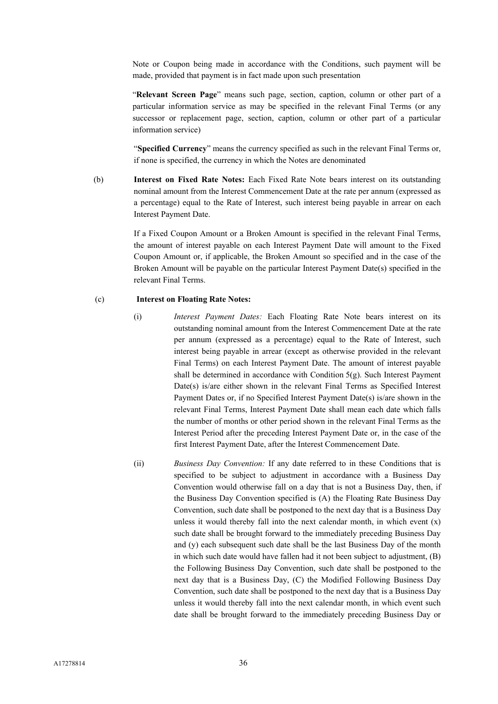Note or Coupon being made in accordance with the Conditions, such payment will be made, provided that payment is in fact made upon such presentation

"**Relevant Screen Page**" means such page, section, caption, column or other part of a particular information service as may be specified in the relevant Final Terms (or any successor or replacement page, section, caption, column or other part of a particular information service)

"**Specified Currency**" means the currency specified as such in the relevant Final Terms or, if none is specified, the currency in which the Notes are denominated

(b) **Interest on Fixed Rate Notes:** Each Fixed Rate Note bears interest on its outstanding nominal amount from the Interest Commencement Date at the rate per annum (expressed as a percentage) equal to the Rate of Interest, such interest being payable in arrear on each Interest Payment Date.

> If a Fixed Coupon Amount or a Broken Amount is specified in the relevant Final Terms, the amount of interest payable on each Interest Payment Date will amount to the Fixed Coupon Amount or, if applicable, the Broken Amount so specified and in the case of the Broken Amount will be payable on the particular Interest Payment Date(s) specified in the relevant Final Terms.

#### (c) **Interest on Floating Rate Notes:**

- (i) *Interest Payment Dates:* Each Floating Rate Note bears interest on its outstanding nominal amount from the Interest Commencement Date at the rate per annum (expressed as a percentage) equal to the Rate of Interest, such interest being payable in arrear (except as otherwise provided in the relevant Final Terms) on each Interest Payment Date. The amount of interest payable shall be determined in accordance with Condition 5(g). Such Interest Payment Date(s) is/are either shown in the relevant Final Terms as Specified Interest Payment Dates or, if no Specified Interest Payment Date(s) is/are shown in the relevant Final Terms, Interest Payment Date shall mean each date which falls the number of months or other period shown in the relevant Final Terms as the Interest Period after the preceding Interest Payment Date or, in the case of the first Interest Payment Date, after the Interest Commencement Date.
- (ii) *Business Day Convention:* If any date referred to in these Conditions that is specified to be subject to adjustment in accordance with a Business Day Convention would otherwise fall on a day that is not a Business Day, then, if the Business Day Convention specified is (A) the Floating Rate Business Day Convention, such date shall be postponed to the next day that is a Business Day unless it would thereby fall into the next calendar month, in which event (x) such date shall be brought forward to the immediately preceding Business Day and (y) each subsequent such date shall be the last Business Day of the month in which such date would have fallen had it not been subject to adjustment, (B) the Following Business Day Convention, such date shall be postponed to the next day that is a Business Day, (C) the Modified Following Business Day Convention, such date shall be postponed to the next day that is a Business Day unless it would thereby fall into the next calendar month, in which event such date shall be brought forward to the immediately preceding Business Day or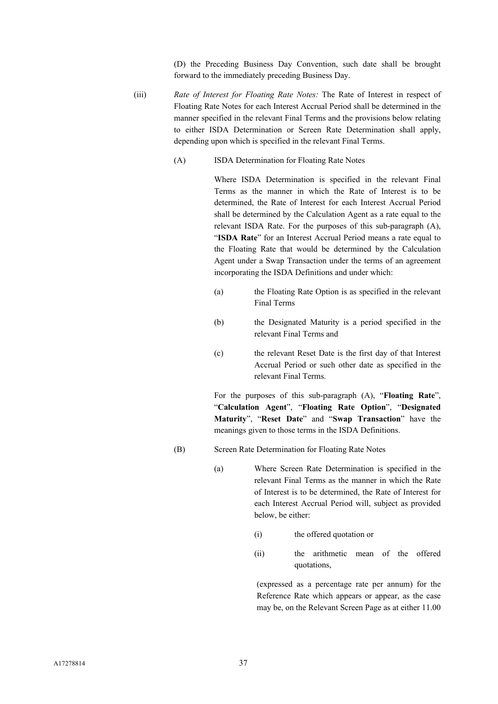(D) the Preceding Business Day Convention, such date shall be brought forward to the immediately preceding Business Day.

- (iii) *Rate of Interest for Floating Rate Notes:* The Rate of Interest in respect of Floating Rate Notes for each Interest Accrual Period shall be determined in the manner specified in the relevant Final Terms and the provisions below relating to either ISDA Determination or Screen Rate Determination shall apply, depending upon which is specified in the relevant Final Terms.
	- (A) ISDA Determination for Floating Rate Notes

Where ISDA Determination is specified in the relevant Final Terms as the manner in which the Rate of Interest is to be determined, the Rate of Interest for each Interest Accrual Period shall be determined by the Calculation Agent as a rate equal to the relevant ISDA Rate. For the purposes of this sub-paragraph (A), "**ISDA Rate**" for an Interest Accrual Period means a rate equal to the Floating Rate that would be determined by the Calculation Agent under a Swap Transaction under the terms of an agreement incorporating the ISDA Definitions and under which:

- (a) the Floating Rate Option is as specified in the relevant Final Terms
- (b) the Designated Maturity is a period specified in the relevant Final Terms and
- (c) the relevant Reset Date is the first day of that Interest Accrual Period or such other date as specified in the relevant Final Terms.

For the purposes of this sub-paragraph (A), "**Floating Rate**", "**Calculation Agent**", "**Floating Rate Option**", "**Designated Maturity**", "**Reset Date**" and "**Swap Transaction**" have the meanings given to those terms in the ISDA Definitions.

- (B) Screen Rate Determination for Floating Rate Notes
	- (a) Where Screen Rate Determination is specified in the relevant Final Terms as the manner in which the Rate of Interest is to be determined, the Rate of Interest for each Interest Accrual Period will, subject as provided below, be either:
		- (i) the offered quotation or
		- (ii) the arithmetic mean of the offered quotations,

(expressed as a percentage rate per annum) for the Reference Rate which appears or appear, as the case may be, on the Relevant Screen Page as at either 11.00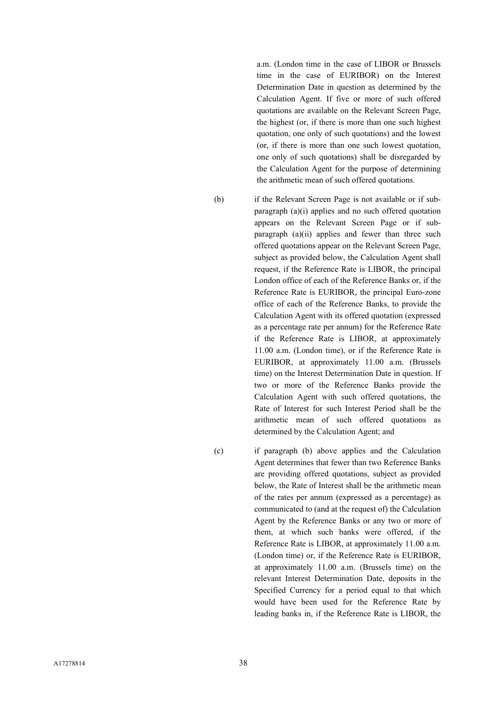a.m. (London time in the case of LIBOR or Brussels time in the case of EURIBOR) on the Interest Determination Date in question as determined by the Calculation Agent. If five or more of such offered quotations are available on the Relevant Screen Page, the highest (or, if there is more than one such highest quotation, one only of such quotations) and the lowest (or, if there is more than one such lowest quotation, one only of such quotations) shall be disregarded by the Calculation Agent for the purpose of determining the arithmetic mean of such offered quotations.

(b) if the Relevant Screen Page is not available or if subparagraph (a)(i) applies and no such offered quotation appears on the Relevant Screen Page or if subparagraph (a)(ii) applies and fewer than three such offered quotations appear on the Relevant Screen Page, subject as provided below, the Calculation Agent shall request, if the Reference Rate is LIBOR, the principal London office of each of the Reference Banks or, if the Reference Rate is EURIBOR, the principal Euro-zone office of each of the Reference Banks, to provide the Calculation Agent with its offered quotation (expressed as a percentage rate per annum) for the Reference Rate if the Reference Rate is LIBOR, at approximately 11.00 a.m. (London time), or if the Reference Rate is EURIBOR, at approximately 11.00 a.m. (Brussels time) on the Interest Determination Date in question. If two or more of the Reference Banks provide the Calculation Agent with such offered quotations, the Rate of Interest for such Interest Period shall be the arithmetic mean of such offered quotations as determined by the Calculation Agent; and

(c) if paragraph (b) above applies and the Calculation Agent determines that fewer than two Reference Banks are providing offered quotations, subject as provided below, the Rate of Interest shall be the arithmetic mean of the rates per annum (expressed as a percentage) as communicated to (and at the request of) the Calculation Agent by the Reference Banks or any two or more of them, at which such banks were offered, if the Reference Rate is LIBOR, at approximately 11.00 a.m. (London time) or, if the Reference Rate is EURIBOR, at approximately 11.00 a.m. (Brussels time) on the relevant Interest Determination Date, deposits in the Specified Currency for a period equal to that which would have been used for the Reference Rate by leading banks in, if the Reference Rate is LIBOR, the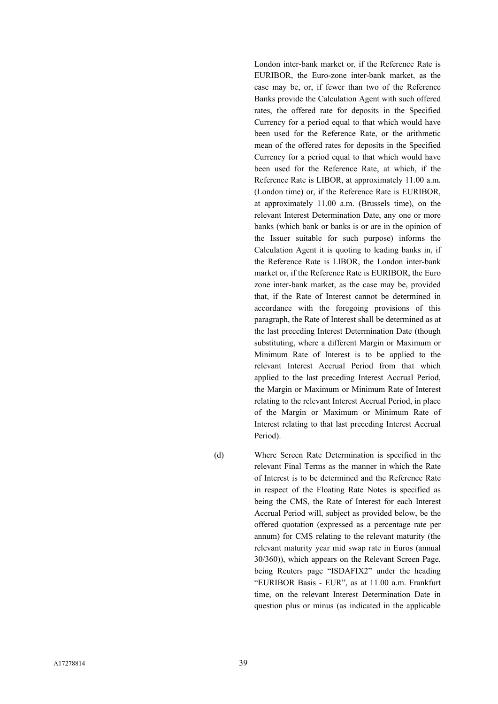London inter-bank market or, if the Reference Rate is EURIBOR, the Euro-zone inter-bank market, as the case may be, or, if fewer than two of the Reference Banks provide the Calculation Agent with such offered rates, the offered rate for deposits in the Specified Currency for a period equal to that which would have been used for the Reference Rate, or the arithmetic mean of the offered rates for deposits in the Specified Currency for a period equal to that which would have been used for the Reference Rate, at which, if the Reference Rate is LIBOR, at approximately 11.00 a.m. (London time) or, if the Reference Rate is EURIBOR, at approximately 11.00 a.m. (Brussels time), on the relevant Interest Determination Date, any one or more banks (which bank or banks is or are in the opinion of the Issuer suitable for such purpose) informs the Calculation Agent it is quoting to leading banks in, if the Reference Rate is LIBOR, the London inter-bank market or, if the Reference Rate is EURIBOR, the Euro zone inter-bank market, as the case may be, provided that, if the Rate of Interest cannot be determined in accordance with the foregoing provisions of this paragraph, the Rate of Interest shall be determined as at the last preceding Interest Determination Date (though substituting, where a different Margin or Maximum or Minimum Rate of Interest is to be applied to the relevant Interest Accrual Period from that which applied to the last preceding Interest Accrual Period, the Margin or Maximum or Minimum Rate of Interest relating to the relevant Interest Accrual Period, in place of the Margin or Maximum or Minimum Rate of Interest relating to that last preceding Interest Accrual Period).

(d) Where Screen Rate Determination is specified in the relevant Final Terms as the manner in which the Rate of Interest is to be determined and the Reference Rate in respect of the Floating Rate Notes is specified as being the CMS, the Rate of Interest for each Interest Accrual Period will, subject as provided below, be the offered quotation (expressed as a percentage rate per annum) for CMS relating to the relevant maturity (the relevant maturity year mid swap rate in Euros (annual 30/360)), which appears on the Relevant Screen Page, being Reuters page "ISDAFIX2" under the heading "EURIBOR Basis - EUR", as at 11.00 a.m. Frankfurt time, on the relevant Interest Determination Date in question plus or minus (as indicated in the applicable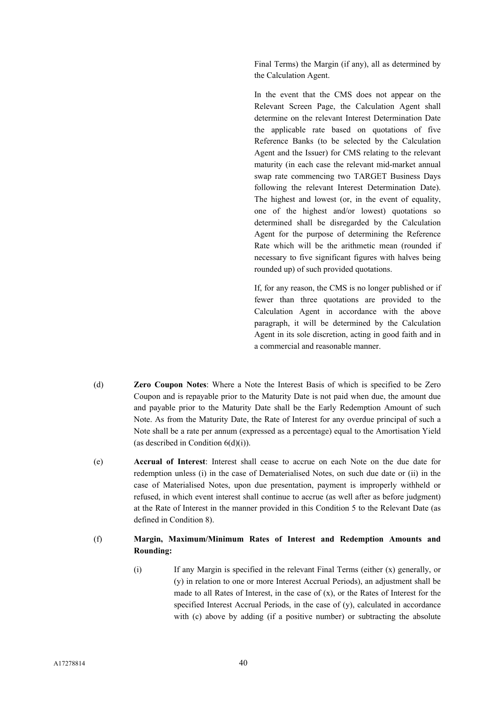Final Terms) the Margin (if any), all as determined by the Calculation Agent.

In the event that the CMS does not appear on the Relevant Screen Page, the Calculation Agent shall determine on the relevant Interest Determination Date the applicable rate based on quotations of five Reference Banks (to be selected by the Calculation Agent and the Issuer) for CMS relating to the relevant maturity (in each case the relevant mid-market annual swap rate commencing two TARGET Business Days following the relevant Interest Determination Date). The highest and lowest (or, in the event of equality, one of the highest and/or lowest) quotations so determined shall be disregarded by the Calculation Agent for the purpose of determining the Reference Rate which will be the arithmetic mean (rounded if necessary to five significant figures with halves being rounded up) of such provided quotations.

If, for any reason, the CMS is no longer published or if fewer than three quotations are provided to the Calculation Agent in accordance with the above paragraph, it will be determined by the Calculation Agent in its sole discretion, acting in good faith and in a commercial and reasonable manner.

- (d) **Zero Coupon Notes**: Where a Note the Interest Basis of which is specified to be Zero Coupon and is repayable prior to the Maturity Date is not paid when due, the amount due and payable prior to the Maturity Date shall be the Early Redemption Amount of such Note. As from the Maturity Date, the Rate of Interest for any overdue principal of such a Note shall be a rate per annum (expressed as a percentage) equal to the Amortisation Yield (as described in Condition  $6(d)(i)$ ).
- (e) **Accrual of Interest**: Interest shall cease to accrue on each Note on the due date for redemption unless (i) in the case of Dematerialised Notes, on such due date or (ii) in the case of Materialised Notes, upon due presentation, payment is improperly withheld or refused, in which event interest shall continue to accrue (as well after as before judgment) at the Rate of Interest in the manner provided in this Condition 5 to the Relevant Date (as defined in Condition 8).

## (f) **Margin, Maximum/Minimum Rates of Interest and Redemption Amounts and Rounding:**

(i) If any Margin is specified in the relevant Final Terms (either (x) generally, or (y) in relation to one or more Interest Accrual Periods), an adjustment shall be made to all Rates of Interest, in the case of (x), or the Rates of Interest for the specified Interest Accrual Periods, in the case of (y), calculated in accordance with (c) above by adding (if a positive number) or subtracting the absolute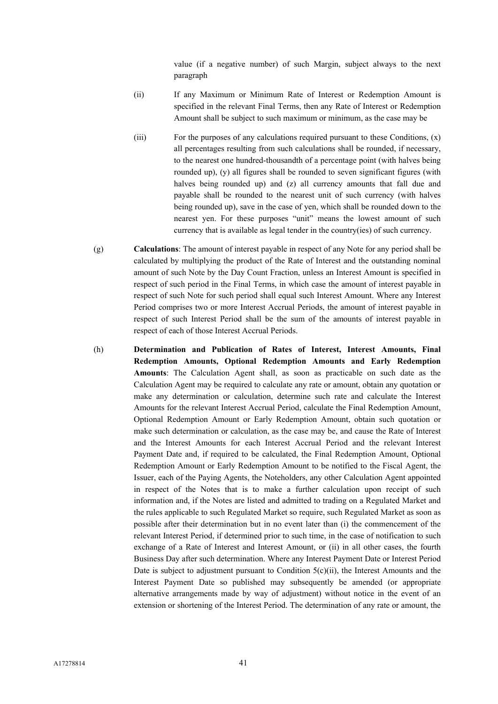value (if a negative number) of such Margin, subject always to the next paragraph

- (ii) If any Maximum or Minimum Rate of Interest or Redemption Amount is specified in the relevant Final Terms, then any Rate of Interest or Redemption Amount shall be subject to such maximum or minimum, as the case may be
- (iii) For the purposes of any calculations required pursuant to these Conditions, (x) all percentages resulting from such calculations shall be rounded, if necessary, to the nearest one hundred-thousandth of a percentage point (with halves being rounded up), (y) all figures shall be rounded to seven significant figures (with halves being rounded up) and (z) all currency amounts that fall due and payable shall be rounded to the nearest unit of such currency (with halves being rounded up), save in the case of yen, which shall be rounded down to the nearest yen. For these purposes "unit" means the lowest amount of such currency that is available as legal tender in the country(ies) of such currency.
- (g) **Calculations**: The amount of interest payable in respect of any Note for any period shall be calculated by multiplying the product of the Rate of Interest and the outstanding nominal amount of such Note by the Day Count Fraction, unless an Interest Amount is specified in respect of such period in the Final Terms, in which case the amount of interest payable in respect of such Note for such period shall equal such Interest Amount. Where any Interest Period comprises two or more Interest Accrual Periods, the amount of interest payable in respect of such Interest Period shall be the sum of the amounts of interest payable in respect of each of those Interest Accrual Periods.
- (h) **Determination and Publication of Rates of Interest, Interest Amounts, Final Redemption Amounts, Optional Redemption Amounts and Early Redemption Amounts**: The Calculation Agent shall, as soon as practicable on such date as the Calculation Agent may be required to calculate any rate or amount, obtain any quotation or make any determination or calculation, determine such rate and calculate the Interest Amounts for the relevant Interest Accrual Period, calculate the Final Redemption Amount, Optional Redemption Amount or Early Redemption Amount, obtain such quotation or make such determination or calculation, as the case may be, and cause the Rate of Interest and the Interest Amounts for each Interest Accrual Period and the relevant Interest Payment Date and, if required to be calculated, the Final Redemption Amount, Optional Redemption Amount or Early Redemption Amount to be notified to the Fiscal Agent, the Issuer, each of the Paying Agents, the Noteholders, any other Calculation Agent appointed in respect of the Notes that is to make a further calculation upon receipt of such information and, if the Notes are listed and admitted to trading on a Regulated Market and the rules applicable to such Regulated Market so require, such Regulated Market as soon as possible after their determination but in no event later than (i) the commencement of the relevant Interest Period, if determined prior to such time, in the case of notification to such exchange of a Rate of Interest and Interest Amount, or (ii) in all other cases, the fourth Business Day after such determination. Where any Interest Payment Date or Interest Period Date is subject to adjustment pursuant to Condition  $5(c)(ii)$ , the Interest Amounts and the Interest Payment Date so published may subsequently be amended (or appropriate alternative arrangements made by way of adjustment) without notice in the event of an extension or shortening of the Interest Period. The determination of any rate or amount, the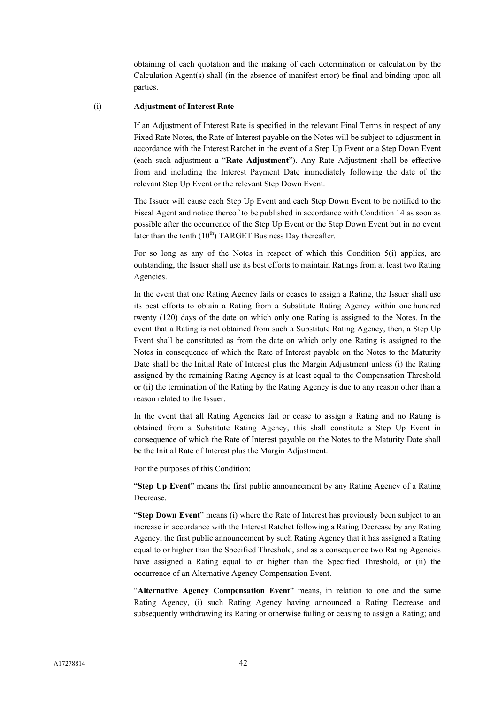obtaining of each quotation and the making of each determination or calculation by the Calculation Agent(s) shall (in the absence of manifest error) be final and binding upon all parties.

## (i) **Adjustment of Interest Rate**

If an Adjustment of Interest Rate is specified in the relevant Final Terms in respect of any Fixed Rate Notes, the Rate of Interest payable on the Notes will be subject to adjustment in accordance with the Interest Ratchet in the event of a Step Up Event or a Step Down Event (each such adjustment a "**Rate Adjustment**"). Any Rate Adjustment shall be effective from and including the Interest Payment Date immediately following the date of the relevant Step Up Event or the relevant Step Down Event.

The Issuer will cause each Step Up Event and each Step Down Event to be notified to the Fiscal Agent and notice thereof to be published in accordance with Condition 14 as soon as possible after the occurrence of the Step Up Event or the Step Down Event but in no event later than the tenth  $(10<sup>th</sup>)$  TARGET Business Day thereafter.

For so long as any of the Notes in respect of which this Condition 5(i) applies, are outstanding, the Issuer shall use its best efforts to maintain Ratings from at least two Rating Agencies.

In the event that one Rating Agency fails or ceases to assign a Rating, the Issuer shall use its best efforts to obtain a Rating from a Substitute Rating Agency within one hundred twenty (120) days of the date on which only one Rating is assigned to the Notes. In the event that a Rating is not obtained from such a Substitute Rating Agency, then, a Step Up Event shall be constituted as from the date on which only one Rating is assigned to the Notes in consequence of which the Rate of Interest payable on the Notes to the Maturity Date shall be the Initial Rate of Interest plus the Margin Adjustment unless (i) the Rating assigned by the remaining Rating Agency is at least equal to the Compensation Threshold or (ii) the termination of the Rating by the Rating Agency is due to any reason other than a reason related to the Issuer.

In the event that all Rating Agencies fail or cease to assign a Rating and no Rating is obtained from a Substitute Rating Agency, this shall constitute a Step Up Event in consequence of which the Rate of Interest payable on the Notes to the Maturity Date shall be the Initial Rate of Interest plus the Margin Adjustment.

For the purposes of this Condition:

"**Step Up Event**" means the first public announcement by any Rating Agency of a Rating Decrease.

"**Step Down Event**" means (i) where the Rate of Interest has previously been subject to an increase in accordance with the Interest Ratchet following a Rating Decrease by any Rating Agency, the first public announcement by such Rating Agency that it has assigned a Rating equal to or higher than the Specified Threshold, and as a consequence two Rating Agencies have assigned a Rating equal to or higher than the Specified Threshold, or (ii) the occurrence of an Alternative Agency Compensation Event.

"**Alternative Agency Compensation Event**" means, in relation to one and the same Rating Agency, (i) such Rating Agency having announced a Rating Decrease and subsequently withdrawing its Rating or otherwise failing or ceasing to assign a Rating; and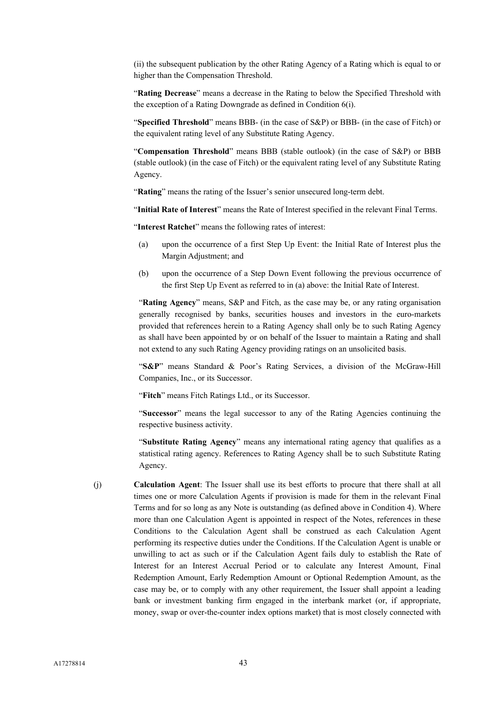(ii) the subsequent publication by the other Rating Agency of a Rating which is equal to or higher than the Compensation Threshold.

"**Rating Decrease**" means a decrease in the Rating to below the Specified Threshold with the exception of a Rating Downgrade as defined in Condition 6(i).

"**Specified Threshold**" means BBB- (in the case of S&P) or BBB- (in the case of Fitch) or the equivalent rating level of any Substitute Rating Agency.

"**Compensation Threshold**" means BBB (stable outlook) (in the case of S&P) or BBB (stable outlook) (in the case of Fitch) or the equivalent rating level of any Substitute Rating Agency.

"**Rating**" means the rating of the Issuer's senior unsecured long-term debt.

"**Initial Rate of Interest**" means the Rate of Interest specified in the relevant Final Terms.

"**Interest Ratchet**" means the following rates of interest:

- (a) upon the occurrence of a first Step Up Event: the Initial Rate of Interest plus the Margin Adjustment; and
- (b) upon the occurrence of a Step Down Event following the previous occurrence of the first Step Up Event as referred to in (a) above: the Initial Rate of Interest.

"**Rating Agency**" means, S&P and Fitch, as the case may be, or any rating organisation generally recognised by banks, securities houses and investors in the euro-markets provided that references herein to a Rating Agency shall only be to such Rating Agency as shall have been appointed by or on behalf of the Issuer to maintain a Rating and shall not extend to any such Rating Agency providing ratings on an unsolicited basis.

"**S&P**" means Standard & Poor's Rating Services, a division of the McGraw-Hill Companies, Inc., or its Successor.

"**Fitch**" means Fitch Ratings Ltd., or its Successor.

"**Successor**" means the legal successor to any of the Rating Agencies continuing the respective business activity.

"**Substitute Rating Agency**" means any international rating agency that qualifies as a statistical rating agency. References to Rating Agency shall be to such Substitute Rating Agency.

(j) **Calculation Agent**: The Issuer shall use its best efforts to procure that there shall at all times one or more Calculation Agents if provision is made for them in the relevant Final Terms and for so long as any Note is outstanding (as defined above in Condition 4). Where more than one Calculation Agent is appointed in respect of the Notes, references in these Conditions to the Calculation Agent shall be construed as each Calculation Agent performing its respective duties under the Conditions. If the Calculation Agent is unable or unwilling to act as such or if the Calculation Agent fails duly to establish the Rate of Interest for an Interest Accrual Period or to calculate any Interest Amount, Final Redemption Amount, Early Redemption Amount or Optional Redemption Amount, as the case may be, or to comply with any other requirement, the Issuer shall appoint a leading bank or investment banking firm engaged in the interbank market (or, if appropriate, money, swap or over-the-counter index options market) that is most closely connected with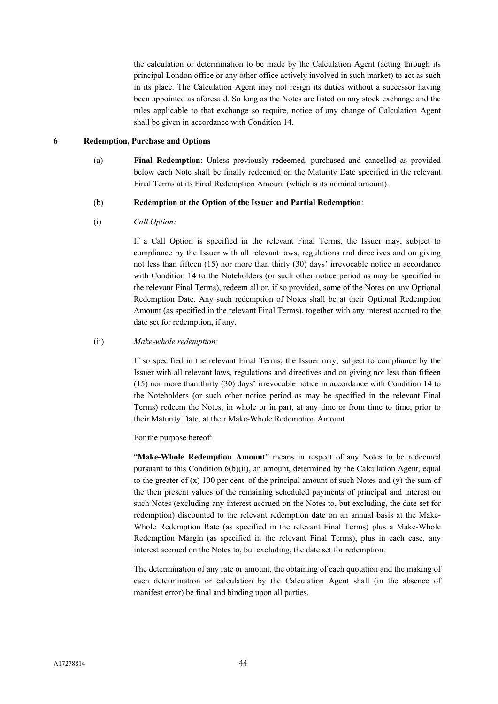the calculation or determination to be made by the Calculation Agent (acting through its principal London office or any other office actively involved in such market) to act as such in its place. The Calculation Agent may not resign its duties without a successor having been appointed as aforesaid. So long as the Notes are listed on any stock exchange and the rules applicable to that exchange so require, notice of any change of Calculation Agent shall be given in accordance with Condition 14.

#### **6 Redemption, Purchase and Options**

(a) **Final Redemption**: Unless previously redeemed, purchased and cancelled as provided below each Note shall be finally redeemed on the Maturity Date specified in the relevant Final Terms at its Final Redemption Amount (which is its nominal amount).

#### (b) **Redemption at the Option of the Issuer and Partial Redemption**:

(i) *Call Option:*

If a Call Option is specified in the relevant Final Terms, the Issuer may, subject to compliance by the Issuer with all relevant laws, regulations and directives and on giving not less than fifteen (15) nor more than thirty (30) days' irrevocable notice in accordance with Condition 14 to the Noteholders (or such other notice period as may be specified in the relevant Final Terms), redeem all or, if so provided, some of the Notes on any Optional Redemption Date. Any such redemption of Notes shall be at their Optional Redemption Amount (as specified in the relevant Final Terms), together with any interest accrued to the date set for redemption, if any.

#### (ii) *Make-whole redemption:*

If so specified in the relevant Final Terms, the Issuer may, subject to compliance by the Issuer with all relevant laws, regulations and directives and on giving not less than fifteen (15) nor more than thirty (30) days' irrevocable notice in accordance with Condition 14 to the Noteholders (or such other notice period as may be specified in the relevant Final Terms) redeem the Notes, in whole or in part, at any time or from time to time, prior to their Maturity Date, at their Make-Whole Redemption Amount.

For the purpose hereof:

"**Make-Whole Redemption Amount**" means in respect of any Notes to be redeemed pursuant to this Condition 6(b)(ii), an amount, determined by the Calculation Agent, equal to the greater of  $(x)$  100 per cent. of the principal amount of such Notes and  $(y)$  the sum of the then present values of the remaining scheduled payments of principal and interest on such Notes (excluding any interest accrued on the Notes to, but excluding, the date set for redemption) discounted to the relevant redemption date on an annual basis at the Make-Whole Redemption Rate (as specified in the relevant Final Terms) plus a Make-Whole Redemption Margin (as specified in the relevant Final Terms), plus in each case, any interest accrued on the Notes to, but excluding, the date set for redemption.

The determination of any rate or amount, the obtaining of each quotation and the making of each determination or calculation by the Calculation Agent shall (in the absence of manifest error) be final and binding upon all parties.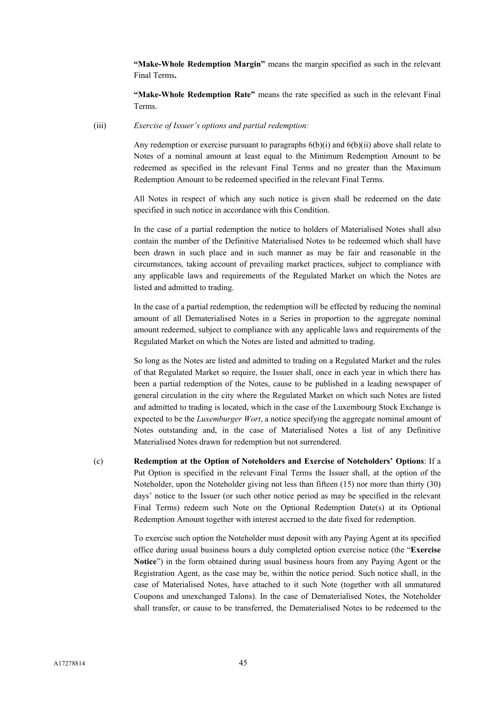**"Make-Whole Redemption Margin"** means the margin specified as such in the relevant Final Terms**.**

**"Make-Whole Redemption Rate"** means the rate specified as such in the relevant Final Terms.

(iii) *Exercise of Issuer's options and partial redemption:*

Any redemption or exercise pursuant to paragraphs  $6(b)(i)$  and  $6(b)(ii)$  above shall relate to Notes of a nominal amount at least equal to the Minimum Redemption Amount to be redeemed as specified in the relevant Final Terms and no greater than the Maximum Redemption Amount to be redeemed specified in the relevant Final Terms.

All Notes in respect of which any such notice is given shall be redeemed on the date specified in such notice in accordance with this Condition.

In the case of a partial redemption the notice to holders of Materialised Notes shall also contain the number of the Definitive Materialised Notes to be redeemed which shall have been drawn in such place and in such manner as may be fair and reasonable in the circumstances, taking account of prevailing market practices, subject to compliance with any applicable laws and requirements of the Regulated Market on which the Notes are listed and admitted to trading.

In the case of a partial redemption, the redemption will be effected by reducing the nominal amount of all Dematerialised Notes in a Series in proportion to the aggregate nominal amount redeemed, subject to compliance with any applicable laws and requirements of the Regulated Market on which the Notes are listed and admitted to trading.

So long as the Notes are listed and admitted to trading on a Regulated Market and the rules of that Regulated Market so require, the Issuer shall, once in each year in which there has been a partial redemption of the Notes, cause to be published in a leading newspaper of general circulation in the city where the Regulated Market on which such Notes are listed and admitted to trading is located, which in the case of the Luxembourg Stock Exchange is expected to be the *Luxemburger Wort*, a notice specifying the aggregate nominal amount of Notes outstanding and, in the case of Materialised Notes a list of any Definitive Materialised Notes drawn for redemption but not surrendered.

(c) **Redemption at the Option of Noteholders and Exercise of Noteholders' Options**: If a Put Option is specified in the relevant Final Terms the Issuer shall, at the option of the Noteholder, upon the Noteholder giving not less than fifteen (15) nor more than thirty (30) days' notice to the Issuer (or such other notice period as may be specified in the relevant Final Terms) redeem such Note on the Optional Redemption Date(s) at its Optional Redemption Amount together with interest accrued to the date fixed for redemption.

> To exercise such option the Noteholder must deposit with any Paying Agent at its specified office during usual business hours a duly completed option exercise notice (the "**Exercise Notice**") in the form obtained during usual business hours from any Paying Agent or the Registration Agent, as the case may be, within the notice period. Such notice shall, in the case of Materialised Notes, have attached to it such Note (together with all unmatured Coupons and unexchanged Talons). In the case of Dematerialised Notes, the Noteholder shall transfer, or cause to be transferred, the Dematerialised Notes to be redeemed to the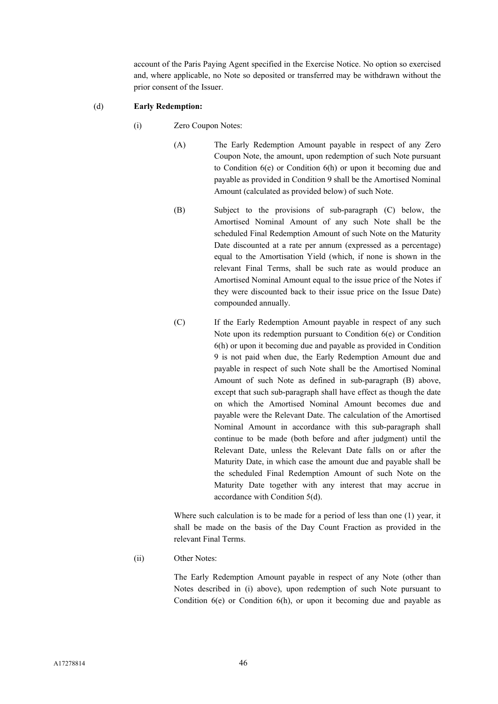account of the Paris Paying Agent specified in the Exercise Notice. No option so exercised and, where applicable, no Note so deposited or transferred may be withdrawn without the prior consent of the Issuer.

#### (d) **Early Redemption:**

- (i) Zero Coupon Notes:
	- (A) The Early Redemption Amount payable in respect of any Zero Coupon Note, the amount, upon redemption of such Note pursuant to Condition 6(e) or Condition 6(h) or upon it becoming due and payable as provided in Condition 9 shall be the Amortised Nominal Amount (calculated as provided below) of such Note.
	- (B) Subject to the provisions of sub-paragraph (C) below, the Amortised Nominal Amount of any such Note shall be the scheduled Final Redemption Amount of such Note on the Maturity Date discounted at a rate per annum (expressed as a percentage) equal to the Amortisation Yield (which, if none is shown in the relevant Final Terms, shall be such rate as would produce an Amortised Nominal Amount equal to the issue price of the Notes if they were discounted back to their issue price on the Issue Date) compounded annually.
	- (C) If the Early Redemption Amount payable in respect of any such Note upon its redemption pursuant to Condition 6(e) or Condition 6(h) or upon it becoming due and payable as provided in Condition 9 is not paid when due, the Early Redemption Amount due and payable in respect of such Note shall be the Amortised Nominal Amount of such Note as defined in sub-paragraph (B) above, except that such sub-paragraph shall have effect as though the date on which the Amortised Nominal Amount becomes due and payable were the Relevant Date. The calculation of the Amortised Nominal Amount in accordance with this sub-paragraph shall continue to be made (both before and after judgment) until the Relevant Date, unless the Relevant Date falls on or after the Maturity Date, in which case the amount due and payable shall be the scheduled Final Redemption Amount of such Note on the Maturity Date together with any interest that may accrue in accordance with Condition 5(d).

Where such calculation is to be made for a period of less than one (1) year, it shall be made on the basis of the Day Count Fraction as provided in the relevant Final Terms.

(ii) Other Notes:

The Early Redemption Amount payable in respect of any Note (other than Notes described in (i) above), upon redemption of such Note pursuant to Condition 6(e) or Condition 6(h), or upon it becoming due and payable as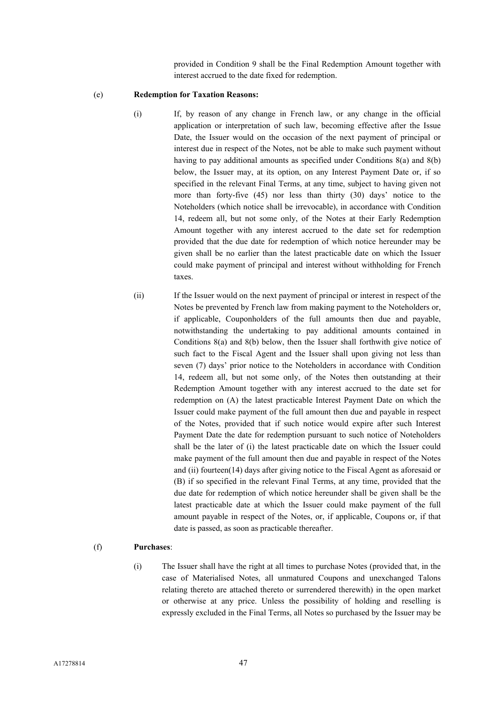provided in Condition 9 shall be the Final Redemption Amount together with interest accrued to the date fixed for redemption.

#### (e) **Redemption for Taxation Reasons:**

- (i) If, by reason of any change in French law, or any change in the official application or interpretation of such law, becoming effective after the Issue Date, the Issuer would on the occasion of the next payment of principal or interest due in respect of the Notes, not be able to make such payment without having to pay additional amounts as specified under Conditions 8(a) and 8(b) below, the Issuer may, at its option, on any Interest Payment Date or, if so specified in the relevant Final Terms, at any time, subject to having given not more than forty-five (45) nor less than thirty (30) days' notice to the Noteholders (which notice shall be irrevocable), in accordance with Condition 14, redeem all, but not some only, of the Notes at their Early Redemption Amount together with any interest accrued to the date set for redemption provided that the due date for redemption of which notice hereunder may be given shall be no earlier than the latest practicable date on which the Issuer could make payment of principal and interest without withholding for French taxes.
- (ii) If the Issuer would on the next payment of principal or interest in respect of the Notes be prevented by French law from making payment to the Noteholders or, if applicable, Couponholders of the full amounts then due and payable, notwithstanding the undertaking to pay additional amounts contained in Conditions 8(a) and 8(b) below, then the Issuer shall forthwith give notice of such fact to the Fiscal Agent and the Issuer shall upon giving not less than seven (7) days' prior notice to the Noteholders in accordance with Condition 14, redeem all, but not some only, of the Notes then outstanding at their Redemption Amount together with any interest accrued to the date set for redemption on (A) the latest practicable Interest Payment Date on which the Issuer could make payment of the full amount then due and payable in respect of the Notes, provided that if such notice would expire after such Interest Payment Date the date for redemption pursuant to such notice of Noteholders shall be the later of (i) the latest practicable date on which the Issuer could make payment of the full amount then due and payable in respect of the Notes and (ii) fourteen(14) days after giving notice to the Fiscal Agent as aforesaid or (B) if so specified in the relevant Final Terms, at any time, provided that the due date for redemption of which notice hereunder shall be given shall be the latest practicable date at which the Issuer could make payment of the full amount payable in respect of the Notes, or, if applicable, Coupons or, if that date is passed, as soon as practicable thereafter.

### (f) **Purchases**:

(i) The Issuer shall have the right at all times to purchase Notes (provided that, in the case of Materialised Notes, all unmatured Coupons and unexchanged Talons relating thereto are attached thereto or surrendered therewith) in the open market or otherwise at any price. Unless the possibility of holding and reselling is expressly excluded in the Final Terms, all Notes so purchased by the Issuer may be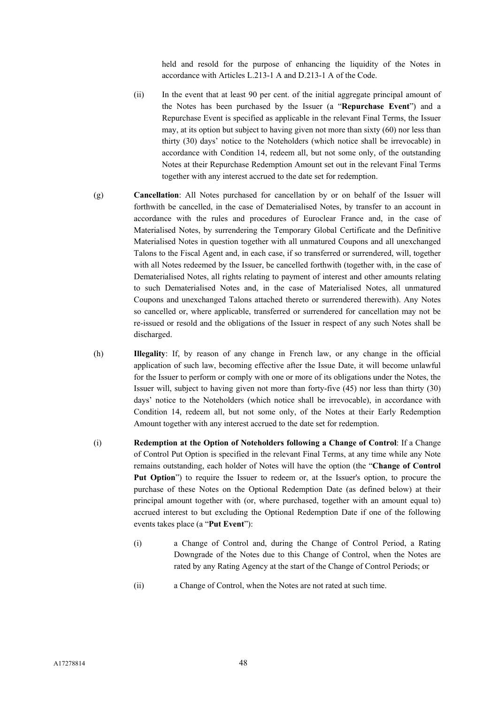held and resold for the purpose of enhancing the liquidity of the Notes in accordance with Articles L.213-1 A and D.213-1 A of the Code.

- (ii) In the event that at least 90 per cent. of the initial aggregate principal amount of the Notes has been purchased by the Issuer (a "**Repurchase Event**") and a Repurchase Event is specified as applicable in the relevant Final Terms, the Issuer may, at its option but subject to having given not more than sixty (60) nor less than thirty (30) days' notice to the Noteholders (which notice shall be irrevocable) in accordance with Condition 14, redeem all, but not some only, of the outstanding Notes at their Repurchase Redemption Amount set out in the relevant Final Terms together with any interest accrued to the date set for redemption.
- (g) **Cancellation**: All Notes purchased for cancellation by or on behalf of the Issuer will forthwith be cancelled, in the case of Dematerialised Notes, by transfer to an account in accordance with the rules and procedures of Euroclear France and, in the case of Materialised Notes, by surrendering the Temporary Global Certificate and the Definitive Materialised Notes in question together with all unmatured Coupons and all unexchanged Talons to the Fiscal Agent and, in each case, if so transferred or surrendered, will, together with all Notes redeemed by the Issuer, be cancelled forthwith (together with, in the case of Dematerialised Notes, all rights relating to payment of interest and other amounts relating to such Dematerialised Notes and, in the case of Materialised Notes, all unmatured Coupons and unexchanged Talons attached thereto or surrendered therewith). Any Notes so cancelled or, where applicable, transferred or surrendered for cancellation may not be re-issued or resold and the obligations of the Issuer in respect of any such Notes shall be discharged.
- (h) **Illegality**: If, by reason of any change in French law, or any change in the official application of such law, becoming effective after the Issue Date, it will become unlawful for the Issuer to perform or comply with one or more of its obligations under the Notes, the Issuer will, subject to having given not more than forty-five (45) nor less than thirty (30) days' notice to the Noteholders (which notice shall be irrevocable), in accordance with Condition 14, redeem all, but not some only, of the Notes at their Early Redemption Amount together with any interest accrued to the date set for redemption.
- (i) **Redemption at the Option of Noteholders following a Change of Control**: If a Change of Control Put Option is specified in the relevant Final Terms, at any time while any Note remains outstanding, each holder of Notes will have the option (the "**Change of Control Put Option**") to require the Issuer to redeem or, at the Issuer's option, to procure the purchase of these Notes on the Optional Redemption Date (as defined below) at their principal amount together with (or, where purchased, together with an amount equal to) accrued interest to but excluding the Optional Redemption Date if one of the following events takes place (a "**Put Event**"):
	- (i) a Change of Control and, during the Change of Control Period, a Rating Downgrade of the Notes due to this Change of Control, when the Notes are rated by any Rating Agency at the start of the Change of Control Periods; or
	- (ii) a Change of Control, when the Notes are not rated at such time.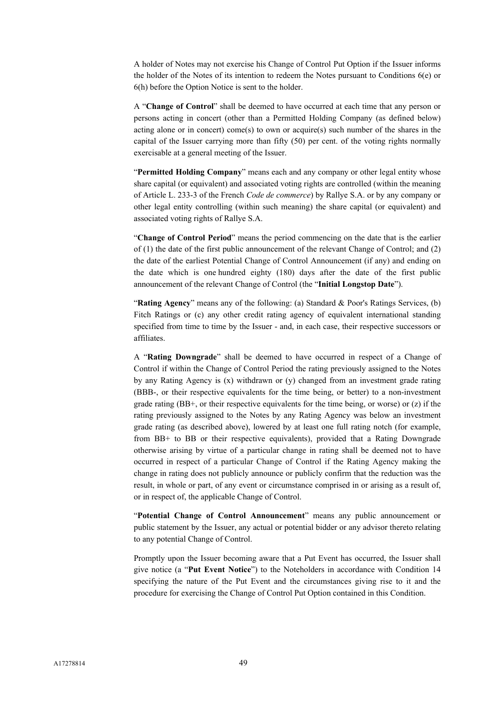A holder of Notes may not exercise his Change of Control Put Option if the Issuer informs the holder of the Notes of its intention to redeem the Notes pursuant to Conditions 6(e) or 6(h) before the Option Notice is sent to the holder.

A "**Change of Control**" shall be deemed to have occurred at each time that any person or persons acting in concert (other than a Permitted Holding Company (as defined below) acting alone or in concert) come(s) to own or acquire(s) such number of the shares in the capital of the Issuer carrying more than fifty (50) per cent. of the voting rights normally exercisable at a general meeting of the Issuer.

"**Permitted Holding Company**" means each and any company or other legal entity whose share capital (or equivalent) and associated voting rights are controlled (within the meaning of Article L. 233-3 of the French *Code de commerce*) by Rallye S.A. or by any company or other legal entity controlling (within such meaning) the share capital (or equivalent) and associated voting rights of Rallye S.A.

"**Change of Control Period**" means the period commencing on the date that is the earlier of (1) the date of the first public announcement of the relevant Change of Control; and (2) the date of the earliest Potential Change of Control Announcement (if any) and ending on the date which is one hundred eighty (180) days after the date of the first public announcement of the relevant Change of Control (the "**Initial Longstop Date**").

"**Rating Agency**" means any of the following: (a) Standard & Poor's Ratings Services, (b) Fitch Ratings or (c) any other credit rating agency of equivalent international standing specified from time to time by the Issuer - and, in each case, their respective successors or affiliates.

A "**Rating Downgrade**" shall be deemed to have occurred in respect of a Change of Control if within the Change of Control Period the rating previously assigned to the Notes by any Rating Agency is (x) withdrawn or (y) changed from an investment grade rating (BBB-, or their respective equivalents for the time being, or better) to a non-investment grade rating  $(BB<sup>+</sup>)$ , or their respective equivalents for the time being, or worse) or (z) if the rating previously assigned to the Notes by any Rating Agency was below an investment grade rating (as described above), lowered by at least one full rating notch (for example, from BB+ to BB or their respective equivalents), provided that a Rating Downgrade otherwise arising by virtue of a particular change in rating shall be deemed not to have occurred in respect of a particular Change of Control if the Rating Agency making the change in rating does not publicly announce or publicly confirm that the reduction was the result, in whole or part, of any event or circumstance comprised in or arising as a result of, or in respect of, the applicable Change of Control.

"**Potential Change of Control Announcement**" means any public announcement or public statement by the Issuer, any actual or potential bidder or any advisor thereto relating to any potential Change of Control.

Promptly upon the Issuer becoming aware that a Put Event has occurred, the Issuer shall give notice (a "**Put Event Notice**") to the Noteholders in accordance with Condition 14 specifying the nature of the Put Event and the circumstances giving rise to it and the procedure for exercising the Change of Control Put Option contained in this Condition.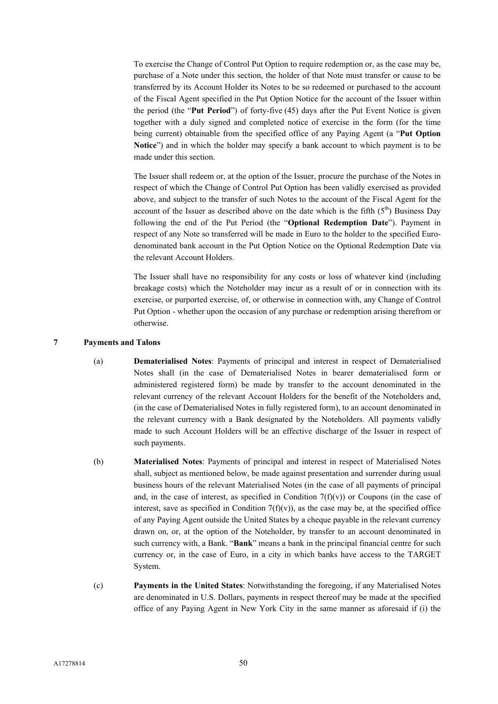To exercise the Change of Control Put Option to require redemption or, as the case may be, purchase of a Note under this section, the holder of that Note must transfer or cause to be transferred by its Account Holder its Notes to be so redeemed or purchased to the account of the Fiscal Agent specified in the Put Option Notice for the account of the Issuer within the period (the "**Put Period**") of forty-five (45) days after the Put Event Notice is given together with a duly signed and completed notice of exercise in the form (for the time being current) obtainable from the specified office of any Paying Agent (a "**Put Option Notice**") and in which the holder may specify a bank account to which payment is to be made under this section.

The Issuer shall redeem or, at the option of the Issuer, procure the purchase of the Notes in respect of which the Change of Control Put Option has been validly exercised as provided above, and subject to the transfer of such Notes to the account of the Fiscal Agent for the account of the Issuer as described above on the date which is the fifth  $(5<sup>th</sup>)$  Business Day following the end of the Put Period (the "**Optional Redemption Date**"). Payment in respect of any Note so transferred will be made in Euro to the holder to the specified Eurodenominated bank account in the Put Option Notice on the Optional Redemption Date via the relevant Account Holders.

The Issuer shall have no responsibility for any costs or loss of whatever kind (including breakage costs) which the Noteholder may incur as a result of or in connection with its exercise, or purported exercise, of, or otherwise in connection with, any Change of Control Put Option - whether upon the occasion of any purchase or redemption arising therefrom or otherwise.

## **7 Payments and Talons**

- (a) **Dematerialised Notes**: Payments of principal and interest in respect of Dematerialised Notes shall (in the case of Dematerialised Notes in bearer dematerialised form or administered registered form) be made by transfer to the account denominated in the relevant currency of the relevant Account Holders for the benefit of the Noteholders and, (in the case of Dematerialised Notes in fully registered form), to an account denominated in the relevant currency with a Bank designated by the Noteholders. All payments validly made to such Account Holders will be an effective discharge of the Issuer in respect of such payments.
- (b) **Materialised Notes**: Payments of principal and interest in respect of Materialised Notes shall, subject as mentioned below, be made against presentation and surrender during usual business hours of the relevant Materialised Notes (in the case of all payments of principal and, in the case of interest, as specified in Condition  $7(f)(v)$ ) or Coupons (in the case of interest, save as specified in Condition  $7(f)(v)$ ), as the case may be, at the specified office of any Paying Agent outside the United States by a cheque payable in the relevant currency drawn on, or, at the option of the Noteholder, by transfer to an account denominated in such currency with, a Bank. "**Bank**" means a bank in the principal financial centre for such currency or, in the case of Euro, in a city in which banks have access to the TARGET System.
- (c) **Payments in the United States**: Notwithstanding the foregoing, if any Materialised Notes are denominated in U.S. Dollars, payments in respect thereof may be made at the specified office of any Paying Agent in New York City in the same manner as aforesaid if (i) the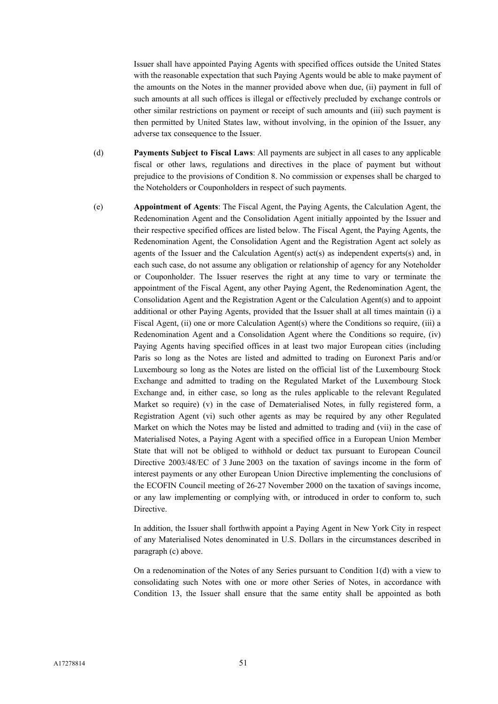Issuer shall have appointed Paying Agents with specified offices outside the United States with the reasonable expectation that such Paying Agents would be able to make payment of the amounts on the Notes in the manner provided above when due, (ii) payment in full of such amounts at all such offices is illegal or effectively precluded by exchange controls or other similar restrictions on payment or receipt of such amounts and (iii) such payment is then permitted by United States law, without involving, in the opinion of the Issuer, any adverse tax consequence to the Issuer.

- (d) **Payments Subject to Fiscal Laws**: All payments are subject in all cases to any applicable fiscal or other laws, regulations and directives in the place of payment but without prejudice to the provisions of Condition 8. No commission or expenses shall be charged to the Noteholders or Couponholders in respect of such payments.
- (e) **Appointment of Agents**: The Fiscal Agent, the Paying Agents, the Calculation Agent, the Redenomination Agent and the Consolidation Agent initially appointed by the Issuer and their respective specified offices are listed below. The Fiscal Agent, the Paying Agents, the Redenomination Agent, the Consolidation Agent and the Registration Agent act solely as agents of the Issuer and the Calculation Agent(s) act(s) as independent experts(s) and, in each such case, do not assume any obligation or relationship of agency for any Noteholder or Couponholder. The Issuer reserves the right at any time to vary or terminate the appointment of the Fiscal Agent, any other Paying Agent, the Redenomination Agent, the Consolidation Agent and the Registration Agent or the Calculation Agent(s) and to appoint additional or other Paying Agents, provided that the Issuer shall at all times maintain (i) a Fiscal Agent, (ii) one or more Calculation Agent(s) where the Conditions so require, (iii) a Redenomination Agent and a Consolidation Agent where the Conditions so require, (iv) Paying Agents having specified offices in at least two major European cities (including Paris so long as the Notes are listed and admitted to trading on Euronext Paris and/or Luxembourg so long as the Notes are listed on the official list of the Luxembourg Stock Exchange and admitted to trading on the Regulated Market of the Luxembourg Stock Exchange and, in either case, so long as the rules applicable to the relevant Regulated Market so require) (v) in the case of Dematerialised Notes, in fully registered form, a Registration Agent (vi) such other agents as may be required by any other Regulated Market on which the Notes may be listed and admitted to trading and (vii) in the case of Materialised Notes, a Paying Agent with a specified office in a European Union Member State that will not be obliged to withhold or deduct tax pursuant to European Council Directive 2003/48/EC of 3 June 2003 on the taxation of savings income in the form of interest payments or any other European Union Directive implementing the conclusions of the ECOFIN Council meeting of 26-27 November 2000 on the taxation of savings income, or any law implementing or complying with, or introduced in order to conform to, such Directive.

In addition, the Issuer shall forthwith appoint a Paying Agent in New York City in respect of any Materialised Notes denominated in U.S. Dollars in the circumstances described in paragraph (c) above.

On a redenomination of the Notes of any Series pursuant to Condition 1(d) with a view to consolidating such Notes with one or more other Series of Notes, in accordance with Condition 13, the Issuer shall ensure that the same entity shall be appointed as both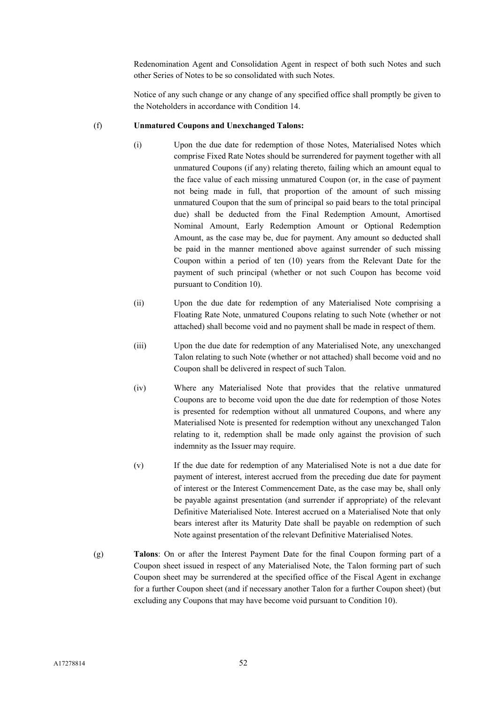Redenomination Agent and Consolidation Agent in respect of both such Notes and such other Series of Notes to be so consolidated with such Notes.

Notice of any such change or any change of any specified office shall promptly be given to the Noteholders in accordance with Condition 14.

### (f) **Unmatured Coupons and Unexchanged Talons:**

- (i) Upon the due date for redemption of those Notes, Materialised Notes which comprise Fixed Rate Notes should be surrendered for payment together with all unmatured Coupons (if any) relating thereto, failing which an amount equal to the face value of each missing unmatured Coupon (or, in the case of payment not being made in full, that proportion of the amount of such missing unmatured Coupon that the sum of principal so paid bears to the total principal due) shall be deducted from the Final Redemption Amount, Amortised Nominal Amount, Early Redemption Amount or Optional Redemption Amount, as the case may be, due for payment. Any amount so deducted shall be paid in the manner mentioned above against surrender of such missing Coupon within a period of ten (10) years from the Relevant Date for the payment of such principal (whether or not such Coupon has become void pursuant to Condition 10).
- (ii) Upon the due date for redemption of any Materialised Note comprising a Floating Rate Note, unmatured Coupons relating to such Note (whether or not attached) shall become void and no payment shall be made in respect of them.
- (iii) Upon the due date for redemption of any Materialised Note, any unexchanged Talon relating to such Note (whether or not attached) shall become void and no Coupon shall be delivered in respect of such Talon.
- (iv) Where any Materialised Note that provides that the relative unmatured Coupons are to become void upon the due date for redemption of those Notes is presented for redemption without all unmatured Coupons, and where any Materialised Note is presented for redemption without any unexchanged Talon relating to it, redemption shall be made only against the provision of such indemnity as the Issuer may require.
- (v) If the due date for redemption of any Materialised Note is not a due date for payment of interest, interest accrued from the preceding due date for payment of interest or the Interest Commencement Date, as the case may be, shall only be payable against presentation (and surrender if appropriate) of the relevant Definitive Materialised Note. Interest accrued on a Materialised Note that only bears interest after its Maturity Date shall be payable on redemption of such Note against presentation of the relevant Definitive Materialised Notes.
- (g) **Talons**: On or after the Interest Payment Date for the final Coupon forming part of a Coupon sheet issued in respect of any Materialised Note, the Talon forming part of such Coupon sheet may be surrendered at the specified office of the Fiscal Agent in exchange for a further Coupon sheet (and if necessary another Talon for a further Coupon sheet) (but excluding any Coupons that may have become void pursuant to Condition 10).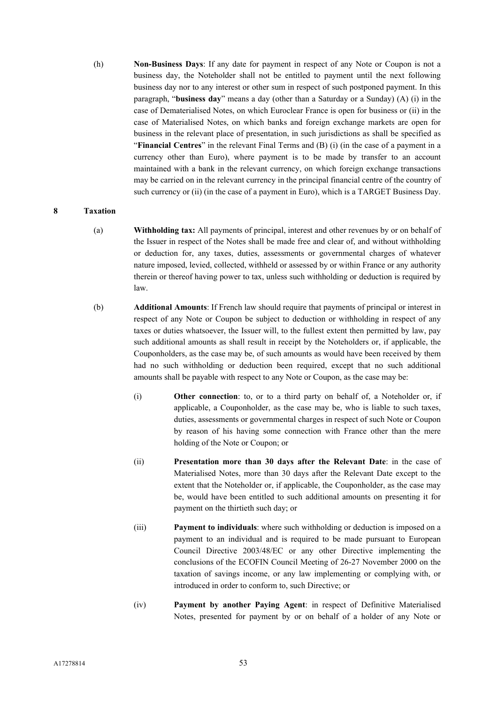(h) **Non-Business Days**: If any date for payment in respect of any Note or Coupon is not a business day, the Noteholder shall not be entitled to payment until the next following business day nor to any interest or other sum in respect of such postponed payment. In this paragraph, "**business day**" means a day (other than a Saturday or a Sunday) (A) (i) in the case of Dematerialised Notes, on which Euroclear France is open for business or (ii) in the case of Materialised Notes, on which banks and foreign exchange markets are open for business in the relevant place of presentation, in such jurisdictions as shall be specified as "**Financial Centres**" in the relevant Final Terms and (B) (i) (in the case of a payment in a currency other than Euro), where payment is to be made by transfer to an account maintained with a bank in the relevant currency, on which foreign exchange transactions may be carried on in the relevant currency in the principal financial centre of the country of such currency or (ii) (in the case of a payment in Euro), which is a TARGET Business Day.

## **8 Taxation**

- (a) **Withholding tax:** All payments of principal, interest and other revenues by or on behalf of the Issuer in respect of the Notes shall be made free and clear of, and without withholding or deduction for, any taxes, duties, assessments or governmental charges of whatever nature imposed, levied, collected, withheld or assessed by or within France or any authority therein or thereof having power to tax, unless such withholding or deduction is required by law.
- (b) **Additional Amounts**: If French law should require that payments of principal or interest in respect of any Note or Coupon be subject to deduction or withholding in respect of any taxes or duties whatsoever, the Issuer will, to the fullest extent then permitted by law, pay such additional amounts as shall result in receipt by the Noteholders or, if applicable, the Couponholders, as the case may be, of such amounts as would have been received by them had no such withholding or deduction been required, except that no such additional amounts shall be payable with respect to any Note or Coupon, as the case may be:
	- (i) **Other connection**: to, or to a third party on behalf of, a Noteholder or, if applicable, a Couponholder, as the case may be, who is liable to such taxes, duties, assessments or governmental charges in respect of such Note or Coupon by reason of his having some connection with France other than the mere holding of the Note or Coupon; or
	- (ii) **Presentation more than 30 days after the Relevant Date**: in the case of Materialised Notes, more than 30 days after the Relevant Date except to the extent that the Noteholder or, if applicable, the Couponholder, as the case may be, would have been entitled to such additional amounts on presenting it for payment on the thirtieth such day; or
	- (iii) **Payment to individuals**: where such withholding or deduction is imposed on a payment to an individual and is required to be made pursuant to European Council Directive 2003/48/EC or any other Directive implementing the conclusions of the ECOFIN Council Meeting of 26-27 November 2000 on the taxation of savings income, or any law implementing or complying with, or introduced in order to conform to, such Directive; or
	- (iv) **Payment by another Paying Agent**: in respect of Definitive Materialised Notes, presented for payment by or on behalf of a holder of any Note or

A17278814 53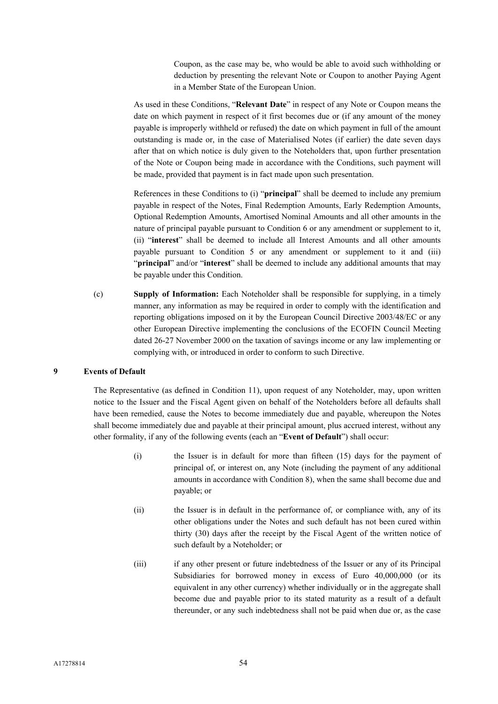Coupon, as the case may be, who would be able to avoid such withholding or deduction by presenting the relevant Note or Coupon to another Paying Agent in a Member State of the European Union.

As used in these Conditions, "**Relevant Date**" in respect of any Note or Coupon means the date on which payment in respect of it first becomes due or (if any amount of the money payable is improperly withheld or refused) the date on which payment in full of the amount outstanding is made or, in the case of Materialised Notes (if earlier) the date seven days after that on which notice is duly given to the Noteholders that, upon further presentation of the Note or Coupon being made in accordance with the Conditions, such payment will be made, provided that payment is in fact made upon such presentation.

References in these Conditions to (i) "**principal**" shall be deemed to include any premium payable in respect of the Notes, Final Redemption Amounts, Early Redemption Amounts, Optional Redemption Amounts, Amortised Nominal Amounts and all other amounts in the nature of principal payable pursuant to Condition 6 or any amendment or supplement to it, (ii) "**interest**" shall be deemed to include all Interest Amounts and all other amounts payable pursuant to Condition 5 or any amendment or supplement to it and (iii) "**principal**" and/or "**interest**" shall be deemed to include any additional amounts that may be payable under this Condition.

(c) **Supply of Information:** Each Noteholder shall be responsible for supplying, in a timely manner, any information as may be required in order to comply with the identification and reporting obligations imposed on it by the European Council Directive 2003/48/EC or any other European Directive implementing the conclusions of the ECOFIN Council Meeting dated 26-27 November 2000 on the taxation of savings income or any law implementing or complying with, or introduced in order to conform to such Directive.

## **9 Events of Default**

The Representative (as defined in Condition 11), upon request of any Noteholder, may, upon written notice to the Issuer and the Fiscal Agent given on behalf of the Noteholders before all defaults shall have been remedied, cause the Notes to become immediately due and payable, whereupon the Notes shall become immediately due and payable at their principal amount, plus accrued interest, without any other formality, if any of the following events (each an "**Event of Default**") shall occur:

- (i) the Issuer is in default for more than fifteen (15) days for the payment of principal of, or interest on, any Note (including the payment of any additional amounts in accordance with Condition 8), when the same shall become due and payable; or
- (ii) the Issuer is in default in the performance of, or compliance with, any of its other obligations under the Notes and such default has not been cured within thirty (30) days after the receipt by the Fiscal Agent of the written notice of such default by a Noteholder; or
- (iii) if any other present or future indebtedness of the Issuer or any of its Principal Subsidiaries for borrowed money in excess of Euro 40,000,000 (or its equivalent in any other currency) whether individually or in the aggregate shall become due and payable prior to its stated maturity as a result of a default thereunder, or any such indebtedness shall not be paid when due or, as the case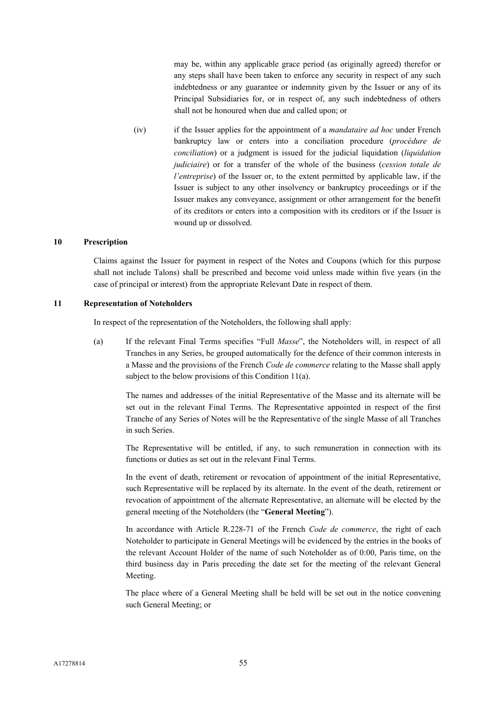may be, within any applicable grace period (as originally agreed) therefor or any steps shall have been taken to enforce any security in respect of any such indebtedness or any guarantee or indemnity given by the Issuer or any of its Principal Subsidiaries for, or in respect of, any such indebtedness of others shall not be honoured when due and called upon; or

(iv) if the Issuer applies for the appointment of a *mandataire ad hoc* under French bankruptcy law or enters into a conciliation procedure (*procédure de conciliation*) or a judgment is issued for the judicial liquidation (*liquidation judiciaire*) or for a transfer of the whole of the business (*cession totale de l'entreprise*) of the Issuer or, to the extent permitted by applicable law, if the Issuer is subject to any other insolvency or bankruptcy proceedings or if the Issuer makes any conveyance, assignment or other arrangement for the benefit of its creditors or enters into a composition with its creditors or if the Issuer is wound up or dissolved.

### **10 Prescription**

Claims against the Issuer for payment in respect of the Notes and Coupons (which for this purpose shall not include Talons) shall be prescribed and become void unless made within five years (in the case of principal or interest) from the appropriate Relevant Date in respect of them.

#### **11 Representation of Noteholders**

In respect of the representation of the Noteholders, the following shall apply:

(a) If the relevant Final Terms specifies "Full *Masse*", the Noteholders will, in respect of all Tranches in any Series, be grouped automatically for the defence of their common interests in a Masse and the provisions of the French *Code de commerce* relating to the Masse shall apply subject to the below provisions of this Condition 11(a).

The names and addresses of the initial Representative of the Masse and its alternate will be set out in the relevant Final Terms. The Representative appointed in respect of the first Tranche of any Series of Notes will be the Representative of the single Masse of all Tranches in such Series.

The Representative will be entitled, if any, to such remuneration in connection with its functions or duties as set out in the relevant Final Terms.

In the event of death, retirement or revocation of appointment of the initial Representative, such Representative will be replaced by its alternate. In the event of the death, retirement or revocation of appointment of the alternate Representative, an alternate will be elected by the general meeting of the Noteholders (the "**General Meeting**").

In accordance with Article R.228-71 of the French *Code de commerce*, the right of each Noteholder to participate in General Meetings will be evidenced by the entries in the books of the relevant Account Holder of the name of such Noteholder as of 0:00, Paris time, on the third business day in Paris preceding the date set for the meeting of the relevant General Meeting.

The place where of a General Meeting shall be held will be set out in the notice convening such General Meeting; or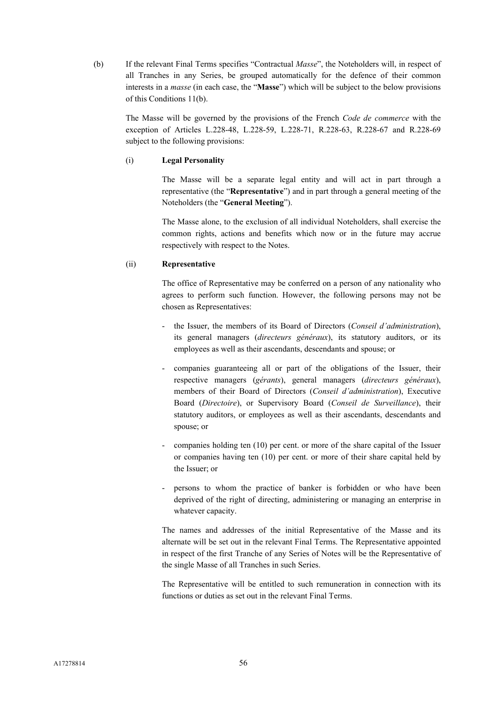(b) If the relevant Final Terms specifies "Contractual *Masse*", the Noteholders will, in respect of all Tranches in any Series, be grouped automatically for the defence of their common interests in a *masse* (in each case, the "**Masse**") which will be subject to the below provisions of this Conditions 11(b).

The Masse will be governed by the provisions of the French *Code de commerce* with the exception of Articles L.228-48, L.228-59, L.228-71, R.228-63, R.228-67 and R.228-69 subject to the following provisions:

## (i) **Legal Personality**

The Masse will be a separate legal entity and will act in part through a representative (the "**Representative**") and in part through a general meeting of the Noteholders (the "**General Meeting**").

The Masse alone, to the exclusion of all individual Noteholders, shall exercise the common rights, actions and benefits which now or in the future may accrue respectively with respect to the Notes.

## (ii) **Representative**

The office of Representative may be conferred on a person of any nationality who agrees to perform such function. However, the following persons may not be chosen as Representatives:

- the Issuer, the members of its Board of Directors (*Conseil d'administration*), its general managers (*directeurs généraux*), its statutory auditors, or its employees as well as their ascendants, descendants and spouse; or
- companies guaranteeing all or part of the obligations of the Issuer, their respective managers (*gérants*), general managers (*directeurs généraux*), members of their Board of Directors (*Conseil d'administration*), Executive Board (*Directoire*), or Supervisory Board (*Conseil de Surveillance*), their statutory auditors, or employees as well as their ascendants, descendants and spouse; or
- companies holding ten (10) per cent. or more of the share capital of the Issuer or companies having ten (10) per cent. or more of their share capital held by the Issuer; or
- persons to whom the practice of banker is forbidden or who have been deprived of the right of directing, administering or managing an enterprise in whatever capacity.

The names and addresses of the initial Representative of the Masse and its alternate will be set out in the relevant Final Terms. The Representative appointed in respect of the first Tranche of any Series of Notes will be the Representative of the single Masse of all Tranches in such Series.

The Representative will be entitled to such remuneration in connection with its functions or duties as set out in the relevant Final Terms.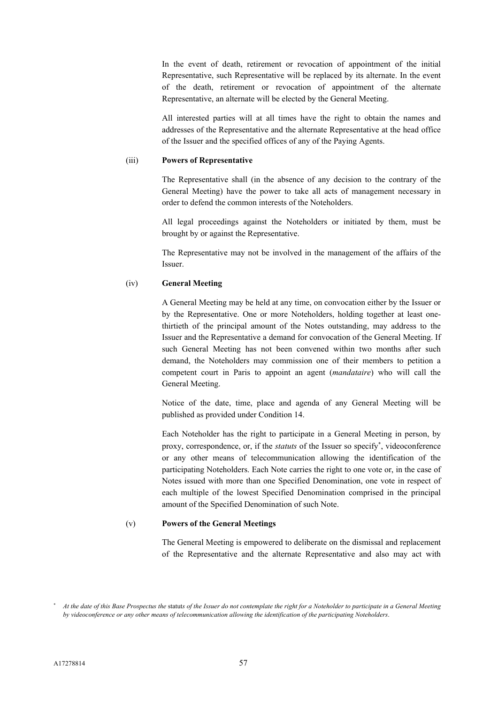In the event of death, retirement or revocation of appointment of the initial Representative, such Representative will be replaced by its alternate. In the event of the death, retirement or revocation of appointment of the alternate Representative, an alternate will be elected by the General Meeting.

All interested parties will at all times have the right to obtain the names and addresses of the Representative and the alternate Representative at the head office of the Issuer and the specified offices of any of the Paying Agents.

#### (iii) **Powers of Representative**

The Representative shall (in the absence of any decision to the contrary of the General Meeting) have the power to take all acts of management necessary in order to defend the common interests of the Noteholders.

All legal proceedings against the Noteholders or initiated by them, must be brought by or against the Representative.

The Representative may not be involved in the management of the affairs of the Issuer.

#### (iv) **General Meeting**

A General Meeting may be held at any time, on convocation either by the Issuer or by the Representative. One or more Noteholders, holding together at least onethirtieth of the principal amount of the Notes outstanding, may address to the Issuer and the Representative a demand for convocation of the General Meeting. If such General Meeting has not been convened within two months after such demand, the Noteholders may commission one of their members to petition a competent court in Paris to appoint an agent (*mandataire*) who will call the General Meeting.

Notice of the date, time, place and agenda of any General Meeting will be published as provided under Condition 14.

Each Noteholder has the right to participate in a General Meeting in person, by proxy, correspondence, or, if the *statuts* of the Issuer so specify<sup>\*</sup>, videoconference or any other means of telecommunication allowing the identification of the participating Noteholders. Each Note carries the right to one vote or, in the case of Notes issued with more than one Specified Denomination, one vote in respect of each multiple of the lowest Specified Denomination comprised in the principal amount of the Specified Denomination of such Note.

#### (v) **Powers of the General Meetings**

The General Meeting is empowered to deliberate on the dismissal and replacement of the Representative and the alternate Representative and also may act with

*At the date of this Base Prospectus the* statut*s of the Issuer do not contemplate the right for a Noteholder to participate in a General Meeting by videoconference or any other means of telecommunication allowing the identification of the participating Noteholders*.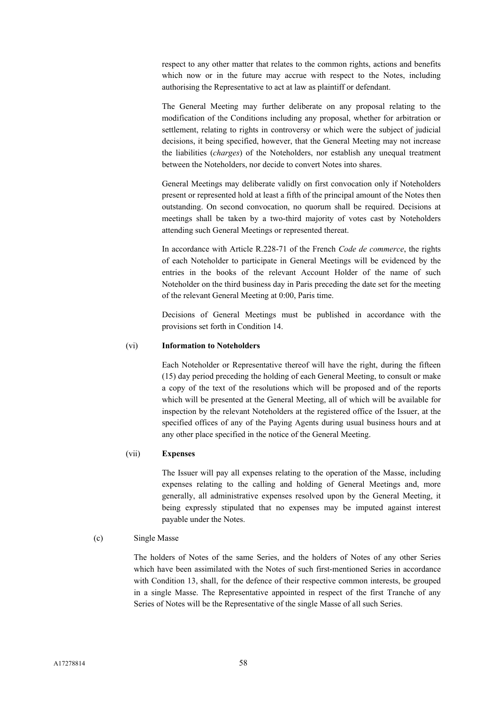respect to any other matter that relates to the common rights, actions and benefits which now or in the future may accrue with respect to the Notes, including authorising the Representative to act at law as plaintiff or defendant.

The General Meeting may further deliberate on any proposal relating to the modification of the Conditions including any proposal, whether for arbitration or settlement, relating to rights in controversy or which were the subject of judicial decisions, it being specified, however, that the General Meeting may not increase the liabilities (*charges*) of the Noteholders, nor establish any unequal treatment between the Noteholders, nor decide to convert Notes into shares.

General Meetings may deliberate validly on first convocation only if Noteholders present or represented hold at least a fifth of the principal amount of the Notes then outstanding. On second convocation, no quorum shall be required. Decisions at meetings shall be taken by a two-third majority of votes cast by Noteholders attending such General Meetings or represented thereat.

In accordance with Article R.228-71 of the French *Code de commerce*, the rights of each Noteholder to participate in General Meetings will be evidenced by the entries in the books of the relevant Account Holder of the name of such Noteholder on the third business day in Paris preceding the date set for the meeting of the relevant General Meeting at 0:00, Paris time.

Decisions of General Meetings must be published in accordance with the provisions set forth in Condition 14.

#### (vi) **Information to Noteholders**

Each Noteholder or Representative thereof will have the right, during the fifteen (15) day period preceding the holding of each General Meeting, to consult or make a copy of the text of the resolutions which will be proposed and of the reports which will be presented at the General Meeting, all of which will be available for inspection by the relevant Noteholders at the registered office of the Issuer, at the specified offices of any of the Paying Agents during usual business hours and at any other place specified in the notice of the General Meeting.

## (vii) **Expenses**

The Issuer will pay all expenses relating to the operation of the Masse, including expenses relating to the calling and holding of General Meetings and, more generally, all administrative expenses resolved upon by the General Meeting, it being expressly stipulated that no expenses may be imputed against interest payable under the Notes.

#### (c) Single Masse

The holders of Notes of the same Series, and the holders of Notes of any other Series which have been assimilated with the Notes of such first-mentioned Series in accordance with Condition 13, shall, for the defence of their respective common interests, be grouped in a single Masse. The Representative appointed in respect of the first Tranche of any Series of Notes will be the Representative of the single Masse of all such Series.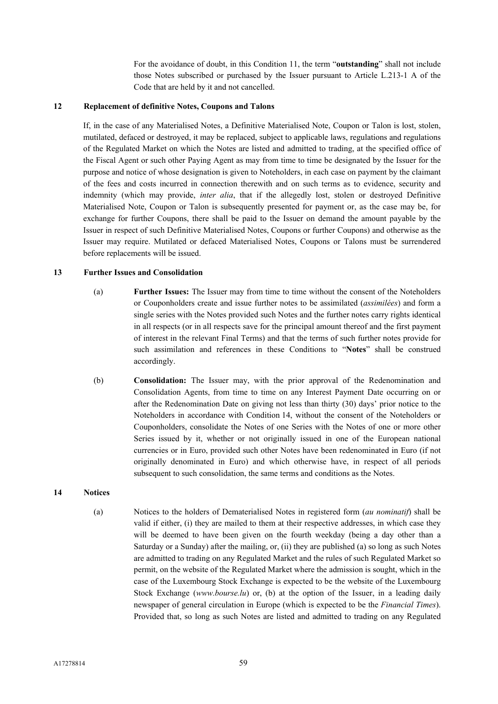For the avoidance of doubt, in this Condition 11, the term "**outstanding**" shall not include those Notes subscribed or purchased by the Issuer pursuant to Article L.213-1 A of the Code that are held by it and not cancelled.

### **12 Replacement of definitive Notes, Coupons and Talons**

If, in the case of any Materialised Notes, a Definitive Materialised Note, Coupon or Talon is lost, stolen, mutilated, defaced or destroyed, it may be replaced, subject to applicable laws, regulations and regulations of the Regulated Market on which the Notes are listed and admitted to trading, at the specified office of the Fiscal Agent or such other Paying Agent as may from time to time be designated by the Issuer for the purpose and notice of whose designation is given to Noteholders, in each case on payment by the claimant of the fees and costs incurred in connection therewith and on such terms as to evidence, security and indemnity (which may provide, *inter alia*, that if the allegedly lost, stolen or destroyed Definitive Materialised Note, Coupon or Talon is subsequently presented for payment or, as the case may be, for exchange for further Coupons, there shall be paid to the Issuer on demand the amount payable by the Issuer in respect of such Definitive Materialised Notes, Coupons or further Coupons) and otherwise as the Issuer may require. Mutilated or defaced Materialised Notes, Coupons or Talons must be surrendered before replacements will be issued.

#### **13 Further Issues and Consolidation**

- (a) **Further Issues:** The Issuer may from time to time without the consent of the Noteholders or Couponholders create and issue further notes to be assimilated (*assimilées*) and form a single series with the Notes provided such Notes and the further notes carry rights identical in all respects (or in all respects save for the principal amount thereof and the first payment of interest in the relevant Final Terms) and that the terms of such further notes provide for such assimilation and references in these Conditions to "**Notes**" shall be construed accordingly.
- (b) **Consolidation:** The Issuer may, with the prior approval of the Redenomination and Consolidation Agents, from time to time on any Interest Payment Date occurring on or after the Redenomination Date on giving not less than thirty (30) days' prior notice to the Noteholders in accordance with Condition 14, without the consent of the Noteholders or Couponholders, consolidate the Notes of one Series with the Notes of one or more other Series issued by it, whether or not originally issued in one of the European national currencies or in Euro, provided such other Notes have been redenominated in Euro (if not originally denominated in Euro) and which otherwise have, in respect of all periods subsequent to such consolidation, the same terms and conditions as the Notes.

#### **14 Notices**

(a) Notices to the holders of Dematerialised Notes in registered form (*au nominatif*) shall be valid if either, (i) they are mailed to them at their respective addresses, in which case they will be deemed to have been given on the fourth weekday (being a day other than a Saturday or a Sunday) after the mailing, or, (ii) they are published (a) so long as such Notes are admitted to trading on any Regulated Market and the rules of such Regulated Market so permit, on the website of the Regulated Market where the admission is sought, which in the case of the Luxembourg Stock Exchange is expected to be the website of the Luxembourg Stock Exchange (*www.bourse.lu*) or, (b) at the option of the Issuer, in a leading daily newspaper of general circulation in Europe (which is expected to be the *Financial Times*). Provided that, so long as such Notes are listed and admitted to trading on any Regulated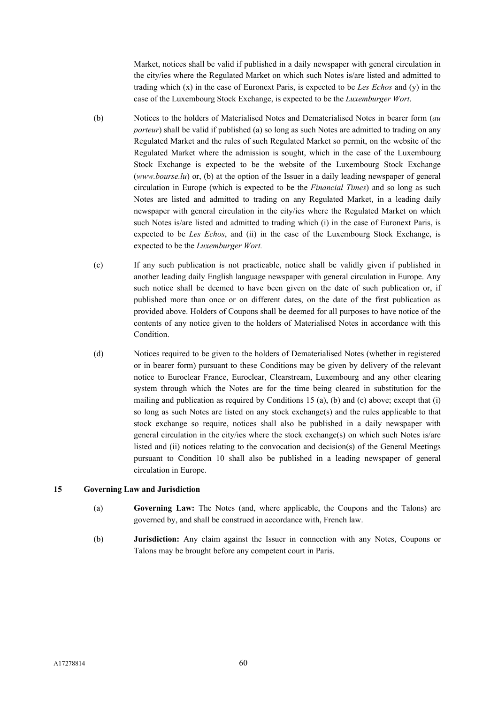Market, notices shall be valid if published in a daily newspaper with general circulation in the city/ies where the Regulated Market on which such Notes is/are listed and admitted to trading which (x) in the case of Euronext Paris, is expected to be *Les Echos* and (y) in the case of the Luxembourg Stock Exchange, is expected to be the *Luxemburger Wort*.

- (b) Notices to the holders of Materialised Notes and Dematerialised Notes in bearer form (*au porteur*) shall be valid if published (a) so long as such Notes are admitted to trading on any Regulated Market and the rules of such Regulated Market so permit, on the website of the Regulated Market where the admission is sought, which in the case of the Luxembourg Stock Exchange is expected to be the website of the Luxembourg Stock Exchange (*www.bourse.lu*) or, (b) at the option of the Issuer in a daily leading newspaper of general circulation in Europe (which is expected to be the *Financial Times*) and so long as such Notes are listed and admitted to trading on any Regulated Market, in a leading daily newspaper with general circulation in the city/ies where the Regulated Market on which such Notes is/are listed and admitted to trading which (i) in the case of Euronext Paris, is expected to be *Les Echos*, and (ii) in the case of the Luxembourg Stock Exchange, is expected to be the *Luxemburger Wort.*
- (c) If any such publication is not practicable, notice shall be validly given if published in another leading daily English language newspaper with general circulation in Europe. Any such notice shall be deemed to have been given on the date of such publication or, if published more than once or on different dates, on the date of the first publication as provided above. Holders of Coupons shall be deemed for all purposes to have notice of the contents of any notice given to the holders of Materialised Notes in accordance with this Condition.
- (d) Notices required to be given to the holders of Dematerialised Notes (whether in registered or in bearer form) pursuant to these Conditions may be given by delivery of the relevant notice to Euroclear France, Euroclear, Clearstream, Luxembourg and any other clearing system through which the Notes are for the time being cleared in substitution for the mailing and publication as required by Conditions 15 (a), (b) and (c) above; except that (i) so long as such Notes are listed on any stock exchange(s) and the rules applicable to that stock exchange so require, notices shall also be published in a daily newspaper with general circulation in the city/ies where the stock exchange(s) on which such Notes is/are listed and (ii) notices relating to the convocation and decision(s) of the General Meetings pursuant to Condition 10 shall also be published in a leading newspaper of general circulation in Europe.

## **15 Governing Law and Jurisdiction**

- (a) **Governing Law:** The Notes (and, where applicable, the Coupons and the Talons) are governed by, and shall be construed in accordance with, French law.
- (b) **Jurisdiction:** Any claim against the Issuer in connection with any Notes, Coupons or Talons may be brought before any competent court in Paris.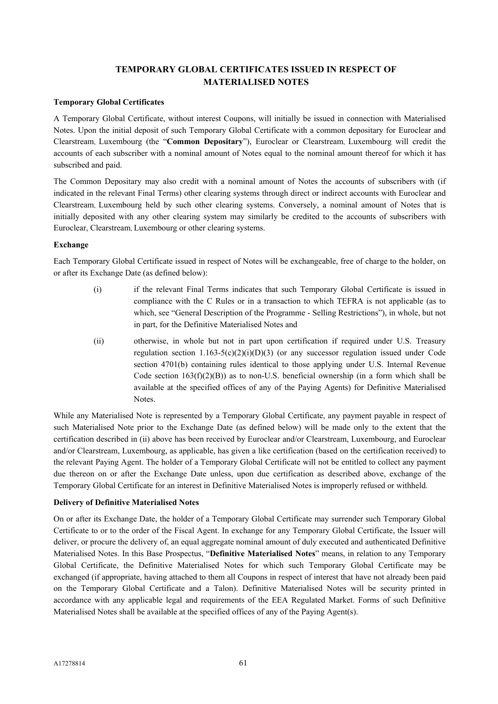## **TEMPORARY GLOBAL CERTIFICATES ISSUED IN RESPECT OF MATERIALISED NOTES**

#### **Temporary Global Certificates**

A Temporary Global Certificate, without interest Coupons, will initially be issued in connection with Materialised Notes. Upon the initial deposit of such Temporary Global Certificate with a common depositary for Euroclear and Clearstream, Luxembourg (the "**Common Depositary**"), Euroclear or Clearstream, Luxembourg will credit the accounts of each subscriber with a nominal amount of Notes equal to the nominal amount thereof for which it has subscribed and paid.

The Common Depositary may also credit with a nominal amount of Notes the accounts of subscribers with (if indicated in the relevant Final Terms) other clearing systems through direct or indirect accounts with Euroclear and Clearstream, Luxembourg held by such other clearing systems. Conversely, a nominal amount of Notes that is initially deposited with any other clearing system may similarly be credited to the accounts of subscribers with Euroclear, Clearstream, Luxembourg or other clearing systems.

#### **Exchange**

Each Temporary Global Certificate issued in respect of Notes will be exchangeable, free of charge to the holder, on or after its Exchange Date (as defined below):

- (i) if the relevant Final Terms indicates that such Temporary Global Certificate is issued in compliance with the C Rules or in a transaction to which TEFRA is not applicable (as to which, see "General Description of the Programme - Selling Restrictions"), in whole, but not in part, for the Definitive Materialised Notes and
- (ii) otherwise, in whole but not in part upon certification if required under U.S. Treasury regulation section  $1.163-5(c)(2)(i)(D)(3)$  (or any successor regulation issued under Code section 4701(b) containing rules identical to those applying under U.S. Internal Revenue Code section  $163(f)(2)(B)$ ) as to non-U.S. beneficial ownership (in a form which shall be available at the specified offices of any of the Paying Agents) for Definitive Materialised Notes.

While any Materialised Note is represented by a Temporary Global Certificate, any payment payable in respect of such Materialised Note prior to the Exchange Date (as defined below) will be made only to the extent that the certification described in (ii) above has been received by Euroclear and/or Clearstream, Luxembourg, and Euroclear and/or Clearstream, Luxembourg, as applicable, has given a like certification (based on the certification received) to the relevant Paying Agent. The holder of a Temporary Global Certificate will not be entitled to collect any payment due thereon on or after the Exchange Date unless, upon due certification as described above, exchange of the Temporary Global Certificate for an interest in Definitive Materialised Notes is improperly refused or withheld.

#### **Delivery of Definitive Materialised Notes**

On or after its Exchange Date, the holder of a Temporary Global Certificate may surrender such Temporary Global Certificate to or to the order of the Fiscal Agent. In exchange for any Temporary Global Certificate, the Issuer will deliver, or procure the delivery of, an equal aggregate nominal amount of duly executed and authenticated Definitive Materialised Notes. In this Base Prospectus, "**Definitive Materialised Notes**" means, in relation to any Temporary Global Certificate, the Definitive Materialised Notes for which such Temporary Global Certificate may be exchanged (if appropriate, having attached to them all Coupons in respect of interest that have not already been paid on the Temporary Global Certificate and a Talon). Definitive Materialised Notes will be security printed in accordance with any applicable legal and requirements of the EEA Regulated Market. Forms of such Definitive Materialised Notes shall be available at the specified offices of any of the Paying Agent(s).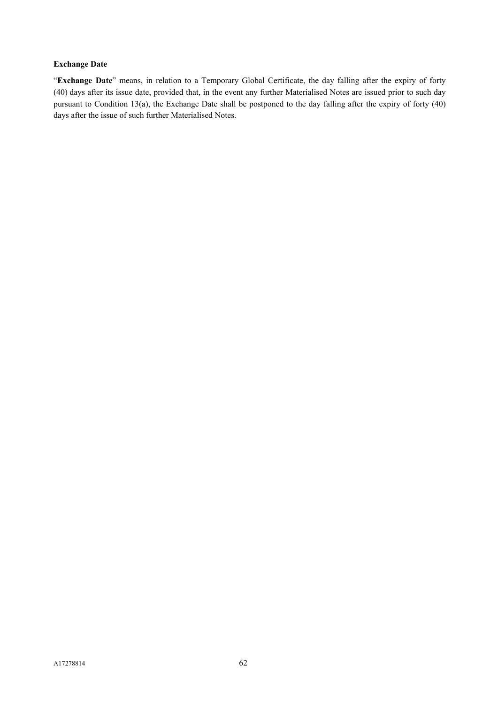## **Exchange Date**

"**Exchange Date**" means, in relation to a Temporary Global Certificate, the day falling after the expiry of forty (40) days after its issue date, provided that, in the event any further Materialised Notes are issued prior to such day pursuant to Condition 13(a), the Exchange Date shall be postponed to the day falling after the expiry of forty (40) days after the issue of such further Materialised Notes.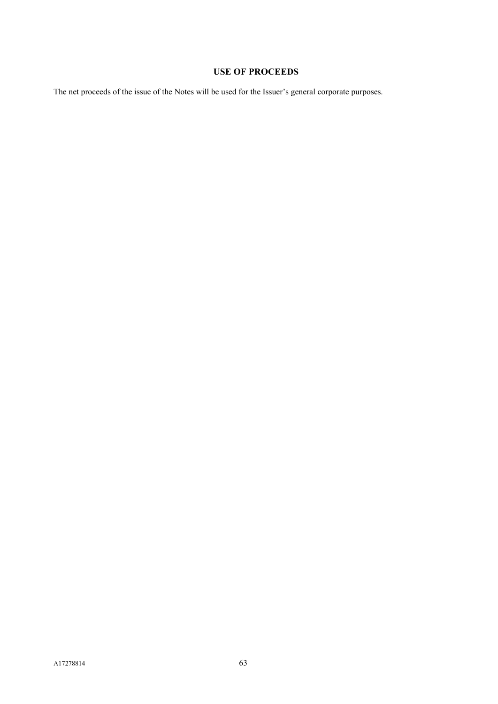# **USE OF PROCEEDS**

The net proceeds of the issue of the Notes will be used for the Issuer's general corporate purposes.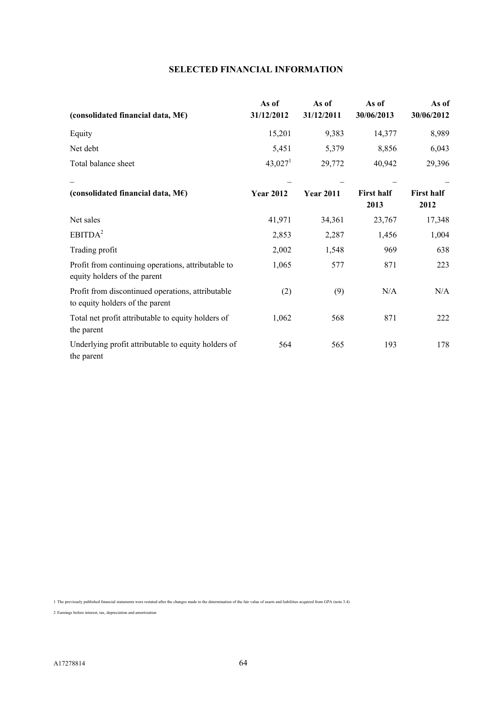## **SELECTED FINANCIAL INFORMATION**

| (consolidated financial data, $M\epsilon$ )                                          | As of<br>31/12/2012 | As of<br>31/12/2011 | As of<br>30/06/2013       | As of<br>30/06/2012       |
|--------------------------------------------------------------------------------------|---------------------|---------------------|---------------------------|---------------------------|
| Equity                                                                               | 15,201              | 9,383               | 14,377                    | 8,989                     |
| Net debt                                                                             | 5,451               | 5,379               | 8,856                     | 6,043                     |
| Total balance sheet                                                                  | 43,027 <sup>1</sup> | 29,772              | 40,942                    | 29,396                    |
| (consolidated financial data, $M\epsilon$ )                                          | <b>Year 2012</b>    | <b>Year 2011</b>    | <b>First half</b><br>2013 | <b>First half</b><br>2012 |
| Net sales                                                                            | 41,971              | 34,361              | 23,767                    | 17,348                    |
| EBITDA <sup>2</sup>                                                                  | 2,853               | 2,287               | 1,456                     | 1,004                     |
| Trading profit                                                                       | 2,002               | 1,548               | 969                       | 638                       |
| Profit from continuing operations, attributable to<br>equity holders of the parent   | 1,065               | 577                 | 871                       | 223                       |
| Profit from discontinued operations, attributable<br>to equity holders of the parent | (2)                 | (9)                 | N/A                       | N/A                       |
| Total net profit attributable to equity holders of<br>the parent                     | 1,062               | 568                 | 871                       | 222                       |
| Underlying profit attributable to equity holders of<br>the parent                    | 564                 | 565                 | 193                       | 178                       |

1 The previously published financial statements were restated after the changes made to the determination of the fair value of assets and liabilities acquired from GPA (note 3.4)

2 Earnings before interest, tax, depreciation and amortization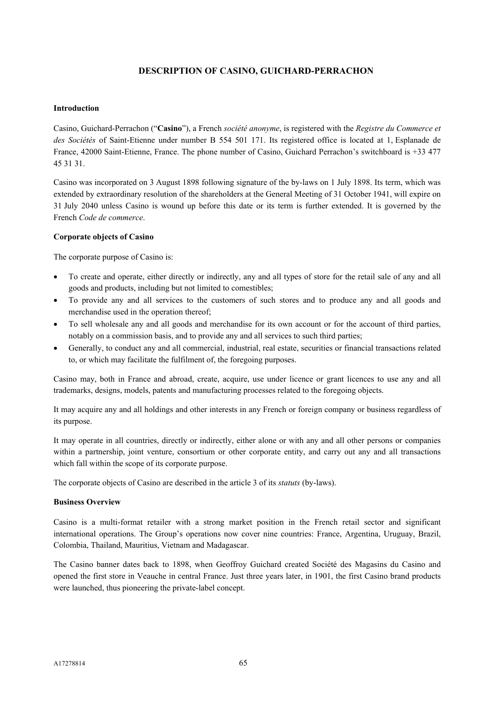## **DESCRIPTION OF CASINO, GUICHARD-PERRACHON**

#### **Introduction**

Casino, Guichard-Perrachon ("**Casino**"), a French *société anonyme*, is registered with the *Registre du Commerce et des Sociétés* of Saint-Etienne under number B 554 501 171. Its registered office is located at 1, Esplanade de France, 42000 Saint-Etienne, France. The phone number of Casino, Guichard Perrachon's switchboard is +33 477 45 31 31.

Casino was incorporated on 3 August 1898 following signature of the by-laws on 1 July 1898. Its term, which was extended by extraordinary resolution of the shareholders at the General Meeting of 31 October 1941, will expire on 31 July 2040 unless Casino is wound up before this date or its term is further extended. It is governed by the French *Code de commerce*.

#### **Corporate objects of Casino**

The corporate purpose of Casino is:

- To create and operate, either directly or indirectly, any and all types of store for the retail sale of any and all goods and products, including but not limited to comestibles;
- To provide any and all services to the customers of such stores and to produce any and all goods and merchandise used in the operation thereof;
- To sell wholesale any and all goods and merchandise for its own account or for the account of third parties, notably on a commission basis, and to provide any and all services to such third parties;
- Generally, to conduct any and all commercial, industrial, real estate, securities or financial transactions related to, or which may facilitate the fulfilment of, the foregoing purposes.

Casino may, both in France and abroad, create, acquire, use under licence or grant licences to use any and all trademarks, designs, models, patents and manufacturing processes related to the foregoing objects.

It may acquire any and all holdings and other interests in any French or foreign company or business regardless of its purpose.

It may operate in all countries, directly or indirectly, either alone or with any and all other persons or companies within a partnership, joint venture, consortium or other corporate entity, and carry out any and all transactions which fall within the scope of its corporate purpose.

The corporate objects of Casino are described in the article 3 of its *statuts* (by-laws).

#### **Business Overview**

Casino is a multi-format retailer with a strong market position in the French retail sector and significant international operations. The Group's operations now cover nine countries: France, Argentina, Uruguay, Brazil, Colombia, Thailand, Mauritius, Vietnam and Madagascar.

The Casino banner dates back to 1898, when Geoffroy Guichard created Société des Magasins du Casino and opened the first store in Veauche in central France. Just three years later, in 1901, the first Casino brand products were launched, thus pioneering the private-label concept.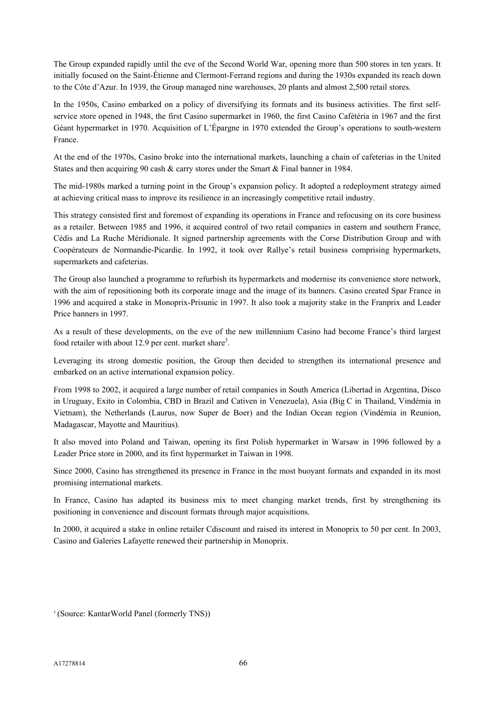The Group expanded rapidly until the eve of the Second World War, opening more than 500 stores in ten years. It initially focused on the Saint-Étienne and Clermont-Ferrand regions and during the 1930s expanded its reach down to the Côte d'Azur. In 1939, the Group managed nine warehouses, 20 plants and almost 2,500 retail stores.

In the 1950s, Casino embarked on a policy of diversifying its formats and its business activities. The first selfservice store opened in 1948, the first Casino supermarket in 1960, the first Casino Cafétéria in 1967 and the first Géant hypermarket in 1970. Acquisition of L'Épargne in 1970 extended the Group's operations to south-western France.

At the end of the 1970s, Casino broke into the international markets, launching a chain of cafeterias in the United States and then acquiring 90 cash & carry stores under the Smart & Final banner in 1984.

The mid-1980s marked a turning point in the Group's expansion policy. It adopted a redeployment strategy aimed at achieving critical mass to improve its resilience in an increasingly competitive retail industry.

This strategy consisted first and foremost of expanding its operations in France and refocusing on its core business as a retailer. Between 1985 and 1996, it acquired control of two retail companies in eastern and southern France, Cédis and La Ruche Méridionale. It signed partnership agreements with the Corse Distribution Group and with Coopérateurs de Normandie-Picardie. In 1992, it took over Rallye's retail business comprising hypermarkets, supermarkets and cafeterias.

The Group also launched a programme to refurbish its hypermarkets and modernise its convenience store network, with the aim of repositioning both its corporate image and the image of its banners. Casino created Spar France in 1996 and acquired a stake in Monoprix-Prisunic in 1997. It also took a majority stake in the Franprix and Leader Price banners in 1997.

As a result of these developments, on the eve of the new millennium Casino had become France's third largest food retailer with about 12.9 per cent. market share<sup>3</sup>.

Leveraging its strong domestic position, the Group then decided to strengthen its international presence and embarked on an active international expansion policy.

From 1998 to 2002, it acquired a large number of retail companies in South America (Libertad in Argentina, Disco in Uruguay, Exito in Colombia, CBD in Brazil and Cativen in Venezuela), Asia (Big C in Thailand, Vindémia in Vietnam), the Netherlands (Laurus, now Super de Boer) and the Indian Ocean region (Vindémia in Reunion, Madagascar, Mayotte and Mauritius).

It also moved into Poland and Taiwan, opening its first Polish hypermarket in Warsaw in 1996 followed by a Leader Price store in 2000, and its first hypermarket in Taiwan in 1998.

Since 2000, Casino has strengthened its presence in France in the most buoyant formats and expanded in its most promising international markets.

In France, Casino has adapted its business mix to meet changing market trends, first by strengthening its positioning in convenience and discount formats through major acquisitions.

In 2000, it acquired a stake in online retailer Cdiscount and raised its interest in Monoprix to 50 per cent. In 2003, Casino and Galeries Lafayette renewed their partnership in Monoprix.

<sup>3</sup> (Source: KantarWorld Panel (formerly TNS))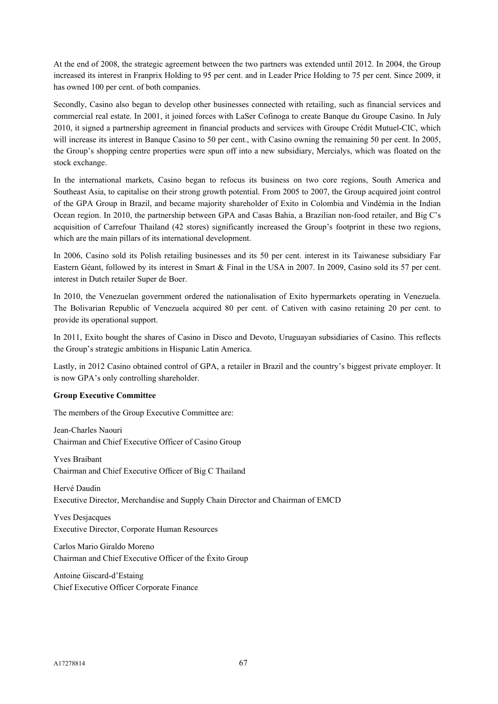At the end of 2008, the strategic agreement between the two partners was extended until 2012. In 2004, the Group increased its interest in Franprix Holding to 95 per cent. and in Leader Price Holding to 75 per cent. Since 2009, it has owned 100 per cent. of both companies.

Secondly, Casino also began to develop other businesses connected with retailing, such as financial services and commercial real estate. In 2001, it joined forces with LaSer Cofinoga to create Banque du Groupe Casino. In July 2010, it signed a partnership agreement in financial products and services with Groupe Crédit Mutuel-CIC, which will increase its interest in Banque Casino to 50 per cent., with Casino owning the remaining 50 per cent. In 2005, the Group's shopping centre properties were spun off into a new subsidiary, Mercialys, which was floated on the stock exchange.

In the international markets, Casino began to refocus its business on two core regions, South America and Southeast Asia, to capitalise on their strong growth potential. From 2005 to 2007, the Group acquired joint control of the GPA Group in Brazil, and became majority shareholder of Exito in Colombia and Vindémia in the Indian Ocean region. In 2010, the partnership between GPA and Casas Bahia, a Brazilian non-food retailer, and Big C's acquisition of Carrefour Thailand (42 stores) significantly increased the Group's footprint in these two regions, which are the main pillars of its international development.

In 2006, Casino sold its Polish retailing businesses and its 50 per cent. interest in its Taiwanese subsidiary Far Eastern Géant, followed by its interest in Smart & Final in the USA in 2007. In 2009, Casino sold its 57 per cent. interest in Dutch retailer Super de Boer.

In 2010, the Venezuelan government ordered the nationalisation of Exito hypermarkets operating in Venezuela. The Bolivarian Republic of Venezuela acquired 80 per cent. of Cativen with casino retaining 20 per cent. to provide its operational support.

In 2011, Exito bought the shares of Casino in Disco and Devoto, Uruguayan subsidiaries of Casino. This reflects the Group's strategic ambitions in Hispanic Latin America.

Lastly, in 2012 Casino obtained control of GPA, a retailer in Brazil and the country's biggest private employer. It is now GPA's only controlling shareholder.

## **Group Executive Committee**

The members of the Group Executive Committee are:

Jean-Charles Naouri Chairman and Chief Executive Officer of Casino Group

Yves Braibant Chairman and Chief Executive Officer of Big C Thailand

Hervé Daudin Executive Director, Merchandise and Supply Chain Director and Chairman of EMCD

Yves Desjacques Executive Director, Corporate Human Resources

Carlos Mario Giraldo Moreno Chairman and Chief Executive Officer of the Éxito Group

Antoine Giscard-d'Estaing Chief Executive Officer Corporate Finance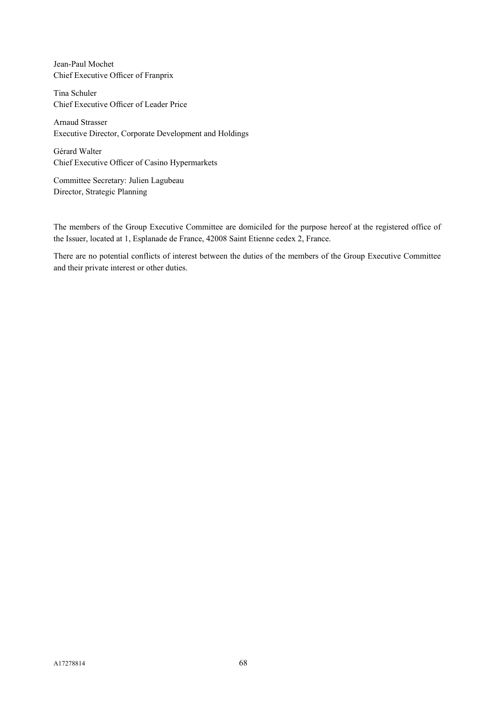Jean-Paul Mochet Chief Executive Officer of Franprix

Tina Schuler Chief Executive Officer of Leader Price

Arnaud Strasser Executive Director, Corporate Development and Holdings

Gérard Walter Chief Executive Officer of Casino Hypermarkets

Committee Secretary: Julien Lagubeau Director, Strategic Planning

The members of the Group Executive Committee are domiciled for the purpose hereof at the registered office of the Issuer, located at 1, Esplanade de France, 42008 Saint Etienne cedex 2, France.

There are no potential conflicts of interest between the duties of the members of the Group Executive Committee and their private interest or other duties.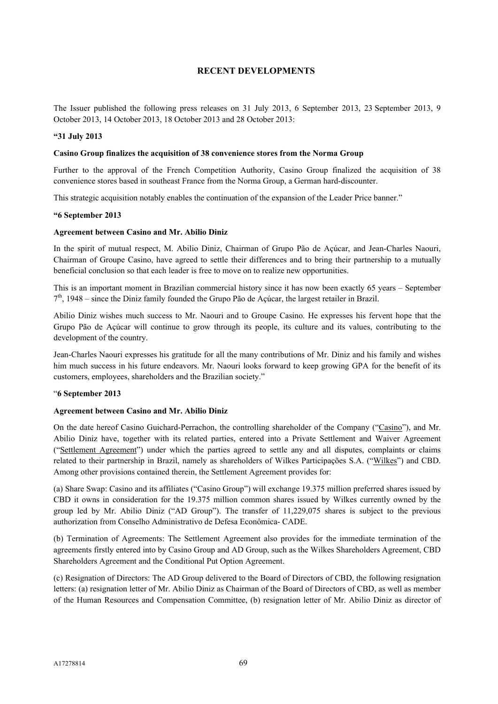## **RECENT DEVELOPMENTS**

The Issuer published the following press releases on 31 July 2013, 6 September 2013, 23 September 2013, 9 October 2013, 14 October 2013, 18 October 2013 and 28 October 2013:

#### **"31 July 2013**

#### **Casino Group finalizes the acquisition of 38 convenience stores from the Norma Group**

Further to the approval of the French Competition Authority, Casino Group finalized the acquisition of 38 convenience stores based in southeast France from the Norma Group, a German hard-discounter.

This strategic acquisition notably enables the continuation of the expansion of the Leader Price banner."

#### **"6 September 2013**

#### **Agreement between Casino and Mr. Abilio Diniz**

In the spirit of mutual respect, M. Abilio Diniz, Chairman of Grupo Pão de Açúcar, and Jean-Charles Naouri, Chairman of Groupe Casino, have agreed to settle their differences and to bring their partnership to a mutually beneficial conclusion so that each leader is free to move on to realize new opportunities.

This is an important moment in Brazilian commercial history since it has now been exactly 65 years – September 7<sup>th</sup>, 1948 – since the Diniz family founded the Grupo Pão de Açúcar, the largest retailer in Brazil.

Abilio Diniz wishes much success to Mr. Naouri and to Groupe Casino. He expresses his fervent hope that the Grupo Pão de Açúcar will continue to grow through its people, its culture and its values, contributing to the development of the country.

Jean-Charles Naouri expresses his gratitude for all the many contributions of Mr. Diniz and his family and wishes him much success in his future endeavors. Mr. Naouri looks forward to keep growing GPA for the benefit of its customers, employees, shareholders and the Brazilian society."

#### "**6 September 2013**

#### **Agreement between Casino and Mr. Abilio Diniz**

On the date hereof Casino Guichard-Perrachon, the controlling shareholder of the Company ("Casino"), and Mr. Abilio Diniz have, together with its related parties, entered into a Private Settlement and Waiver Agreement ("Settlement Agreement") under which the parties agreed to settle any and all disputes, complaints or claims related to their partnership in Brazil, namely as shareholders of Wilkes Participações S.A. ("Wilkes") and CBD. Among other provisions contained therein, the Settlement Agreement provides for:

(a) Share Swap: Casino and its affiliates ("Casino Group") will exchange 19.375 million preferred shares issued by CBD it owns in consideration for the 19.375 million common shares issued by Wilkes currently owned by the group led by Mr. Abilio Diniz ("AD Group"). The transfer of 11,229,075 shares is subject to the previous authorization from Conselho Administrativo de Defesa Econômica- CADE.

(b) Termination of Agreements: The Settlement Agreement also provides for the immediate termination of the agreements firstly entered into by Casino Group and AD Group, such as the Wilkes Shareholders Agreement, CBD Shareholders Agreement and the Conditional Put Option Agreement.

(c) Resignation of Directors: The AD Group delivered to the Board of Directors of CBD, the following resignation letters: (a) resignation letter of Mr. Abilio Diniz as Chairman of the Board of Directors of CBD, as well as member of the Human Resources and Compensation Committee, (b) resignation letter of Mr. Abilio Diniz as director of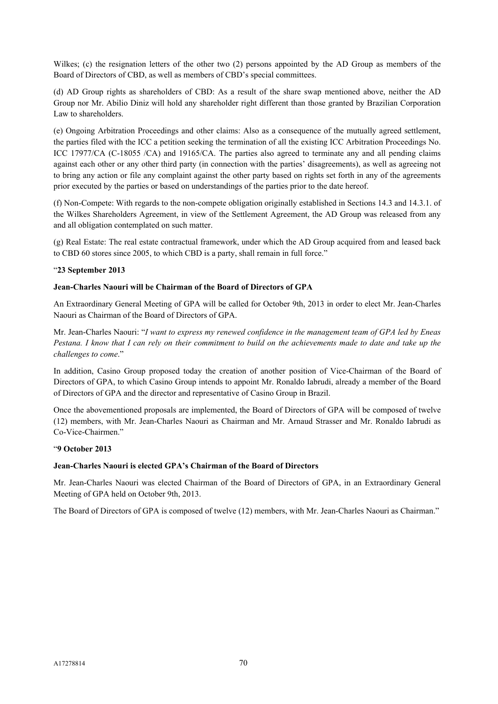Wilkes; (c) the resignation letters of the other two (2) persons appointed by the AD Group as members of the Board of Directors of CBD, as well as members of CBD's special committees.

(d) AD Group rights as shareholders of CBD: As a result of the share swap mentioned above, neither the AD Group nor Mr. Abilio Diniz will hold any shareholder right different than those granted by Brazilian Corporation Law to shareholders.

(e) Ongoing Arbitration Proceedings and other claims: Also as a consequence of the mutually agreed settlement, the parties filed with the ICC a petition seeking the termination of all the existing ICC Arbitration Proceedings No. ICC 17977/CA (C-18055 /CA) and 19165/CA. The parties also agreed to terminate any and all pending claims against each other or any other third party (in connection with the parties' disagreements), as well as agreeing not to bring any action or file any complaint against the other party based on rights set forth in any of the agreements prior executed by the parties or based on understandings of the parties prior to the date hereof.

(f) Non-Compete: With regards to the non-compete obligation originally established in Sections 14.3 and 14.3.1. of the Wilkes Shareholders Agreement, in view of the Settlement Agreement, the AD Group was released from any and all obligation contemplated on such matter.

(g) Real Estate: The real estate contractual framework, under which the AD Group acquired from and leased back to CBD 60 stores since 2005, to which CBD is a party, shall remain in full force."

## "**23 September 2013**

## **Jean-Charles Naouri will be Chairman of the Board of Directors of GPA**

An Extraordinary General Meeting of GPA will be called for October 9th, 2013 in order to elect Mr. Jean-Charles Naouri as Chairman of the Board of Directors of GPA.

Mr. Jean-Charles Naouri: "*I want to express my renewed confidence in the management team of GPA led by Eneas Pestana. I know that I can rely on their commitment to build on the achievements made to date and take up the challenges to come*."

In addition, Casino Group proposed today the creation of another position of Vice-Chairman of the Board of Directors of GPA, to which Casino Group intends to appoint Mr. Ronaldo Iabrudi, already a member of the Board of Directors of GPA and the director and representative of Casino Group in Brazil.

Once the abovementioned proposals are implemented, the Board of Directors of GPA will be composed of twelve (12) members, with Mr. Jean-Charles Naouri as Chairman and Mr. Arnaud Strasser and Mr. Ronaldo Iabrudi as Co-Vice-Chairmen."

#### "**9 October 2013**

#### **Jean-Charles Naouri is elected GPA's Chairman of the Board of Directors**

Mr. Jean-Charles Naouri was elected Chairman of the Board of Directors of GPA, in an Extraordinary General Meeting of GPA held on October 9th, 2013.

The Board of Directors of GPA is composed of twelve (12) members, with Mr. Jean-Charles Naouri as Chairman."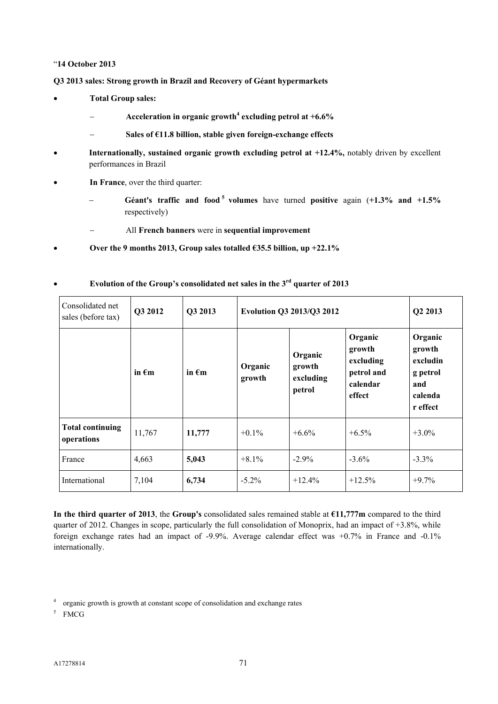### "**14 October 2013**

**Q3 2013 sales: Strong growth in Brazil and Recovery of Géant hypermarkets**

- **Total Group sales:** 
	- **Acceleration in organic growth<sup>4</sup> excluding petrol at +6.6%**
	- **Sales of €11.8 billion, stable given foreign-exchange effects**
- **Internationally, sustained organic growth excluding petrol at +12.4%,** notably driven by excellent performances in Brazil
- **In France**, over the third quarter:
	- **Géant's traffic and food <sup>5</sup> volumes** have turned **positive** again (**+1.3% and +1.5%**  respectively)
	- All **French banners** were in **sequential improvement**
- **Over the 9 months 2013, Group sales totalled €35.5 billion, up +22.1%**

| Consolidated net<br>sales (before tax) | Q3 2012         | Q3 2013         | Evolution Q3 2013/Q3 2012 | Q2 2013                                  |                                                                    |                                                                         |
|----------------------------------------|-----------------|-----------------|---------------------------|------------------------------------------|--------------------------------------------------------------------|-------------------------------------------------------------------------|
|                                        | in $\epsilon$ m | in $\epsilon$ m | Organic<br>growth         | Organic<br>growth<br>excluding<br>petrol | Organic<br>growth<br>excluding<br>petrol and<br>calendar<br>effect | Organic<br>growth<br>excludin<br>g petrol<br>and<br>calenda<br>r effect |
| <b>Total continuing</b><br>operations  | 11,767          | 11,777          | $+0.1\%$                  | $+6.6\%$                                 | $+6.5\%$                                                           | $+3.0\%$                                                                |
| France                                 | 4,663           | 5,043           | $+8.1\%$                  | $-2.9\%$                                 | $-3.6\%$                                                           | $-3.3\%$                                                                |
| International                          | 7,104           | 6,734           | $-5.2\%$                  | $+12.4%$                                 | $+12.5%$                                                           | $+9.7\%$                                                                |

## **Evolution of the Group's consolidated net sales in the 3rd quarter of 2013**

**In the third quarter of 2013**, the **Group's** consolidated sales remained stable at **€11,777m** compared to the third quarter of 2012. Changes in scope, particularly the full consolidation of Monoprix, had an impact of +3.8%, while foreign exchange rates had an impact of -9.9%. Average calendar effect was  $+0.7\%$  in France and -0.1% internationally.

5 FMCG

<sup>&</sup>lt;sup>4</sup> organic growth is growth at constant scope of consolidation and exchange rates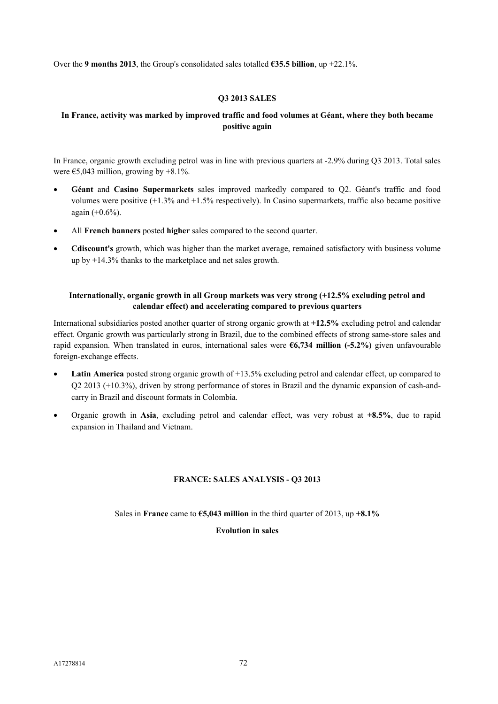Over the **9 months 2013**, the Group's consolidated sales totalled **€35.5 billion**, up +22.1%.

### **Q3 2013 SALES**

### **In France, activity was marked by improved traffic and food volumes at Géant, where they both became positive again**

In France, organic growth excluding petrol was in line with previous quarters at -2.9% during Q3 2013. Total sales were  $\epsilon$ 5.043 million, growing by +8.1%.

- **Géant** and **Casino Supermarkets** sales improved markedly compared to Q2. Géant's traffic and food volumes were positive (+1.3% and +1.5% respectively). In Casino supermarkets, traffic also became positive again (+0.6%).
- All **French banners** posted **higher** sales compared to the second quarter.
- **Cdiscount's** growth, which was higher than the market average, remained satisfactory with business volume up by +14.3% thanks to the marketplace and net sales growth.

### **Internationally, organic growth in all Group markets was very strong (+12.5% excluding petrol and calendar effect) and accelerating compared to previous quarters**

International subsidiaries posted another quarter of strong organic growth at **+12.5%** excluding petrol and calendar effect. Organic growth was particularly strong in Brazil, due to the combined effects of strong same-store sales and rapid expansion. When translated in euros, international sales were **€6,734 million (-5.2%)** given unfavourable foreign-exchange effects.

- Latin America posted strong organic growth of +13.5% excluding petrol and calendar effect, up compared to Q2 2013 (+10.3%), driven by strong performance of stores in Brazil and the dynamic expansion of cash-andcarry in Brazil and discount formats in Colombia.
- Organic growth in **Asia**, excluding petrol and calendar effect, was very robust at **+8.5%**, due to rapid expansion in Thailand and Vietnam.

### **FRANCE: SALES ANALYSIS - Q3 2013**

Sales in **France** came to **€5,043 million** in the third quarter of 2013, up **+8.1%**

### **Evolution in sales**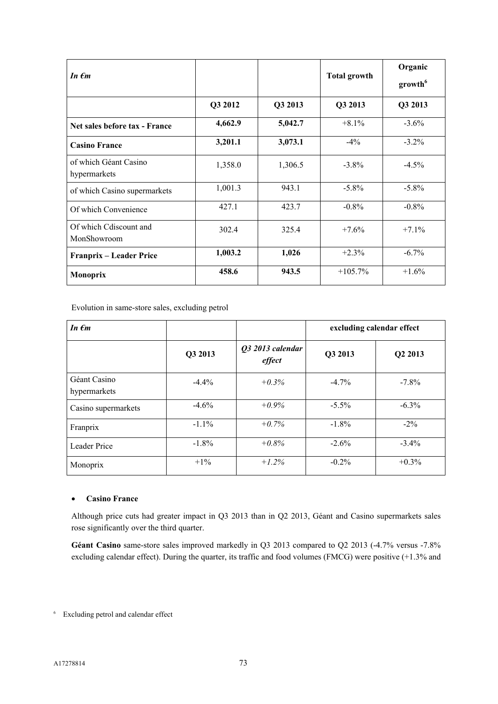| In $\epsilon$ m                       |         |         | <b>Total growth</b> | Organic<br>growth <sup>6</sup> |
|---------------------------------------|---------|---------|---------------------|--------------------------------|
|                                       | Q3 2012 | Q3 2013 | Q3 2013             | Q3 2013                        |
| Net sales before tax - France         | 4,662.9 | 5,042.7 | $+8.1%$             | $-3.6\%$                       |
| <b>Casino France</b>                  | 3,201.1 | 3,073.1 | $-4\%$              | $-3.2\%$                       |
| of which Géant Casino<br>hypermarkets | 1,358.0 | 1,306.5 | $-3.8\%$            | $-4.5%$                        |
| of which Casino supermarkets          | 1,001.3 | 943.1   | $-5.8\%$            | $-5.8\%$                       |
| Of which Convenience                  | 427.1   | 423.7   | $-0.8\%$            | $-0.8\%$                       |
| Of which Cdiscount and<br>MonShowroom | 302.4   | 325.4   | $+7.6%$             | $+7.1%$                        |
| Franprix – Leader Price               | 1,003.2 | 1,026   | $+2.3%$             | $-6.7\%$                       |
| <b>Monoprix</b>                       | 458.6   | 943.5   | $+105.7\%$          | $+1.6%$                        |

Evolution in same-store sales, excluding petrol

| In $\epsilon$ m              |          |                            | excluding calendar effect |                     |
|------------------------------|----------|----------------------------|---------------------------|---------------------|
|                              | Q3 2013  | Q3 2013 calendar<br>effect | Q3 2013                   | Q <sub>2</sub> 2013 |
| Géant Casino<br>hypermarkets | $-4.4%$  | $+0.3\%$                   | $-4.7\%$                  | $-7.8\%$            |
| Casino supermarkets          | $-4.6%$  | $+0.9\%$                   | $-5.5\%$                  | $-6.3\%$            |
| Franprix                     | $-1.1\%$ | $+0.7%$                    | $-1.8%$                   | $-2\%$              |
| Leader Price                 | $-1.8\%$ | $+0.8\%$                   | $-2.6%$                   | $-3.4\%$            |
| Monoprix                     | $+1\%$   | $+1.2\%$                   | $-0.2%$                   | $+0.3\%$            |

### **Casino France**

Although price cuts had greater impact in Q3 2013 than in Q2 2013, Géant and Casino supermarkets sales rose significantly over the third quarter.

Géant Casino same-store sales improved markedly in Q3 2013 compared to Q2 2013 (-4.7% versus -7.8%) excluding calendar effect). During the quarter, its traffic and food volumes (FMCG) were positive (+1.3% and

<sup>6</sup> Excluding petrol and calendar effect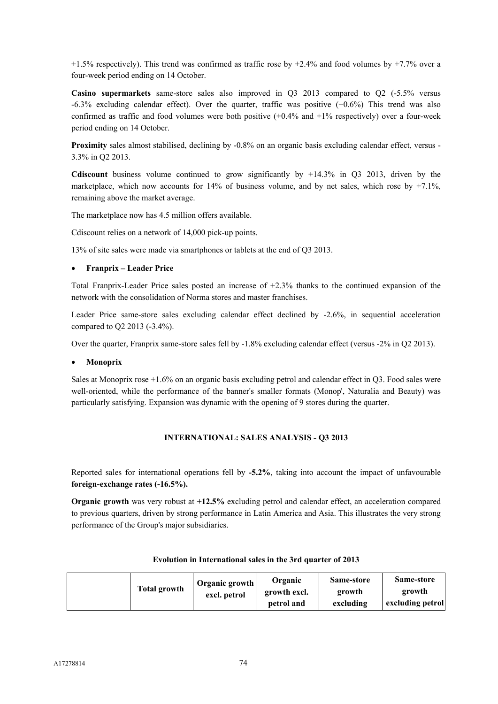$+1.5\%$  respectively). This trend was confirmed as traffic rose by  $+2.4\%$  and food volumes by  $+7.7\%$  over a four-week period ending on 14 October.

**Casino supermarkets** same-store sales also improved in Q3 2013 compared to Q2 (-5.5% versus  $-6.3\%$  excluding calendar effect). Over the quarter, traffic was positive  $(+0.6\%)$  This trend was also confirmed as traffic and food volumes were both positive  $(+0.4\%$  and  $+1\%$  respectively) over a four-week period ending on 14 October.

**Proximity** sales almost stabilised, declining by -0.8% on an organic basis excluding calendar effect, versus -3.3% in Q2 2013.

**Cdiscount** business volume continued to grow significantly by +14.3% in Q3 2013, driven by the marketplace, which now accounts for  $14\%$  of business volume, and by net sales, which rose by  $+7.1\%$ , remaining above the market average.

The marketplace now has 4.5 million offers available.

Cdiscount relies on a network of 14,000 pick-up points.

13% of site sales were made via smartphones or tablets at the end of Q3 2013.

### **Franprix – Leader Price**

Total Franprix-Leader Price sales posted an increase of +2.3% thanks to the continued expansion of the network with the consolidation of Norma stores and master franchises.

Leader Price same-store sales excluding calendar effect declined by -2.6%, in sequential acceleration compared to Q2 2013 (-3.4%).

Over the quarter, Franprix same-store sales fell by -1.8% excluding calendar effect (versus -2% in Q2 2013).

### **Monoprix**

Sales at Monoprix rose +1.6% on an organic basis excluding petrol and calendar effect in Q3. Food sales were well-oriented, while the performance of the banner's smaller formats (Monop', Naturalia and Beauty) was particularly satisfying. Expansion was dynamic with the opening of 9 stores during the quarter.

### **INTERNATIONAL: SALES ANALYSIS - Q3 2013**

Reported sales for international operations fell by **-5.2%**, taking into account the impact of unfavourable **foreign-exchange rates (-16.5%).**

**Organic growth** was very robust at **+12.5%** excluding petrol and calendar effect, an acceleration compared to previous quarters, driven by strong performance in Latin America and Asia. This illustrates the very strong performance of the Group's major subsidiaries.

| <b>Total growth</b> | Organic growth<br>excl. petrol | <b>Organic</b><br>growth excl.<br>petrol and | Same-store<br>growth<br>excluding | Same-store<br>growth<br>excluding petrol |
|---------------------|--------------------------------|----------------------------------------------|-----------------------------------|------------------------------------------|
|---------------------|--------------------------------|----------------------------------------------|-----------------------------------|------------------------------------------|

### **Evolution in International sales in the 3rd quarter of 2013**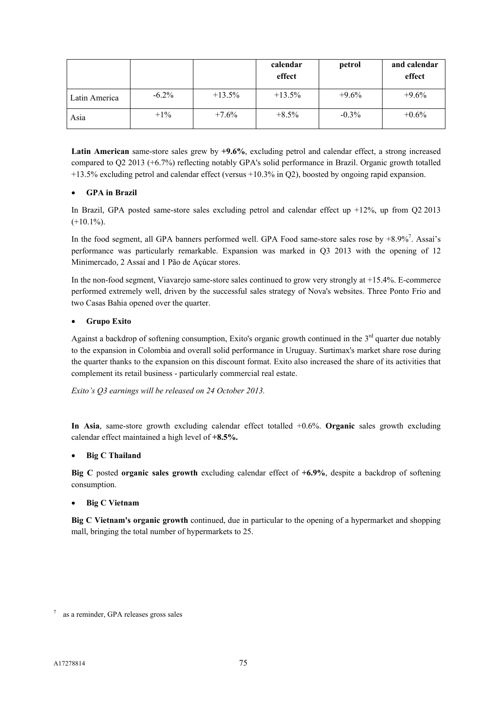|               |          |           | calendar<br>effect | petrol   | and calendar<br>effect |
|---------------|----------|-----------|--------------------|----------|------------------------|
| Latin America | $-6.2\%$ | $+13.5\%$ | $+13.5\%$          | $+9.6%$  | $+9.6%$                |
| Asia          | $+1\%$   | $+7.6%$   | $+8.5\%$           | $-0.3\%$ | $+0.6\%$               |

**Latin American** same-store sales grew by **+9.6%**, excluding petrol and calendar effect, a strong increased compared to Q2 2013 (+6.7%) reflecting notably GPA's solid performance in Brazil. Organic growth totalled +13.5% excluding petrol and calendar effect (versus +10.3% in Q2), boosted by ongoing rapid expansion.

### **GPA in Brazil**

In Brazil, GPA posted same-store sales excluding petrol and calendar effect up +12%, up from Q2 2013  $(+10.1\%)$ .

In the food segment, all GPA banners performed well. GPA Food same-store sales rose by  $+8.9\%$ <sup>7</sup>. Assaí's performance was particularly remarkable. Expansion was marked in Q3 2013 with the opening of 12 Minimercado, 2 Assaí and 1 Pão de Açúcar stores.

In the non-food segment, Viavarejo same-store sales continued to grow very strongly at +15.4%. E-commerce performed extremely well, driven by the successful sales strategy of Nova's websites. Three Ponto Frio and two Casas Bahia opened over the quarter.

### **Grupo Exito**

Against a backdrop of softening consumption, Exito's organic growth continued in the  $3<sup>rd</sup>$  quarter due notably to the expansion in Colombia and overall solid performance in Uruguay. Surtimax's market share rose during the quarter thanks to the expansion on this discount format. Exito also increased the share of its activities that complement its retail business - particularly commercial real estate.

*Exito's Q3 earnings will be released on 24 October 2013.*

**In Asia**, same-store growth excluding calendar effect totalled +0.6%. **Organic** sales growth excluding calendar effect maintained a high level of **+8.5%.**

### **Big C Thailand**

**Big C** posted **organic sales growth** excluding calendar effect of **+6.9%**, despite a backdrop of softening consumption.

### **Big C Vietnam**

**Big C Vietnam's organic growth** continued, due in particular to the opening of a hypermarket and shopping mall, bringing the total number of hypermarkets to 25.

<sup>7</sup> as a reminder, GPA releases gross sales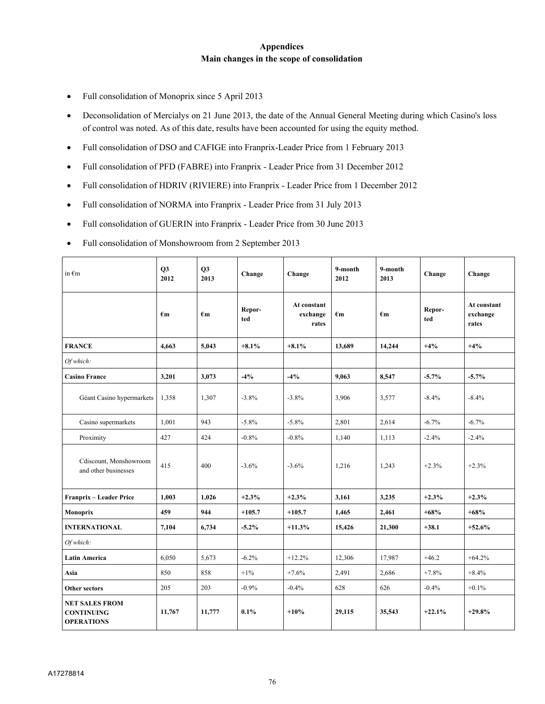### **Appendices Main changes in the scope of consolidation**

- Full consolidation of Monoprix since 5 April 2013
- Deconsolidation of Mercialys on 21 June 2013, the date of the Annual General Meeting during which Casino's loss of control was noted. As of this date, results have been accounted for using the equity method.
- Full consolidation of DSO and CAFIGE into Franprix-Leader Price from 1 February 2013
- Full consolidation of PFD (FABRE) into Franprix Leader Price from 31 December 2012
- Full consolidation of HDRIV (RIVIERE) into Franprix Leader Price from 1 December 2012
- Full consolidation of NORMA into Franprix Leader Price from 31 July 2013
- Full consolidation of GUERIN into Franprix Leader Price from 30 June 2013
- Full consolidation of Monshowroom from 2 September 2013

| in $\epsilon$ m                                                 | O <sub>3</sub><br>2012 | <b>O3</b><br>2013 | Change        | Change                           | 9-month<br>2012    | 9-month<br>2013 | Change        | Change                           |
|-----------------------------------------------------------------|------------------------|-------------------|---------------|----------------------------------|--------------------|-----------------|---------------|----------------------------------|
|                                                                 | $\epsilon$ m           | $\epsilon$ m      | Repor-<br>ted | At constant<br>exchange<br>rates | $\epsilon_{\bf m}$ | $\epsilon$ m    | Repor-<br>ted | At constant<br>exchange<br>rates |
| <b>FRANCE</b>                                                   | 4.663                  | 5,043             | $+8.1%$       | $+8.1%$                          | 13.689             | 14,244          | $+4%$         | $+4%$                            |
| Of which:                                                       |                        |                   |               |                                  |                    |                 |               |                                  |
| <b>Casino France</b>                                            | 3,201                  | 3,073             | $-4%$         | $-4%$                            | 9,063              | 8,547           | $-5.7%$       | $-5.7%$                          |
| Géant Casino hypermarkets                                       | 1,358                  | 1,307             | $-3.8%$       | $-3.8%$                          | 3,906              | 3,577           | $-8.4%$       | $-8.4%$                          |
| Casino supermarkets                                             | 1,001                  | 943               | $-5.8\%$      | $-5.8\%$                         | 2,801              | 2,614           | $-6.7\%$      | $-6.7\%$                         |
| Proximity                                                       | 427                    | 424               | $-0.8%$       | $-0.8%$                          | 1,140              | 1,113           | $-2.4%$       | $-2.4%$                          |
| Cdiscount, Monshowroom<br>and other businesses                  | 415                    | 400               | $-3.6%$       | $-3.6%$                          | 1,216              | 1,243           | $+2.3%$       | $+2.3%$                          |
| Franprix - Leader Price                                         | 1,003                  | 1,026             | $+2.3%$       | $+2.3%$                          | 3,161              | 3,235           | $+2.3%$       | $+2.3%$                          |
| Monoprix                                                        | 459                    | 944               | $+105.7$      | $+105.7$                         | 1,465              | 2,461           | $+68%$        | $+68%$                           |
| <b>INTERNATIONAL</b>                                            | 7,104                  | 6,734             | $-5.2%$       | $+11.3%$                         | 15,426             | 21,300          | $+38.1$       | $+52.6%$                         |
| Of which:                                                       |                        |                   |               |                                  |                    |                 |               |                                  |
| <b>Latin America</b>                                            | 6,050                  | 5,673             | $-6.2%$       | $+12.2%$                         | 12,306             | 17,987          | $+46.2$       | $+64.2%$                         |
| Asia                                                            | 850                    | 858               | $+1\%$        | $+7.6%$                          | 2,491              | 2,686           | $+7.8%$       | $+8.4%$                          |
| <b>Other sectors</b>                                            | 205                    | 203               | $-0.9%$       | $-0.4%$                          | 628                | 626             | $-0.4%$       | $+0.1\%$                         |
| <b>NET SALES FROM</b><br><b>CONTINUING</b><br><b>OPERATIONS</b> | 11,767                 | 11,777            | $0.1\%$       | $+10%$                           | 29,115             | 35,543          | $+22.1%$      | $+29.8%$                         |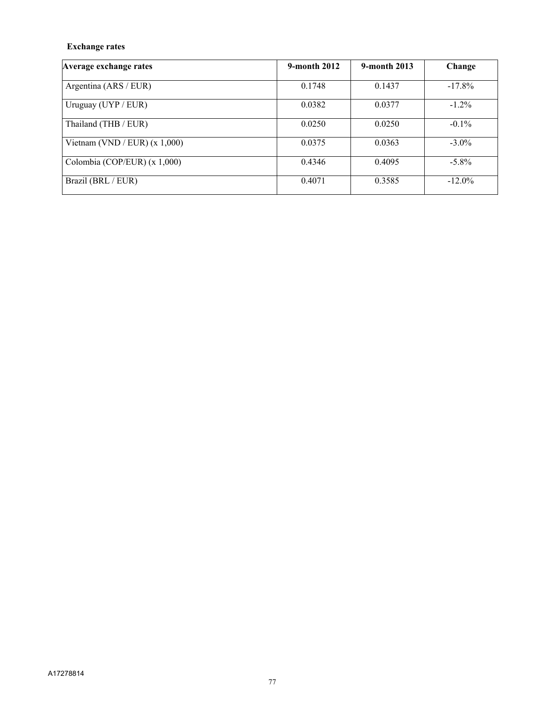## **Exchange rates**

| Average exchange rates          | 9-month 2012 | 9-month 2013 | Change    |
|---------------------------------|--------------|--------------|-----------|
| Argentina (ARS / EUR)           | 0.1748       | 0.1437       | $-17.8\%$ |
| Uruguay (UYP / EUR)             | 0.0382       | 0.0377       | $-1.2\%$  |
| Thailand (THB / EUR)            | 0.0250       | 0.0250       | $-0.1\%$  |
| Vietnam (VND / EUR) $(x 1,000)$ | 0.0375       | 0.0363       | $-3.0\%$  |
| Colombia (COP/EUR) (x 1,000)    | 0.4346       | 0.4095       | $-5.8\%$  |
| Brazil (BRL / EUR)              | 0.4071       | 0.3585       | $-12.0\%$ |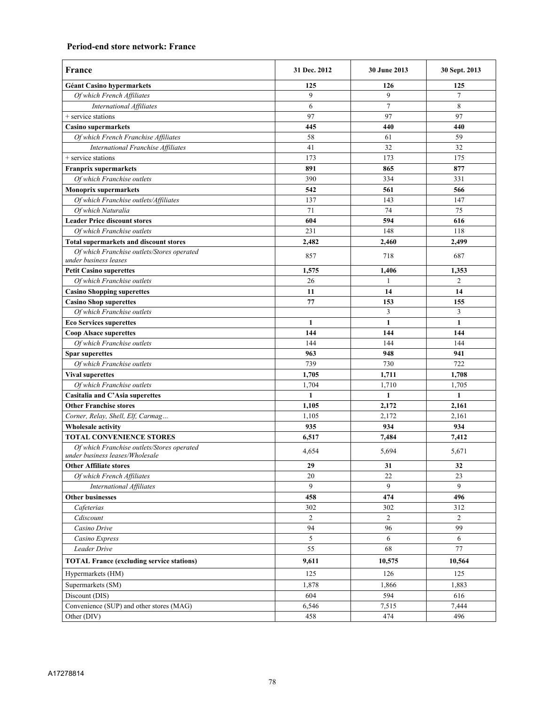### **Period-end store network: France**

| France                                                                        | 31 Dec. 2012    | 30 June 2013   | 30 Sept. 2013  |
|-------------------------------------------------------------------------------|-----------------|----------------|----------------|
| Géant Casino hypermarkets                                                     | 125             | 126            | 125            |
| Of which French Affiliates                                                    | 9               | 9              | $\overline{7}$ |
| <b>International Affiliates</b>                                               | 6               | $\overline{7}$ | 8              |
| + service stations                                                            | 97              | 97             | 97             |
| <b>Casino supermarkets</b>                                                    | 445             | 440            | 440            |
| Of which French Franchise Affiliates                                          | 58              | 61             | 59             |
| <b>International Franchise Affiliates</b>                                     | 41              | 32             | 32             |
| + service stations                                                            | 173             | 173            | 175            |
| <b>Franprix supermarkets</b>                                                  | 891             | 865            | 877            |
| Of which Franchise outlets                                                    | 390             | 334            | 331            |
| <b>Monoprix supermarkets</b>                                                  | 542             | 561            | 566            |
| Of which Franchise outlets/Affiliates                                         | 137             | 143            | 147            |
| Of which Naturalia                                                            | 71              | 74             | 75             |
| <b>Leader Price discount stores</b>                                           | 604             | 594            | 616            |
| Of which Franchise outlets                                                    | 231             | 148            | 118            |
| <b>Total supermarkets and discount stores</b>                                 | 2,482           | 2,460          | 2,499          |
| Of which Franchise outlets/Stores operated<br>under business leases           | 857             | 718            | 687            |
| <b>Petit Casino superettes</b>                                                | 1,575           | 1,406          | 1,353          |
| Of which Franchise outlets                                                    | 26              | 1              | 2              |
| <b>Casino Shopping superettes</b>                                             | 11              | 14             | 14             |
| <b>Casino Shop superettes</b>                                                 | 77              | 153            | 155            |
| Of which Franchise outlets                                                    |                 | 3              | 3              |
| <b>Eco Services superettes</b>                                                | 1               | $\mathbf{1}$   | 1              |
| <b>Coop Alsace superettes</b>                                                 | 144             | 144            | 144            |
| Of which Franchise outlets                                                    | 144             | 144            | 144            |
| <b>Spar superettes</b>                                                        | 963             | 948            | 941            |
| Of which Franchise outlets                                                    | 739             | 730            | 722            |
| <b>Vival superettes</b>                                                       | 1,705           | 1,711          | 1,708          |
| Of which Franchise outlets                                                    | 1,704           | 1,710          | 1,705          |
| Casitalia and C'Asia superettes                                               | 1               | $\mathbf{1}$   | 1              |
| <b>Other Franchise stores</b>                                                 | 1,105           | 2,172          | 2,161          |
| Corner, Relay, Shell, Elf, Carmag                                             | 1,105           | 2,172          | 2,161          |
| <b>Wholesale activity</b>                                                     | 935             | 934            | 934            |
| <b>TOTAL CONVENIENCE STORES</b>                                               | 6,517           | 7,484          | 7,412          |
| Of which Franchise outlets/Stores operated<br>under business leases/Wholesale | 4,654           | 5,694          | 5,671          |
| <b>Other Affiliate stores</b>                                                 | 29              | 31             | 32             |
| Of which French Affiliates                                                    | 20              | 22             | 23             |
| <b>International Affiliates</b>                                               | 9               | 9              | 9              |
| <b>Other businesses</b>                                                       | 458             | 474            | 496            |
| Cafeterias                                                                    | 302             | 302            | 312            |
| Cdiscount                                                                     | $\overline{c}$  | $\overline{c}$ | $\overline{2}$ |
| Casino Drive                                                                  | 94              | 96             | 99             |
| Casino Express                                                                | 5               | 6              | 6              |
| Leader Drive                                                                  | $\overline{55}$ | 68             | 77             |
| <b>TOTAL France (excluding service stations)</b>                              | 9,611           | 10,575         | 10,564         |
| Hypermarkets (HM)                                                             | 125             | 126            | 125            |
| Supermarkets (SM)                                                             | 1,878           | 1,866          | 1,883          |
| Discount (DIS)                                                                | 604             | 594            | 616            |
| Convenience (SUP) and other stores (MAG)                                      | 6,546           | 7,515          | 7,444          |
| Other (DIV)                                                                   | 458             | 474            | 496            |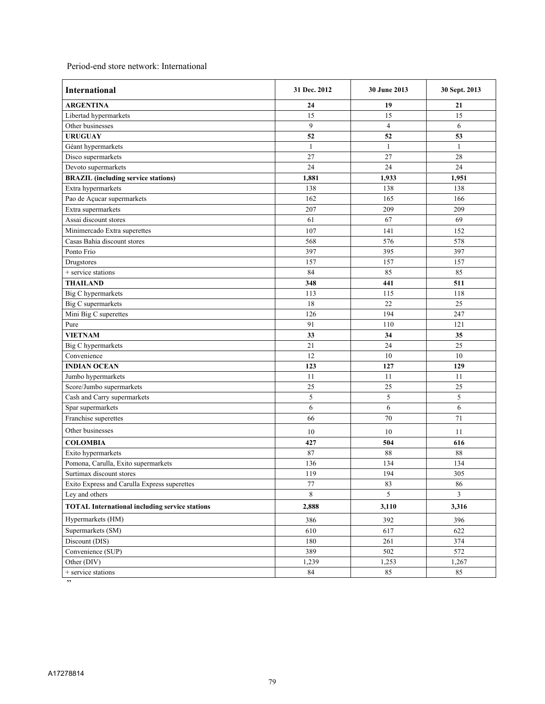Period-end store network: International

| <b>International</b>                                  | 31 Dec. 2012    | 30 June 2013            | 30 Sept. 2013 |
|-------------------------------------------------------|-----------------|-------------------------|---------------|
| <b>ARGENTINA</b>                                      | 24              | 19                      | 21            |
| Libertad hypermarkets                                 | 15              | 15                      | 15            |
| Other businesses                                      | 9               | $\overline{\mathbf{4}}$ | 6             |
| <b>URUGUAY</b>                                        | 52              | 52                      | 53            |
| Géant hypermarkets                                    | $\mathbf{1}$    | $\mathbf{1}$            | $\mathbf{1}$  |
| Disco supermarkets                                    | 27              | 27                      | 28            |
| Devoto supermarkets                                   | 24              | 24                      | 24            |
| <b>BRAZIL</b> (including service stations)            | 1,881           | 1,933                   | 1,951         |
| Extra hypermarkets                                    | 138             | 138                     | 138           |
| Pao de Açucar supermarkets                            | 162             | 165                     | 166           |
| Extra supermarkets                                    | 207             | 209                     | 209           |
| Assai discount stores                                 | 61              | 67                      | 69            |
| Minimercado Extra superettes                          | 107             | 141                     | 152           |
| Casas Bahia discount stores                           | 568             | 576                     | 578           |
| Ponto Frio                                            | 397             | 395                     | 397           |
| Drugstores                                            | 157             | 157                     | 157           |
| + service stations                                    | 84              | 85                      | 85            |
| <b>THAILAND</b>                                       | 348             | 441                     | 511           |
| Big C hypermarkets                                    | 113             | 115                     | 118           |
| <b>Big C</b> supermarkets                             | 18              | 22                      | 25            |
| Mini Big C superettes                                 | 126             | 194                     | 247           |
| Pure                                                  | 91              | 110                     | 121           |
| <b>VIETNAM</b>                                        | 33              | 34                      | 35            |
| Big C hypermarkets                                    | 21              | 24                      | 25            |
| Convenience                                           | 12              | 10                      | 10            |
| <b>INDIAN OCEAN</b>                                   | 123             | 127                     | 129           |
| Jumbo hypermarkets                                    | 11              | 11                      | 11            |
| Score/Jumbo supermarkets                              | $\overline{25}$ | 25                      | 25            |
| Cash and Carry supermarkets                           | 5               | 5                       | 5             |
| Spar supermarkets                                     | 6               | 6                       | 6             |
| Franchise superettes                                  | 66              | 70                      | 71            |
| Other businesses                                      | 10              | 10                      | 11            |
| <b>COLOMBIA</b>                                       | 427             | 504                     | 616           |
| Exito hypermarkets                                    | 87              | 88                      | 88            |
| Pomona, Carulla, Exito supermarkets                   | 136             | 134                     | 134           |
| Surtimax discount stores                              | 119             | 194                     | 305           |
| Exito Express and Carulla Express superettes          | 77              | 83                      | 86            |
| Ley and others                                        | 8               | 5                       | 3             |
| <b>TOTAL International including service stations</b> | 2,888           | 3,110                   | 3,316         |
| Hypermarkets (HM)                                     | 386             | 392                     | 396           |
| Supermarkets (SM)                                     | 610             | 617                     | 622           |
| Discount (DIS)                                        | 180             | 261                     | 374           |
| Convenience (SUP)                                     | 389             | 502                     | 572           |
| Other (DIV)                                           | 1,239           | 1,253                   | 1,267         |
| + service stations                                    | 84              | 85                      | 85            |

 $\frac{1}{\sqrt{2}}$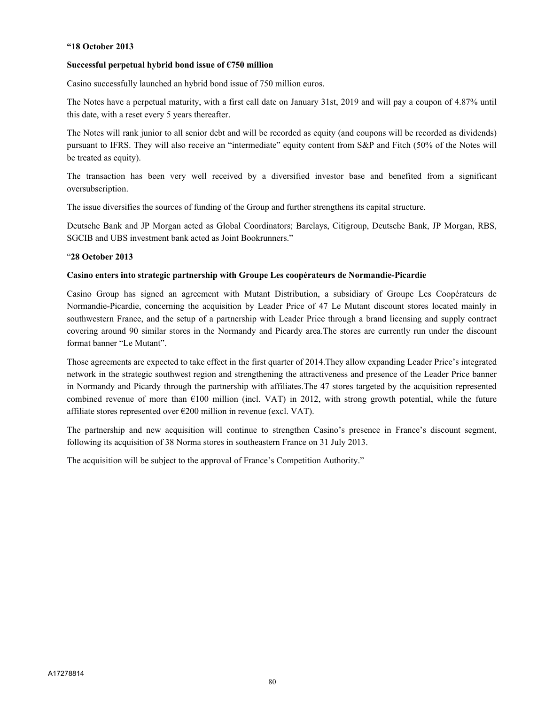### **"18 October 2013**

#### **Successful perpetual hybrid bond issue of €750 million**

Casino successfully launched an hybrid bond issue of 750 million euros.

The Notes have a perpetual maturity, with a first call date on January 31st, 2019 and will pay a coupon of 4.87% until this date, with a reset every 5 years thereafter.

The Notes will rank junior to all senior debt and will be recorded as equity (and coupons will be recorded as dividends) pursuant to IFRS. They will also receive an "intermediate" equity content from S&P and Fitch (50% of the Notes will be treated as equity).

The transaction has been very well received by a diversified investor base and benefited from a significant oversubscription.

The issue diversifies the sources of funding of the Group and further strengthens its capital structure.

Deutsche Bank and JP Morgan acted as Global Coordinators; Barclays, Citigroup, Deutsche Bank, JP Morgan, RBS, SGCIB and UBS investment bank acted as Joint Bookrunners."

#### "**28 October 2013**

#### **Casino enters into strategic partnership with Groupe Les coopérateurs de Normandie-Picardie**

Casino Group has signed an agreement with Mutant Distribution, a subsidiary of Groupe Les Coopérateurs de Normandie-Picardie, concerning the acquisition by Leader Price of 47 Le Mutant discount stores located mainly in southwestern France, and the setup of a partnership with Leader Price through a brand licensing and supply contract covering around 90 similar stores in the Normandy and Picardy area.The stores are currently run under the discount format banner "Le Mutant".

Those agreements are expected to take effect in the first quarter of 2014.They allow expanding Leader Price's integrated network in the strategic southwest region and strengthening the attractiveness and presence of the Leader Price banner in Normandy and Picardy through the partnership with affiliates.The 47 stores targeted by the acquisition represented combined revenue of more than  $\epsilon$ 100 million (incl. VAT) in 2012, with strong growth potential, while the future affiliate stores represented over €200 million in revenue (excl. VAT).

The partnership and new acquisition will continue to strengthen Casino's presence in France's discount segment, following its acquisition of 38 Norma stores in southeastern France on 31 July 2013.

The acquisition will be subject to the approval of France's Competition Authority."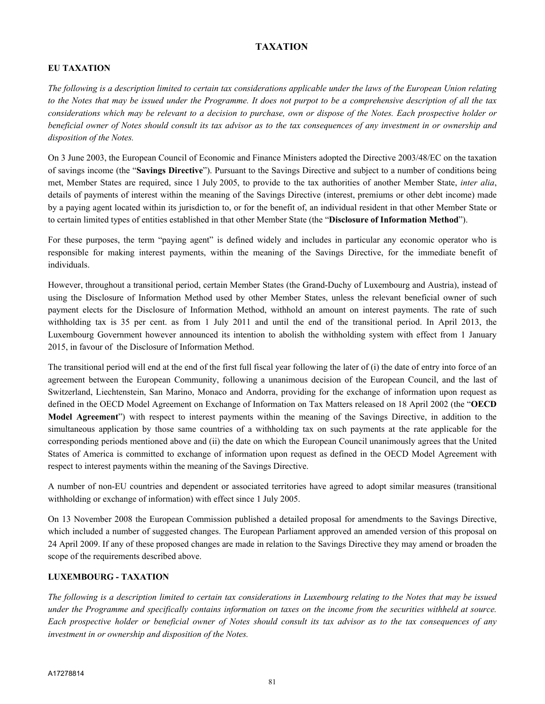## **TAXATION**

### **EU TAXATION**

*The following is a description limited to certain tax considerations applicable under the laws of the European Union relating to the Notes that may be issued under the Programme. It does not purpot to be a comprehensive description of all the tax considerations which may be relevant to a decision to purchase, own or dispose of the Notes. Each prospective holder or beneficial owner of Notes should consult its tax advisor as to the tax consequences of any investment in or ownership and disposition of the Notes.*

On 3 June 2003, the European Council of Economic and Finance Ministers adopted the Directive 2003/48/EC on the taxation of savings income (the "**Savings Directive**"). Pursuant to the Savings Directive and subject to a number of conditions being met, Member States are required, since 1 July 2005, to provide to the tax authorities of another Member State, *inter alia*, details of payments of interest within the meaning of the Savings Directive (interest, premiums or other debt income) made by a paying agent located within its jurisdiction to, or for the benefit of, an individual resident in that other Member State or to certain limited types of entities established in that other Member State (the "**Disclosure of Information Method**").

For these purposes, the term "paying agent" is defined widely and includes in particular any economic operator who is responsible for making interest payments, within the meaning of the Savings Directive, for the immediate benefit of individuals.

However, throughout a transitional period, certain Member States (the Grand-Duchy of Luxembourg and Austria), instead of using the Disclosure of Information Method used by other Member States, unless the relevant beneficial owner of such payment elects for the Disclosure of Information Method, withhold an amount on interest payments. The rate of such withholding tax is 35 per cent. as from 1 July 2011 and until the end of the transitional period. In April 2013, the Luxembourg Government however announced its intention to abolish the withholding system with effect from 1 January 2015, in favour of the Disclosure of Information Method.

The transitional period will end at the end of the first full fiscal year following the later of (i) the date of entry into force of an agreement between the European Community, following a unanimous decision of the European Council, and the last of Switzerland, Liechtenstein, San Marino, Monaco and Andorra, providing for the exchange of information upon request as defined in the OECD Model Agreement on Exchange of Information on Tax Matters released on 18 April 2002 (the "**OECD Model Agreement**") with respect to interest payments within the meaning of the Savings Directive, in addition to the simultaneous application by those same countries of a withholding tax on such payments at the rate applicable for the corresponding periods mentioned above and (ii) the date on which the European Council unanimously agrees that the United States of America is committed to exchange of information upon request as defined in the OECD Model Agreement with respect to interest payments within the meaning of the Savings Directive.

A number of non-EU countries and dependent or associated territories have agreed to adopt similar measures (transitional withholding or exchange of information) with effect since 1 July 2005.

On 13 November 2008 the European Commission published a detailed proposal for amendments to the Savings Directive, which included a number of suggested changes. The European Parliament approved an amended version of this proposal on 24 April 2009. If any of these proposed changes are made in relation to the Savings Directive they may amend or broaden the scope of the requirements described above.

### **LUXEMBOURG - TAXATION**

*The following is a description limited to certain tax considerations in Luxembourg relating to the Notes that may be issued under the Programme and specifically contains information on taxes on the income from the securities withheld at source. Each prospective holder or beneficial owner of Notes should consult its tax advisor as to the tax consequences of any investment in or ownership and disposition of the Notes.*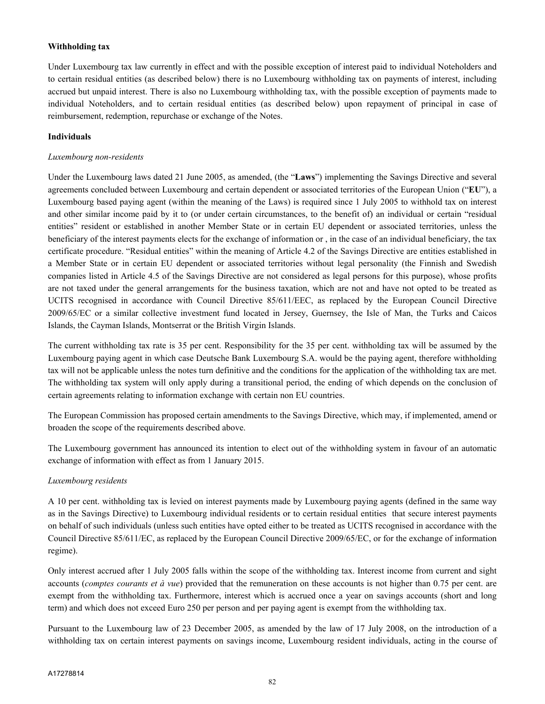### **Withholding tax**

Under Luxembourg tax law currently in effect and with the possible exception of interest paid to individual Noteholders and to certain residual entities (as described below) there is no Luxembourg withholding tax on payments of interest, including accrued but unpaid interest. There is also no Luxembourg withholding tax, with the possible exception of payments made to individual Noteholders, and to certain residual entities (as described below) upon repayment of principal in case of reimbursement, redemption, repurchase or exchange of the Notes.

#### **Individuals**

#### *Luxembourg non-residents*

Under the Luxembourg laws dated 21 June 2005, as amended, (the "**Laws**") implementing the Savings Directive and several agreements concluded between Luxembourg and certain dependent or associated territories of the European Union ("**EU**"), a Luxembourg based paying agent (within the meaning of the Laws) is required since 1 July 2005 to withhold tax on interest and other similar income paid by it to (or under certain circumstances, to the benefit of) an individual or certain "residual entities" resident or established in another Member State or in certain EU dependent or associated territories, unless the beneficiary of the interest payments elects for the exchange of information or , in the case of an individual beneficiary, the tax certificate procedure. "Residual entities" within the meaning of Article 4.2 of the Savings Directive are entities established in a Member State or in certain EU dependent or associated territories without legal personality (the Finnish and Swedish companies listed in Article 4.5 of the Savings Directive are not considered as legal persons for this purpose), whose profits are not taxed under the general arrangements for the business taxation, which are not and have not opted to be treated as UCITS recognised in accordance with Council Directive 85/611/EEC, as replaced by the European Council Directive 2009/65/EC or a similar collective investment fund located in Jersey, Guernsey, the Isle of Man, the Turks and Caicos Islands, the Cayman Islands, Montserrat or the British Virgin Islands.

The current withholding tax rate is 35 per cent. Responsibility for the 35 per cent. withholding tax will be assumed by the Luxembourg paying agent in which case Deutsche Bank Luxembourg S.A. would be the paying agent, therefore withholding tax will not be applicable unless the notes turn definitive and the conditions for the application of the withholding tax are met. The withholding tax system will only apply during a transitional period, the ending of which depends on the conclusion of certain agreements relating to information exchange with certain non EU countries.

The European Commission has proposed certain amendments to the Savings Directive, which may, if implemented, amend or broaden the scope of the requirements described above.

The Luxembourg government has announced its intention to elect out of the withholding system in favour of an automatic exchange of information with effect as from 1 January 2015.

### *Luxembourg residents*

A 10 per cent. withholding tax is levied on interest payments made by Luxembourg paying agents (defined in the same way as in the Savings Directive) to Luxembourg individual residents or to certain residual entities that secure interest payments on behalf of such individuals (unless such entities have opted either to be treated as UCITS recognised in accordance with the Council Directive 85/611/EC, as replaced by the European Council Directive 2009/65/EC, or for the exchange of information regime).

Only interest accrued after 1 July 2005 falls within the scope of the withholding tax. Interest income from current and sight accounts (*comptes courants et à vue*) provided that the remuneration on these accounts is not higher than 0.75 per cent. are exempt from the withholding tax. Furthermore, interest which is accrued once a year on savings accounts (short and long term) and which does not exceed Euro 250 per person and per paying agent is exempt from the withholding tax.

Pursuant to the Luxembourg law of 23 December 2005, as amended by the law of 17 July 2008, on the introduction of a withholding tax on certain interest payments on savings income, Luxembourg resident individuals, acting in the course of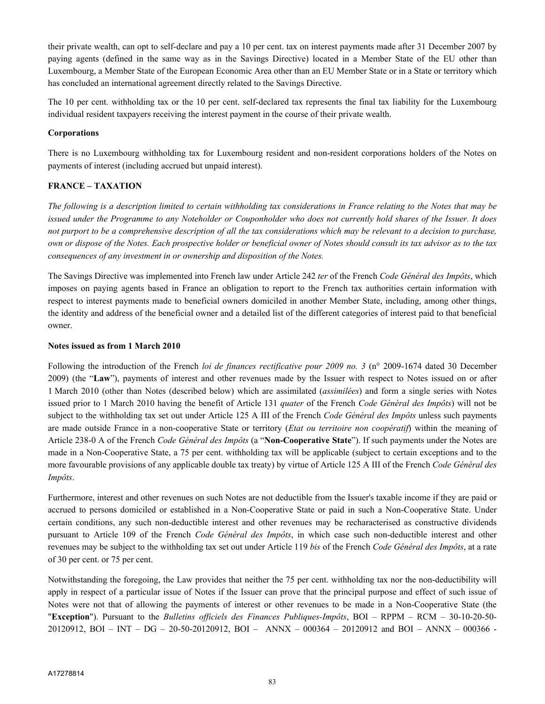their private wealth, can opt to self-declare and pay a 10 per cent. tax on interest payments made after 31 December 2007 by paying agents (defined in the same way as in the Savings Directive) located in a Member State of the EU other than Luxembourg, a Member State of the European Economic Area other than an EU Member State or in a State or territory which has concluded an international agreement directly related to the Savings Directive.

The 10 per cent. withholding tax or the 10 per cent. self-declared tax represents the final tax liability for the Luxembourg individual resident taxpayers receiving the interest payment in the course of their private wealth.

### **Corporations**

There is no Luxembourg withholding tax for Luxembourg resident and non-resident corporations holders of the Notes on payments of interest (including accrued but unpaid interest).

### **FRANCE – TAXATION**

*The following is a description limited to certain withholding tax considerations in France relating to the Notes that may be issued under the Programme to any Noteholder or Couponholder who does not currently hold shares of the Issuer. It does not purport to be a comprehensive description of all the tax considerations which may be relevant to a decision to purchase, own or dispose of the Notes. Each prospective holder or beneficial owner of Notes should consult its tax advisor as to the tax consequences of any investment in or ownership and disposition of the Notes.*

The Savings Directive was implemented into French law under Article 242 *ter* of the French *Code Général des Impôts*, which imposes on paying agents based in France an obligation to report to the French tax authorities certain information with respect to interest payments made to beneficial owners domiciled in another Member State, including, among other things, the identity and address of the beneficial owner and a detailed list of the different categories of interest paid to that beneficial owner.

### **Notes issued as from 1 March 2010**

Following the introduction of the French *loi de finances rectificative pour 2009 no. 3* (n° 2009-1674 dated 30 December 2009) (the "**Law**"), payments of interest and other revenues made by the Issuer with respect to Notes issued on or after 1 March 2010 (other than Notes (described below) which are assimilated (*assimilées*) and form a single series with Notes issued prior to 1 March 2010 having the benefit of Article 131 *quater* of the French *Code Général des Impôts*) will not be subject to the withholding tax set out under Article 125 A III of the French *Code Général des Impôts* unless such payments are made outside France in a non-cooperative State or territory (*Etat ou territoire non coopératif*) within the meaning of Article 238-0 A of the French *Code Général des Impôts* (a "**Non-Cooperative State**"). If such payments under the Notes are made in a Non-Cooperative State, a 75 per cent. withholding tax will be applicable (subject to certain exceptions and to the more favourable provisions of any applicable double tax treaty) by virtue of Article 125 A III of the French *Code Général des Impôts*.

Furthermore, interest and other revenues on such Notes are not deductible from the Issuer's taxable income if they are paid or accrued to persons domiciled or established in a Non-Cooperative State or paid in such a Non-Cooperative State. Under certain conditions, any such non-deductible interest and other revenues may be recharacterised as constructive dividends pursuant to Article 109 of the French *Code Général des Impôts*, in which case such non-deductible interest and other revenues may be subject to the withholding tax set out under Article 119 *bis* of the French *Code Général des Impôts*, at a rate of 30 per cent. or 75 per cent.

Notwithstanding the foregoing, the Law provides that neither the 75 per cent. withholding tax nor the non-deductibility will apply in respect of a particular issue of Notes if the Issuer can prove that the principal purpose and effect of such issue of Notes were not that of allowing the payments of interest or other revenues to be made in a Non-Cooperative State (the "**Exception**"). Pursuant to the *Bulletins officiels des Finances Publiques-Impôts*, BOI – RPPM – RCM – 30-10-20-50- 20120912, BOI – INT – DG – 20-50-20120912, BOI – ANNX – 000364 – 20120912 and BOI – ANNX – 000366 -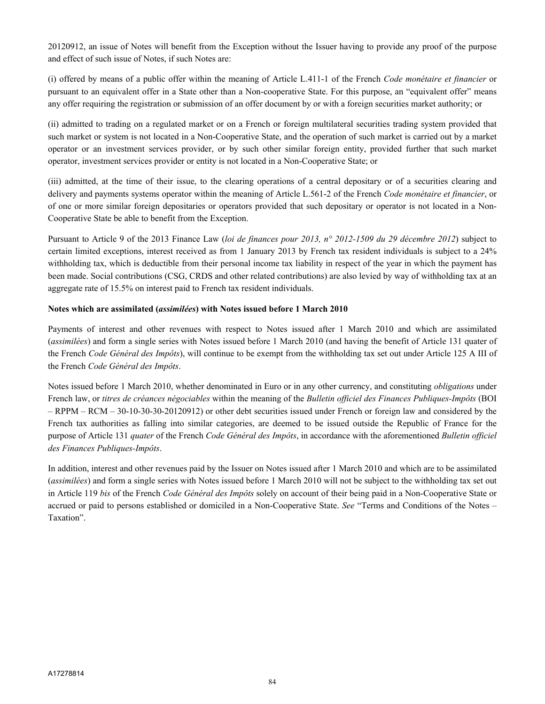20120912, an issue of Notes will benefit from the Exception without the Issuer having to provide any proof of the purpose and effect of such issue of Notes, if such Notes are:

(i) offered by means of a public offer within the meaning of Article L.411-1 of the French *Code monétaire et financier* or pursuant to an equivalent offer in a State other than a Non-cooperative State. For this purpose, an "equivalent offer" means any offer requiring the registration or submission of an offer document by or with a foreign securities market authority; or

(ii) admitted to trading on a regulated market or on a French or foreign multilateral securities trading system provided that such market or system is not located in a Non-Cooperative State, and the operation of such market is carried out by a market operator or an investment services provider, or by such other similar foreign entity, provided further that such market operator, investment services provider or entity is not located in a Non-Cooperative State; or

(iii) admitted, at the time of their issue, to the clearing operations of a central depositary or of a securities clearing and delivery and payments systems operator within the meaning of Article L.561-2 of the French *Code monétaire et financier*, or of one or more similar foreign depositaries or operators provided that such depositary or operator is not located in a Non-Cooperative State be able to benefit from the Exception.

Pursuant to Article 9 of the 2013 Finance Law (*loi de finances pour 2013, n° 2012-1509 du 29 décembre 2012*) subject to certain limited exceptions, interest received as from 1 January 2013 by French tax resident individuals is subject to a 24% withholding tax, which is deductible from their personal income tax liability in respect of the year in which the payment has been made. Social contributions (CSG, CRDS and other related contributions) are also levied by way of withholding tax at an aggregate rate of 15.5% on interest paid to French tax resident individuals.

### **Notes which are assimilated (***assimilées***) with Notes issued before 1 March 2010**

Payments of interest and other revenues with respect to Notes issued after 1 March 2010 and which are assimilated (*assimilées*) and form a single series with Notes issued before 1 March 2010 (and having the benefit of Article 131 quater of the French *Code Général des Impôts*), will continue to be exempt from the withholding tax set out under Article 125 A III of the French *Code Général des Impôts*.

Notes issued before 1 March 2010, whether denominated in Euro or in any other currency, and constituting *obligations* under French law, or *titres de créances négociables* within the meaning of the *Bulletin officiel des Finances Publiques-Impôts* (BOI – RPPM – RCM – 30-10-30-30-20120912) or other debt securities issued under French or foreign law and considered by the French tax authorities as falling into similar categories, are deemed to be issued outside the Republic of France for the purpose of Article 131 *quater* of the French *Code Général des Impôts*, in accordance with the aforementioned *Bulletin officiel des Finances Publiques-Impôts*.

In addition, interest and other revenues paid by the Issuer on Notes issued after 1 March 2010 and which are to be assimilated (*assimilées*) and form a single series with Notes issued before 1 March 2010 will not be subject to the withholding tax set out in Article 119 *bis* of the French *Code Général des Impôts* solely on account of their being paid in a Non-Cooperative State or accrued or paid to persons established or domiciled in a Non-Cooperative State. *See* "Terms and Conditions of the Notes – Taxation".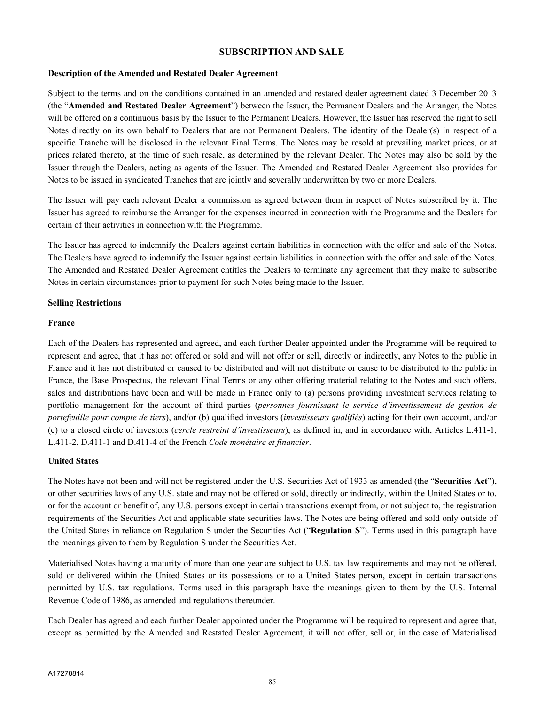### **SUBSCRIPTION AND SALE**

#### **Description of the Amended and Restated Dealer Agreement**

Subject to the terms and on the conditions contained in an amended and restated dealer agreement dated 3 December 2013 (the "**Amended and Restated Dealer Agreement**") between the Issuer, the Permanent Dealers and the Arranger, the Notes will be offered on a continuous basis by the Issuer to the Permanent Dealers. However, the Issuer has reserved the right to sell Notes directly on its own behalf to Dealers that are not Permanent Dealers. The identity of the Dealer(s) in respect of a specific Tranche will be disclosed in the relevant Final Terms. The Notes may be resold at prevailing market prices, or at prices related thereto, at the time of such resale, as determined by the relevant Dealer. The Notes may also be sold by the Issuer through the Dealers, acting as agents of the Issuer. The Amended and Restated Dealer Agreement also provides for Notes to be issued in syndicated Tranches that are jointly and severally underwritten by two or more Dealers.

The Issuer will pay each relevant Dealer a commission as agreed between them in respect of Notes subscribed by it. The Issuer has agreed to reimburse the Arranger for the expenses incurred in connection with the Programme and the Dealers for certain of their activities in connection with the Programme.

The Issuer has agreed to indemnify the Dealers against certain liabilities in connection with the offer and sale of the Notes. The Dealers have agreed to indemnify the Issuer against certain liabilities in connection with the offer and sale of the Notes. The Amended and Restated Dealer Agreement entitles the Dealers to terminate any agreement that they make to subscribe Notes in certain circumstances prior to payment for such Notes being made to the Issuer.

#### **Selling Restrictions**

#### **France**

Each of the Dealers has represented and agreed, and each further Dealer appointed under the Programme will be required to represent and agree, that it has not offered or sold and will not offer or sell, directly or indirectly, any Notes to the public in France and it has not distributed or caused to be distributed and will not distribute or cause to be distributed to the public in France, the Base Prospectus, the relevant Final Terms or any other offering material relating to the Notes and such offers, sales and distributions have been and will be made in France only to (a) persons providing investment services relating to portfolio management for the account of third parties (*personnes fournissant le service d'investissement de gestion de portefeuille pour compte de tiers*), and/or (b) qualified investors (*investisseurs qualifiés*) acting for their own account, and/or (c) to a closed circle of investors (*cercle restreint d'investisseurs*), as defined in, and in accordance with, Articles L.411-1, L.411-2, D.411-1 and D.411-4 of the French *Code monétaire et financier*.

### **United States**

The Notes have not been and will not be registered under the U.S. Securities Act of 1933 as amended (the "**Securities Act**"), or other securities laws of any U.S. state and may not be offered or sold, directly or indirectly, within the United States or to, or for the account or benefit of, any U.S. persons except in certain transactions exempt from, or not subject to, the registration requirements of the Securities Act and applicable state securities laws. The Notes are being offered and sold only outside of the United States in reliance on Regulation S under the Securities Act ("**Regulation S**"). Terms used in this paragraph have the meanings given to them by Regulation S under the Securities Act.

Materialised Notes having a maturity of more than one year are subject to U.S. tax law requirements and may not be offered, sold or delivered within the United States or its possessions or to a United States person, except in certain transactions permitted by U.S. tax regulations. Terms used in this paragraph have the meanings given to them by the U.S. Internal Revenue Code of 1986, as amended and regulations thereunder.

Each Dealer has agreed and each further Dealer appointed under the Programme will be required to represent and agree that, except as permitted by the Amended and Restated Dealer Agreement, it will not offer, sell or, in the case of Materialised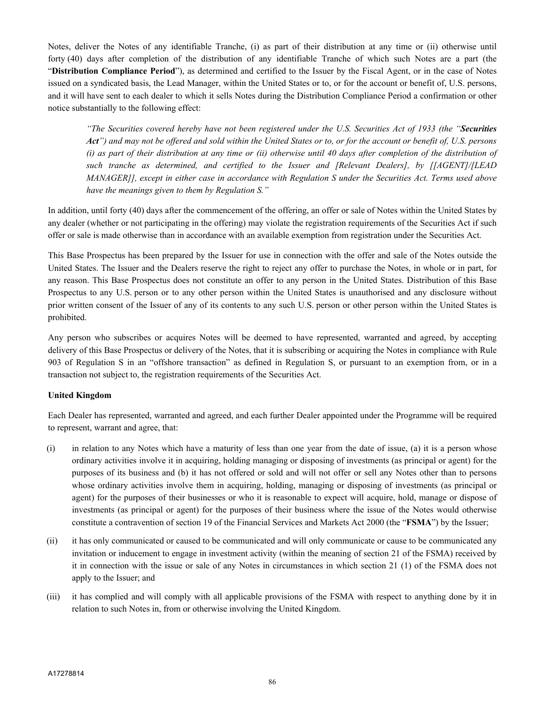Notes, deliver the Notes of any identifiable Tranche, (i) as part of their distribution at any time or (ii) otherwise until forty (40) days after completion of the distribution of any identifiable Tranche of which such Notes are a part (the "**Distribution Compliance Period**"), as determined and certified to the Issuer by the Fiscal Agent, or in the case of Notes issued on a syndicated basis, the Lead Manager, within the United States or to, or for the account or benefit of, U.S. persons, and it will have sent to each dealer to which it sells Notes during the Distribution Compliance Period a confirmation or other notice substantially to the following effect:

*"The Securities covered hereby have not been registered under the U.S. Securities Act of 1933 (the "Securities Act") and may not be offered and sold within the United States or to, or for the account or benefit of, U.S. persons (i) as part of their distribution at any time or (ii) otherwise until 40 days after completion of the distribution of such tranche as determined, and certified to the Issuer and [Relevant Dealers], by [[AGENT]/[LEAD MANAGER]], except in either case in accordance with Regulation S under the Securities Act. Terms used above have the meanings given to them by Regulation S."*

In addition, until forty (40) days after the commencement of the offering, an offer or sale of Notes within the United States by any dealer (whether or not participating in the offering) may violate the registration requirements of the Securities Act if such offer or sale is made otherwise than in accordance with an available exemption from registration under the Securities Act.

This Base Prospectus has been prepared by the Issuer for use in connection with the offer and sale of the Notes outside the United States. The Issuer and the Dealers reserve the right to reject any offer to purchase the Notes, in whole or in part, for any reason. This Base Prospectus does not constitute an offer to any person in the United States. Distribution of this Base Prospectus to any U.S. person or to any other person within the United States is unauthorised and any disclosure without prior written consent of the Issuer of any of its contents to any such U.S. person or other person within the United States is prohibited.

Any person who subscribes or acquires Notes will be deemed to have represented, warranted and agreed, by accepting delivery of this Base Prospectus or delivery of the Notes, that it is subscribing or acquiring the Notes in compliance with Rule 903 of Regulation S in an "offshore transaction" as defined in Regulation S, or pursuant to an exemption from, or in a transaction not subject to, the registration requirements of the Securities Act.

### **United Kingdom**

Each Dealer has represented, warranted and agreed, and each further Dealer appointed under the Programme will be required to represent, warrant and agree, that:

- (i) in relation to any Notes which have a maturity of less than one year from the date of issue, (a) it is a person whose ordinary activities involve it in acquiring, holding managing or disposing of investments (as principal or agent) for the purposes of its business and (b) it has not offered or sold and will not offer or sell any Notes other than to persons whose ordinary activities involve them in acquiring, holding, managing or disposing of investments (as principal or agent) for the purposes of their businesses or who it is reasonable to expect will acquire, hold, manage or dispose of investments (as principal or agent) for the purposes of their business where the issue of the Notes would otherwise constitute a contravention of section 19 of the Financial Services and Markets Act 2000 (the "**FSMA**") by the Issuer;
- (ii) it has only communicated or caused to be communicated and will only communicate or cause to be communicated any invitation or inducement to engage in investment activity (within the meaning of section 21 of the FSMA) received by it in connection with the issue or sale of any Notes in circumstances in which section 21 (1) of the FSMA does not apply to the Issuer; and
- (iii) it has complied and will comply with all applicable provisions of the FSMA with respect to anything done by it in relation to such Notes in, from or otherwise involving the United Kingdom.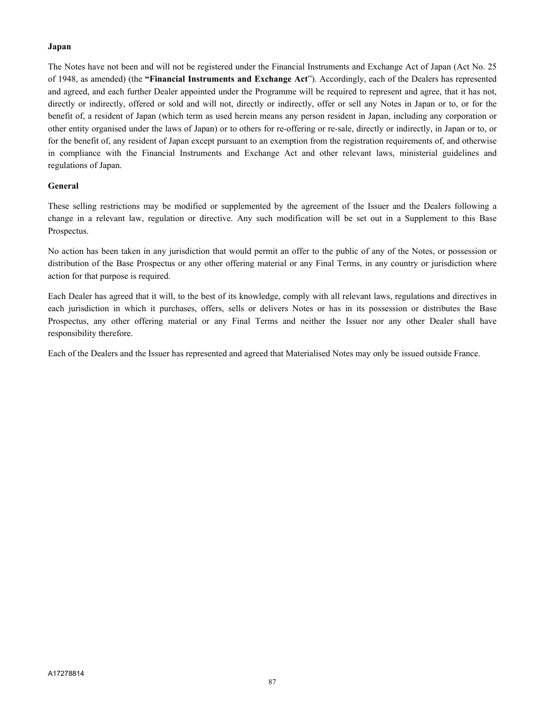### **Japan**

The Notes have not been and will not be registered under the Financial Instruments and Exchange Act of Japan (Act No. 25 of 1948, as amended) (the **"Financial Instruments and Exchange Act**"). Accordingly, each of the Dealers has represented and agreed, and each further Dealer appointed under the Programme will be required to represent and agree, that it has not, directly or indirectly, offered or sold and will not, directly or indirectly, offer or sell any Notes in Japan or to, or for the benefit of, a resident of Japan (which term as used herein means any person resident in Japan, including any corporation or other entity organised under the laws of Japan) or to others for re-offering or re-sale, directly or indirectly, in Japan or to, or for the benefit of, any resident of Japan except pursuant to an exemption from the registration requirements of, and otherwise in compliance with the Financial Instruments and Exchange Act and other relevant laws, ministerial guidelines and regulations of Japan.

### **General**

These selling restrictions may be modified or supplemented by the agreement of the Issuer and the Dealers following a change in a relevant law, regulation or directive. Any such modification will be set out in a Supplement to this Base Prospectus.

No action has been taken in any jurisdiction that would permit an offer to the public of any of the Notes, or possession or distribution of the Base Prospectus or any other offering material or any Final Terms, in any country or jurisdiction where action for that purpose is required.

Each Dealer has agreed that it will, to the best of its knowledge, comply with all relevant laws, regulations and directives in each jurisdiction in which it purchases, offers, sells or delivers Notes or has in its possession or distributes the Base Prospectus, any other offering material or any Final Terms and neither the Issuer nor any other Dealer shall have responsibility therefore.

Each of the Dealers and the Issuer has represented and agreed that Materialised Notes may only be issued outside France.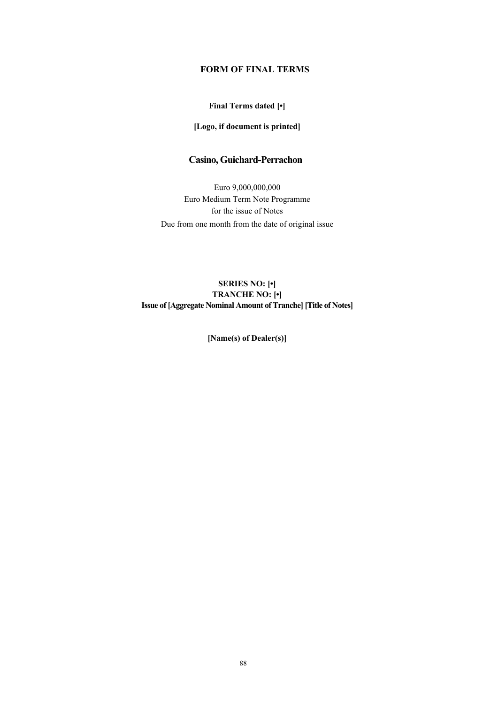## **FORM OF FINAL TERMS**

### **Final Terms dated [•]**

### **[Logo, if document is printed]**

## **Casino, Guichard-Perrachon**

Euro 9,000,000,000 Euro Medium Term Note Programme for the issue of Notes Due from one month from the date of original issue

### **SERIES NO: [•] TRANCHE NO: [•] Issue of [Aggregate Nominal Amount of Tranche] [Title of Notes]**

**[Name(s) of Dealer(s)]**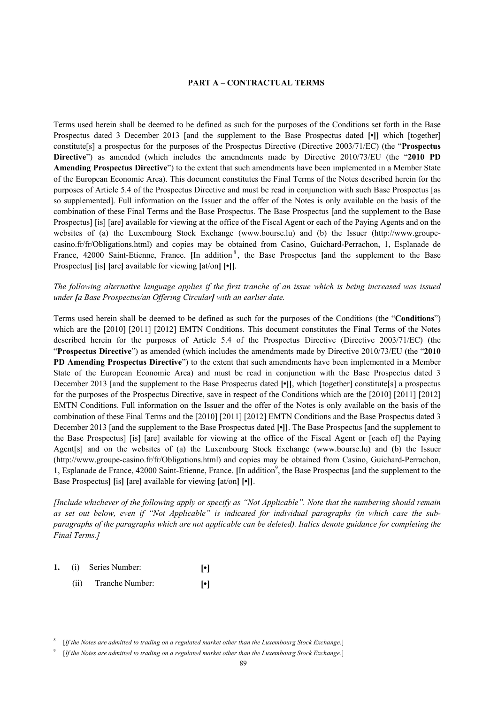#### **PART A – CONTRACTUAL TERMS**

Terms used herein shall be deemed to be defined as such for the purposes of the Conditions set forth in the Base Prospectus dated 3 December 2013 [and the supplement to the Base Prospectus dated **[•]]** which [together] constitute[s] a prospectus for the purposes of the Prospectus Directive (Directive 2003/71/EC) (the "**Prospectus Directive**") as amended (which includes the amendments made by Directive 2010/73/EU (the "**2010 PD Amending Prospectus Directive**") to the extent that such amendments have been implemented in a Member State of the European Economic Area). This document constitutes the Final Terms of the Notes described herein for the purposes of Article 5.4 of the Prospectus Directive and must be read in conjunction with such Base Prospectus [as so supplemented]. Full information on the Issuer and the offer of the Notes is only available on the basis of the combination of these Final Terms and the Base Prospectus. The Base Prospectus [and the supplement to the Base Prospectus] [is] [are] available for viewing at the office of the Fiscal Agent or each of the Paying Agents and on the websites of (a) the Luxembourg Stock Exchange (www.bourse.lu) and (b) the Issuer (http://www.groupecasino.fr/fr/Obligations.html) and copies may be obtained from Casino, Guichard-Perrachon, 1, Esplanade de France, 42000 Saint-Etienne, France. [In addition<sup>8</sup>, the Base Prospectus [and the supplement to the Base Prospectus**] [**is**] [**are**]** available for viewing **[**at/on**] [•]]**.

*The following alternative language applies if the first tranche of an issue which is being increased was issued under [a Base Prospectus/an Offering Circular] with an earlier date.* 

Terms used herein shall be deemed to be defined as such for the purposes of the Conditions (the "**Conditions**") which are the [2010] [2011] [2012] EMTN Conditions. This document constitutes the Final Terms of the Notes described herein for the purposes of Article 5.4 of the Prospectus Directive (Directive 2003/71/EC) (the "**Prospectus Directive**") as amended (which includes the amendments made by Directive 2010/73/EU (the "**2010 PD Amending Prospectus Directive**") to the extent that such amendments have been implemented in a Member State of the European Economic Area) and must be read in conjunction with the Base Prospectus dated 3 December 2013 [and the supplement to the Base Prospectus dated **[•]]**, which [together] constitute[s] a prospectus for the purposes of the Prospectus Directive, save in respect of the Conditions which are the [2010] [2011] [2012] EMTN Conditions. Full information on the Issuer and the offer of the Notes is only available on the basis of the combination of these Final Terms and the [2010] [2011] [2012] EMTN Conditions and the Base Prospectus dated 3 December 2013 [and the supplement to the Base Prospectus dated **[•]]**. The Base Prospectus [and the supplement to the Base Prospectus] [is] [are] available for viewing at the office of the Fiscal Agent or [each of] the Paying Agent[s] and on the websites of (a) the Luxembourg Stock Exchange (www.bourse.lu) and (b) the Issuer (http://www.groupe-casino.fr/fr/Obligations.html) and copies may be obtained from Casino, Guichard-Perrachon, 1, Esplanade de France, 42000 Saint-Etienne, France. [In addition<sup>9</sup>, the Base Prospectus [and the supplement to the Base Prospectus**] [**is**] [**are**]** available for viewing **[**at/on**] [•]]**.

*[Include whichever of the following apply or specify as "Not Applicable". Note that the numbering should remain as set out below, even if "Not Applicable" is indicated for individual paragraphs (in which case the subparagraphs of the paragraphs which are not applicable can be deleted). Italics denote guidance for completing the Final Terms.]*

- **1.** (i) Series Number: **[•]**
	- (ii) Tranche Number: **[•]**

<sup>8</sup> [*If the Notes are admitted to trading on a regulated market other than the Luxembourg Stock Exchange*.]

<sup>9</sup> [*If the Notes are admitted to trading on a regulated market other than the Luxembourg Stock Exchange*.]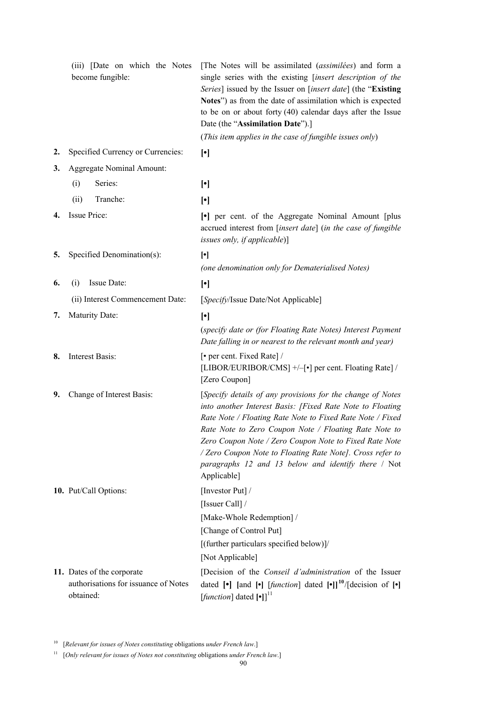|    | (iii) [Date on which the Notes<br>become fungible:                              | [The Notes will be assimilated (assimilées) and form a<br>single series with the existing [insert description of the<br>Series] issued by the Issuer on [insert date] (the "Existing<br>Notes") as from the date of assimilation which is expected<br>to be on or about forty $(40)$ calendar days after the Issue<br>Date (the "Assimilation Date").]<br>(This item applies in the case of fungible issues only)                          |
|----|---------------------------------------------------------------------------------|--------------------------------------------------------------------------------------------------------------------------------------------------------------------------------------------------------------------------------------------------------------------------------------------------------------------------------------------------------------------------------------------------------------------------------------------|
| 2. | Specified Currency or Currencies:                                               | $[\cdot]$                                                                                                                                                                                                                                                                                                                                                                                                                                  |
| 3. | <b>Aggregate Nominal Amount:</b>                                                |                                                                                                                                                                                                                                                                                                                                                                                                                                            |
|    | Series:<br>(i)                                                                  | $[\cdot]$                                                                                                                                                                                                                                                                                                                                                                                                                                  |
|    | (ii)<br>Tranche:                                                                | $[\cdot]$                                                                                                                                                                                                                                                                                                                                                                                                                                  |
| 4. | Issue Price:                                                                    | • per cent. of the Aggregate Nominal Amount [plus]<br>accrued interest from [insert date] (in the case of fungible<br>issues only, if applicable)]                                                                                                                                                                                                                                                                                         |
| 5. | Specified Denomination(s):                                                      | $[\cdot]$                                                                                                                                                                                                                                                                                                                                                                                                                                  |
|    |                                                                                 | (one denomination only for Dematerialised Notes)                                                                                                                                                                                                                                                                                                                                                                                           |
| 6. | Issue Date:<br>(i)                                                              | $[\cdot]$                                                                                                                                                                                                                                                                                                                                                                                                                                  |
|    | (ii) Interest Commencement Date:                                                | [Specify/Issue Date/Not Applicable]                                                                                                                                                                                                                                                                                                                                                                                                        |
| 7. | Maturity Date:                                                                  | $[\cdot]$<br>(specify date or (for Floating Rate Notes) Interest Payment<br>Date falling in or nearest to the relevant month and year)                                                                                                                                                                                                                                                                                                     |
| 8. | Interest Basis:                                                                 | [• per cent. Fixed Rate] /<br>[LIBOR/EURIBOR/CMS] +/-[•] per cent. Floating Rate] /<br>[Zero Coupon]                                                                                                                                                                                                                                                                                                                                       |
| 9. | Change of Interest Basis:                                                       | [Specify details of any provisions for the change of Notes<br>into another Interest Basis: [Fixed Rate Note to Floating<br>Rate Note / Floating Rate Note to Fixed Rate Note / Fixed<br>Rate Note to Zero Coupon Note / Floating Rate Note to<br>Zero Coupon Note / Zero Coupon Note to Fixed Rate Note<br>/ Zero Coupon Note to Floating Rate Note]. Cross refer to<br>paragraphs 12 and 13 below and identify there / Not<br>Applicable] |
|    | 10. Put/Call Options:                                                           | [Investor Put] /                                                                                                                                                                                                                                                                                                                                                                                                                           |
|    |                                                                                 | [Issuer Call] /                                                                                                                                                                                                                                                                                                                                                                                                                            |
|    |                                                                                 | [Make-Whole Redemption] /                                                                                                                                                                                                                                                                                                                                                                                                                  |
|    |                                                                                 | [Change of Control Put]                                                                                                                                                                                                                                                                                                                                                                                                                    |
|    |                                                                                 | [(further particulars specified below)]/                                                                                                                                                                                                                                                                                                                                                                                                   |
|    |                                                                                 | [Not Applicable]                                                                                                                                                                                                                                                                                                                                                                                                                           |
|    | 11. Dates of the corporate<br>authorisations for issuance of Notes<br>obtained: | [Decision of the <i>Conseil d'administration</i> of the Issuer<br>dated $[\bullet]$ [and $[\bullet]$ [ <i>function</i> ] dated $[\bullet]]^{10}/$ [decision of $[\bullet]$<br>[function] dated $[\cdot]$ ] <sup>11</sup>                                                                                                                                                                                                                   |

<sup>10</sup> [*Relevant for issues of Notes constituting* obligations *under French law*.]

<sup>11</sup> [*Only relevant for issues of Notes not constituting obligations under French law.*]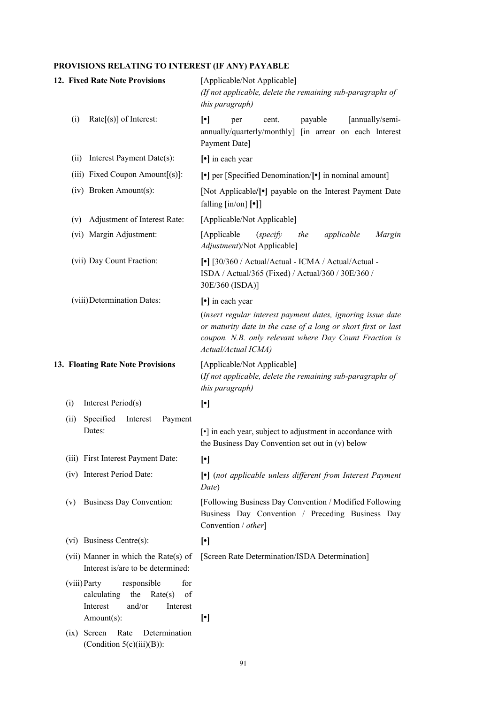# **PROVISIONS RELATING TO INTEREST (IF ANY) PAYABLE**

| 12. Fixed Rate Note Provisions                                                                              | [Applicable/Not Applicable]<br>(If not applicable, delete the remaining sub-paragraphs of<br>this paragraph)                                                                                                  |
|-------------------------------------------------------------------------------------------------------------|---------------------------------------------------------------------------------------------------------------------------------------------------------------------------------------------------------------|
| (i)<br>$Rate[s]$ of Interest:                                                                               | $\lceil \cdot \rceil$<br>payable<br>[annually/semi-<br>cent.<br>per<br>annually/quarterly/monthly] [in arrear on each Interest<br>Payment Date]                                                               |
| Interest Payment Date(s):<br>(ii)                                                                           | [•] in each year                                                                                                                                                                                              |
| (iii) Fixed Coupon Amount[(s)]:                                                                             | $\lceil \cdot \rceil$ per [Specified Denomination/ $\lceil \cdot \rceil$ in nominal amount]                                                                                                                   |
| (iv) Broken Amount(s):                                                                                      | [Not Applicable/ $\lceil \cdot \rceil$ payable on the Interest Payment Date<br>falling $\left[\text{in}/\text{on}\right]$ [•]]                                                                                |
| Adjustment of Interest Rate:<br>(v)                                                                         | [Applicable/Not Applicable]                                                                                                                                                                                   |
| (vi) Margin Adjustment:                                                                                     | [Applicable<br>applicable<br>(specify)<br>the<br>Margin<br>Adjustment)/Not Applicable]                                                                                                                        |
| (vii) Day Count Fraction:                                                                                   | [•] [30/360 / Actual/Actual - ICMA / Actual/Actual -<br>ISDA / Actual/365 (Fixed) / Actual/360 / 30E/360 /<br>30E/360 (ISDA)]                                                                                 |
| (viii) Determination Dates:                                                                                 | $\lceil \cdot \rceil$ in each year                                                                                                                                                                            |
|                                                                                                             | (insert regular interest payment dates, ignoring issue date<br>or maturity date in the case of a long or short first or last<br>coupon. N.B. only relevant where Day Count Fraction is<br>Actual/Actual ICMA) |
| 13. Floating Rate Note Provisions                                                                           | [Applicable/Not Applicable]<br>(If not applicable, delete the remaining sub-paragraphs of<br>this paragraph)                                                                                                  |
| Interest Period(s)<br>(i)                                                                                   | $[\cdot]$                                                                                                                                                                                                     |
| Specified<br>Payment<br>Interest<br>(ii)<br>Dates:                                                          | [•] in each year, subject to adjustment in accordance with<br>the Business Day Convention set out in (v) below                                                                                                |
| (iii) First Interest Payment Date:                                                                          | $[\cdot]$                                                                                                                                                                                                     |
| (iv) Interest Period Date:                                                                                  | [•] (not applicable unless different from Interest Payment<br>Date)                                                                                                                                           |
| <b>Business Day Convention:</b><br>(v)                                                                      | [Following Business Day Convention / Modified Following<br>Business Day Convention / Preceding Business Day<br>Convention / other]                                                                            |
| (vi) Business Centre(s):                                                                                    | $[\cdot]$                                                                                                                                                                                                     |
| (vii) Manner in which the Rate(s) of<br>Interest is/are to be determined:                                   | [Screen Rate Determination/ISDA Determination]                                                                                                                                                                |
| for<br>(viii) Party<br>responsible<br>calculating<br>the<br>Rate(s)<br>of<br>and/or<br>Interest<br>Interest |                                                                                                                                                                                                               |
| Amount(s):                                                                                                  | $[\cdot]$                                                                                                                                                                                                     |
| $(ix)$ Screen<br>Rate<br>Determination<br>(Condition $5(c)(iii)(B)$ ):                                      |                                                                                                                                                                                                               |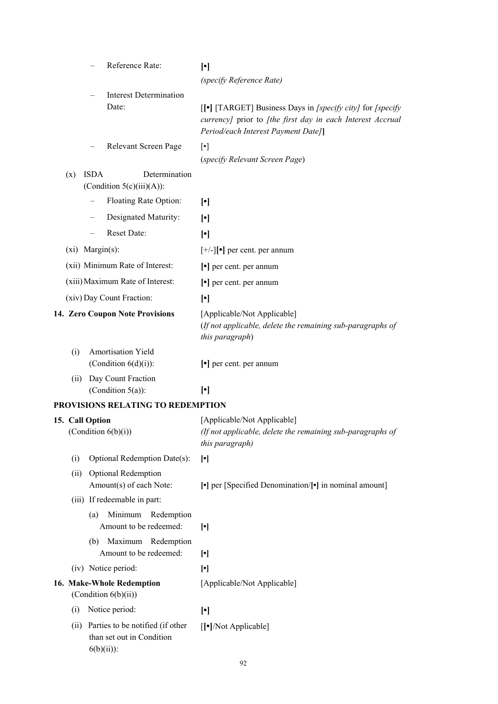|      |                       | Reference Rate:                               | $[\cdot]$<br>(specify Reference Rate)                                                                                                                            |
|------|-----------------------|-----------------------------------------------|------------------------------------------------------------------------------------------------------------------------------------------------------------------|
|      |                       | <b>Interest Determination</b><br>Date:        |                                                                                                                                                                  |
|      |                       |                                               | [[•] [TARGET] Business Days in [specify city] for [specify]<br>currency] prior to [the first day in each Interest Accrual<br>Period/each Interest Payment Date]] |
|      |                       | Relevant Screen Page                          | $[\cdot]$                                                                                                                                                        |
|      |                       |                                               | (specify Relevant Screen Page)                                                                                                                                   |
| (x)  | <b>ISDA</b>           | Determination<br>(Condition $5(c)(iii)(A)$ ): |                                                                                                                                                                  |
|      |                       | Floating Rate Option:                         | $[\cdot]$                                                                                                                                                        |
|      |                       | Designated Maturity:                          | $\lceil \cdot \rceil$                                                                                                                                            |
|      |                       | Reset Date:                                   | $[\cdot]$                                                                                                                                                        |
|      | $(xi)$ Margin $(s)$ : |                                               | $[+/]-$ ] [ $\bullet$ ] per cent. per annum                                                                                                                      |
|      |                       | (xii) Minimum Rate of Interest:               | $\lceil \cdot \rceil$ per cent. per annum                                                                                                                        |
|      |                       | (xiii) Maximum Rate of Interest:              | $\lceil \cdot \rceil$ per cent. per annum                                                                                                                        |
|      |                       | (xiv) Day Count Fraction:                     | $\lceil \cdot \rceil$                                                                                                                                            |
|      |                       | 14. Zero Coupon Note Provisions               | [Applicable/Not Applicable]                                                                                                                                      |
|      |                       |                                               | (If not applicable, delete the remaining sub-paragraphs of<br>this paragraph)                                                                                    |
| (i)  |                       | Amortisation Yield                            |                                                                                                                                                                  |
|      |                       | (Condition $6(d)(i)$ ):                       | $\lceil \cdot \rceil$ per cent. per annum                                                                                                                        |
| (ii) |                       | Day Count Fraction                            |                                                                                                                                                                  |
|      |                       | (Condition $5(a)$ ):                          | $\lceil \cdot \rceil$                                                                                                                                            |
|      |                       | <b>PROVISIONS RELATING TO REDEMPTION</b>      |                                                                                                                                                                  |

|      | 15. Call Option                                                                | [Applicable/Not Applicable]                                                   |
|------|--------------------------------------------------------------------------------|-------------------------------------------------------------------------------|
|      | (Condition $6(b)(i)$ )                                                         | (If not applicable, delete the remaining sub-paragraphs of<br>this paragraph) |
| (i)  | Optional Redemption Date(s):                                                   | $[\cdot]$                                                                     |
| (ii) | <b>Optional Redemption</b><br>Amount(s) of each Note:                          | [•] per [Specified Denomination/[•] in nominal amount]                        |
|      | (iii) If redeemable in part:                                                   |                                                                               |
|      | Minimum<br>Redemption<br>(a)<br>Amount to be redeemed:                         | $[\cdot]$                                                                     |
|      | Maximum Redemption<br>(b)<br>Amount to be redeemed:                            | $[\cdot]$                                                                     |
|      | (iv) Notice period:                                                            | $[\cdot]$                                                                     |
|      | 16. Make-Whole Redemption<br>(Condition $6(b)(ii)$ )                           | [Applicable/Not Applicable]                                                   |
| (i)  | Notice period:                                                                 | $[\cdot]$                                                                     |
| (ii) | Parties to be notified (if other<br>than set out in Condition<br>$6(b)(ii))$ : | $\lceil \cdot \rceil$ /Not Applicable]                                        |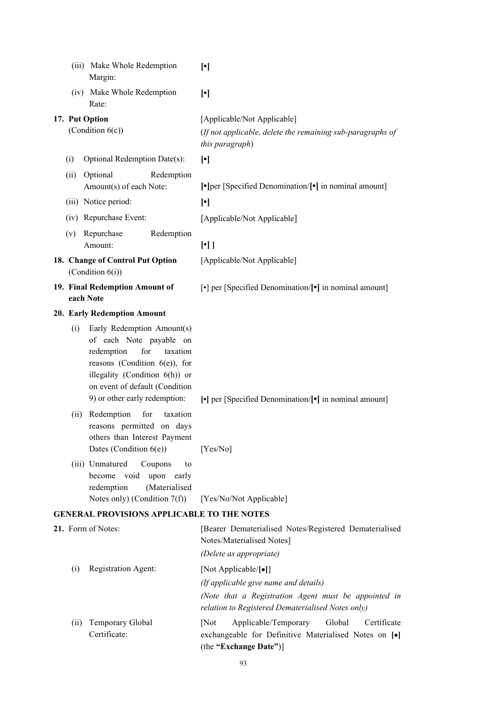|                | (iii) Make Whole Redemption<br>Margin:                                                                                                                                                                                          | $[\cdot]$                                                                                                                                                                  |
|----------------|---------------------------------------------------------------------------------------------------------------------------------------------------------------------------------------------------------------------------------|----------------------------------------------------------------------------------------------------------------------------------------------------------------------------|
|                | (iv) Make Whole Redemption<br>Rate:                                                                                                                                                                                             | $[\cdot]$                                                                                                                                                                  |
| 17. Put Option | (Condition $6(c)$ )                                                                                                                                                                                                             | [Applicable/Not Applicable]<br>(If not applicable, delete the remaining sub-paragraphs of<br>this paragraph)                                                               |
| (i)            | Optional Redemption Date(s):                                                                                                                                                                                                    | $[\cdot]$                                                                                                                                                                  |
| (ii)           | Optional<br>Redemption                                                                                                                                                                                                          |                                                                                                                                                                            |
|                | Amount(s) of each Note:                                                                                                                                                                                                         | $\lceil \cdot \rceil$ [Specified Denomination/ $\lceil \cdot \rceil$ in nominal amount]                                                                                    |
|                | (iii) Notice period:                                                                                                                                                                                                            | $\lceil \cdot \rceil$                                                                                                                                                      |
|                | (iv) Repurchase Event:                                                                                                                                                                                                          | [Applicable/Not Applicable]                                                                                                                                                |
| (v)            | Repurchase<br>Redemption<br>Amount:                                                                                                                                                                                             | $[\cdot]$                                                                                                                                                                  |
|                | 18. Change of Control Put Option<br>(Condition $6(i)$ )                                                                                                                                                                         | [Applicable/Not Applicable]                                                                                                                                                |
|                | 19. Final Redemption Amount of<br>each Note                                                                                                                                                                                     | [•] per [Specified Denomination/[•] in nominal amount]                                                                                                                     |
|                | 20. Early Redemption Amount                                                                                                                                                                                                     |                                                                                                                                                                            |
| (i)            | Early Redemption Amount(s)<br>of each Note payable on<br>for<br>redemption<br>taxation<br>reasons (Condition $6(e)$ ), for<br>illegality (Condition 6(h)) or<br>on event of default (Condition<br>9) or other early redemption: | [•] per [Specified Denomination/[•] in nominal amount]                                                                                                                     |
| (ii)           | Redemption<br>for<br>taxation<br>reasons permitted on days<br>others than Interest Payment<br>Dates (Condition 6(e))                                                                                                            | [Yes/No]                                                                                                                                                                   |
|                | (iii) Unmatured<br>Coupons<br>to<br>become void<br>upon early<br>(Materialised<br>redemption<br>Notes only) (Condition $7(f)$ )                                                                                                 | [Yes/No/Not Applicable]                                                                                                                                                    |
|                | <b>GENERAL PROVISIONS APPLICABLE TO THE NOTES</b>                                                                                                                                                                               |                                                                                                                                                                            |
|                | 21. Form of Notes:                                                                                                                                                                                                              | [Bearer Dematerialised Notes/Registered Dematerialised<br>Notes/Materialised Notes]                                                                                        |
|                |                                                                                                                                                                                                                                 | (Delete as appropriate)                                                                                                                                                    |
| (i)            | Registration Agent:                                                                                                                                                                                                             | [Not Applicable/[•]]<br>(If applicable give name and details)<br>(Note that a Registration Agent must be appointed in<br>relation to Registered Dematerialised Notes only) |
| (ii)           | Temporary Global<br>Certificate:                                                                                                                                                                                                | Applicable/Temporary<br>Global<br>[Not]<br>Certificate<br>exchangeable for Definitive Materialised Notes on [·]<br>(the "Exchange Date")]                                  |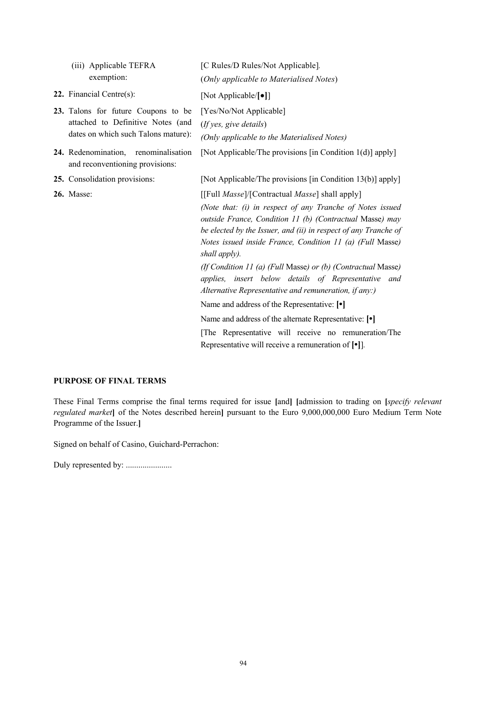| (iii) Applicable TEFRA<br>exemption:                                                                            | [C Rules/D Rules/Not Applicable].<br>(Only applicable to Materialised Notes)                                                                                                                                                                                                                                                                                                                                                    |
|-----------------------------------------------------------------------------------------------------------------|---------------------------------------------------------------------------------------------------------------------------------------------------------------------------------------------------------------------------------------------------------------------------------------------------------------------------------------------------------------------------------------------------------------------------------|
| <b>22.</b> Financial Centre $(s)$ :                                                                             | [Not Applicable/[ $\bullet$ ]]                                                                                                                                                                                                                                                                                                                                                                                                  |
| 23. Talons for future Coupons to be<br>attached to Definitive Notes (and<br>dates on which such Talons mature): | [Yes/No/Not Applicable]<br>(If yes, give details)<br>(Only applicable to the Materialised Notes)                                                                                                                                                                                                                                                                                                                                |
| 24. Redenomination, renominalisation<br>and reconventioning provisions:                                         | [Not Applicable/The provisions [in Condition 1(d)] apply]                                                                                                                                                                                                                                                                                                                                                                       |
| 25. Consolidation provisions:                                                                                   | [Not Applicable/The provisions [in Condition 13(b)] apply]                                                                                                                                                                                                                                                                                                                                                                      |
| <b>26.</b> Masse:                                                                                               | [[Full <i>Masse]</i> /[Contractual <i>Masse</i> ] shall apply]<br>(Note that: (i) in respect of any Tranche of Notes issued<br>outside France, Condition 11 (b) (Contractual Masse) may<br>be elected by the Issuer, and (ii) in respect of any Tranche of<br>Notes issued inside France, Condition 11 (a) (Full Masse)<br>shall apply).                                                                                        |
|                                                                                                                 | (If Condition 11 (a) (Full Masse) or (b) (Contractual Masse)<br>applies, insert below details of Representative and<br>Alternative Representative and remuneration, if any:)<br>Name and address of the Representative: [ $\bullet$ ]<br>Name and address of the alternate Representative: [ $\bullet$ ]<br>The Representative will receive no remuneration/The<br>Representative will receive a remuneration of $[\bullet]$ ]. |

### **PURPOSE OF FINAL TERMS**

These Final Terms comprise the final terms required for issue **[**and**] [**admission to trading on **[***specify relevant regulated market***]** of the Notes described herein**]** pursuant to the Euro 9,000,000,000 Euro Medium Term Note Programme of the Issuer.**]**

Signed on behalf of Casino, Guichard-Perrachon:

Duly represented by: ......................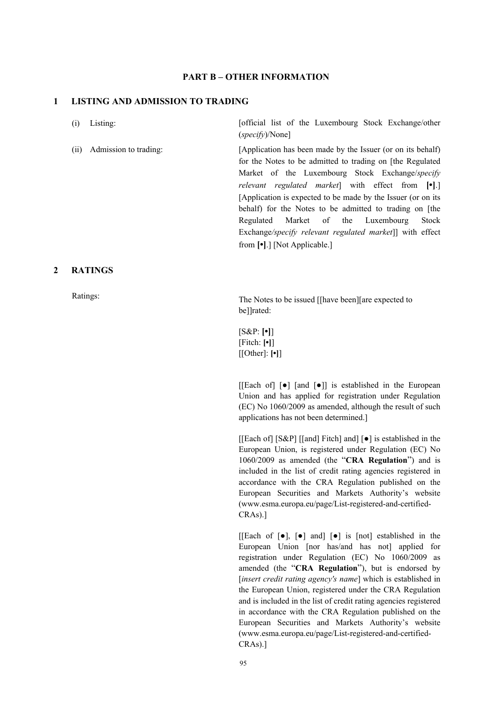### **PART B – OTHER INFORMATION**

#### **1 LISTING AND ADMISSION TO TRADING**

(i) Listing: [official list of the Luxembourg Stock Exchange/other (*specify*)/None]

(ii) Admission to trading: [Application has been made by the Issuer (or on its behalf) for the Notes to be admitted to trading on [the Regulated Market of the Luxembourg Stock Exchange/*specify relevant regulated market*] with effect from **[•]**.] [Application is expected to be made by the Issuer (or on its behalf) for the Notes to be admitted to trading on [the Regulated Market of the Luxembourg Stock Exchange*/specify relevant regulated market*]] with effect from **[•]**.] [Not Applicable.]

### **2 RATINGS**

Ratings:<br>The Notes to be issued [[have been][are expected to be]]rated:

> [S&P: **[•]**] [Fitch: **[•]**] [[Other]: **[•]**]

[[Each of] [●] [and [●]] is established in the European Union and has applied for registration under Regulation (EC) No 1060/2009 as amended, although the result of such applications has not been determined.]

[[Each of] [S&P] [[and] Fitch] and] [●] is established in the European Union, is registered under Regulation (EC) No 1060/2009 as amended (the "**CRA Regulation**") and is included in the list of credit rating agencies registered in accordance with the CRA Regulation published on the European Securities and Markets Authority's website (www.esma.europa.eu/page/List-registered-and-certified-CRAs).]

[[Each of  $\lceil \bullet \rceil$ ,  $\lceil \bullet \rceil$  and]  $\lceil \bullet \rceil$  is  $\lceil \cdot \text{not} \rceil$  established in the European Union [nor has/and has not] applied for registration under Regulation (EC) No 1060/2009 as amended (the "**CRA Regulation**"), but is endorsed by [*insert credit rating agency's name*] which is established in the European Union, registered under the CRA Regulation and is included in the list of credit rating agencies registered in accordance with the CRA Regulation published on the European Securities and Markets Authority's website (www.esma.europa.eu/page/List-registered-and-certified-CRAs).]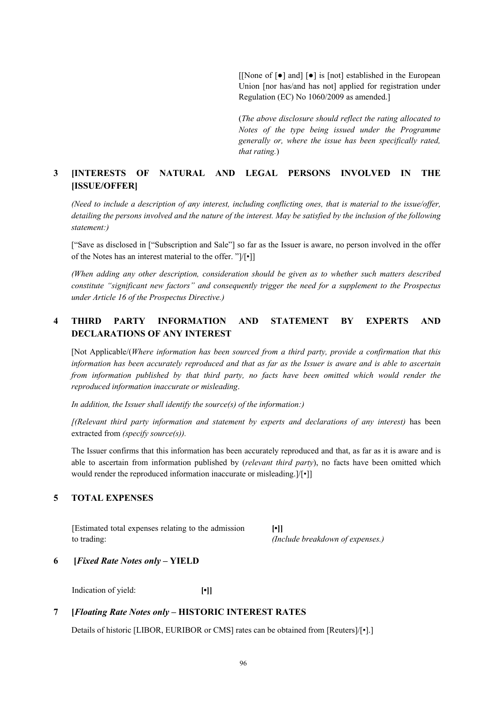[[None of [●] and] [●] is [not] established in the European Union [nor has/and has not] applied for registration under Regulation (EC) No 1060/2009 as amended.]

(*The above disclosure should reflect the rating allocated to Notes of the type being issued under the Programme generally or, where the issue has been specifically rated, that rating.*)

## **3 [INTERESTS OF NATURAL AND LEGAL PERSONS INVOLVED IN THE [ISSUE/OFFER]**

*(Need to include a description of any interest, including conflicting ones, that is material to the issue/offer,* detailing the persons involved and the nature of the interest. May be satisfied by the inclusion of the following *statement:)*

["Save as disclosed in ["Subscription and Sale"] so far as the Issuer is aware, no person involved in the offer of the Notes has an interest material to the offer. "]/[•]]

*(When adding any other description, consideration should be given as to whether such matters described constitute "significant new factors" and consequently trigger the need for a supplement to the Prospectus under Article 16 of the Prospectus Directive.)*

## **4 THIRD PARTY INFORMATION AND STATEMENT BY EXPERTS AND DECLARATIONS OF ANY INTEREST**

[Not Applicable/(*Where information has been sourced from a third party, provide a confirmation that this information has been accurately reproduced and that as far as the Issuer is aware and is able to ascertain from information published by that third party, no facts have been omitted which would render the reproduced information inaccurate or misleading*.

*In addition, the Issuer shall identify the source(s) of the information:)*

*[(Relevant third party information and statement by experts and declarations of any interest)* has been extracted from *(specify source(s)).* 

The Issuer confirms that this information has been accurately reproduced and that, as far as it is aware and is able to ascertain from information published by (*relevant third party*), no facts have been omitted which would render the reproduced information inaccurate or misleading.]/[•]]

### **5 TOTAL EXPENSES**

[Estimated total expenses relating to the admission to trading:

**[•]]** *(Include breakdown of expenses.)*

### **6 [***Fixed Rate Notes only* **– YIELD**

Indication of yield: **[•]]**

## **7 [***Floating Rate Notes only* **– HISTORIC INTEREST RATES**

Details of historic [LIBOR, EURIBOR or CMS] rates can be obtained from [Reuters]/[•].]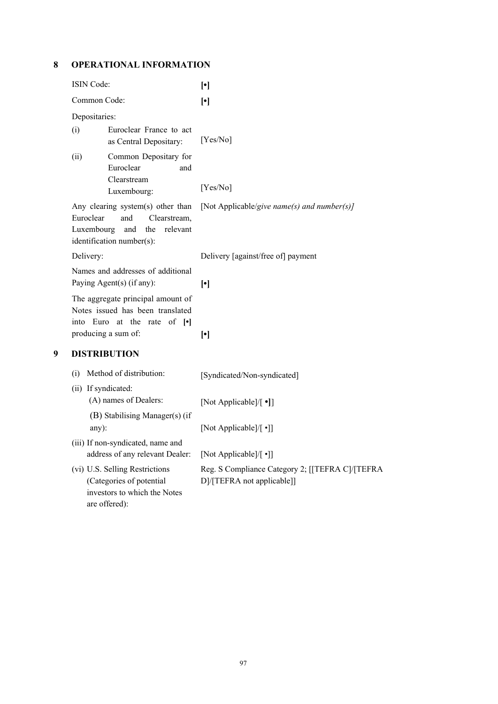**8 OPERATIONAL INFORMATION**

|   | ISIN Code:                                                                                                                                 |                                                                                                             | $\left[\cdot\right]$                                                          |
|---|--------------------------------------------------------------------------------------------------------------------------------------------|-------------------------------------------------------------------------------------------------------------|-------------------------------------------------------------------------------|
|   | Common Code:                                                                                                                               |                                                                                                             | $[\cdot]$                                                                     |
|   | Depositaries:                                                                                                                              |                                                                                                             |                                                                               |
|   | (i)                                                                                                                                        | Euroclear France to act<br>as Central Depositary:                                                           | [Yes/No]                                                                      |
|   | (ii)                                                                                                                                       | Common Depositary for<br>Euroclear<br>and<br>Clearstream<br>Luxembourg:                                     | [Yes/No]                                                                      |
|   | Any clearing system(s) other than<br>Euroclear<br>Clearstream,<br>and<br>Luxembourg<br>the<br>relevant<br>and<br>identification number(s): |                                                                                                             | [Not Applicable/give name(s) and number(s)]                                   |
|   | Delivery:<br>Names and addresses of additional<br>Paying Agent(s) (if any):                                                                |                                                                                                             | Delivery [against/free of] payment                                            |
|   |                                                                                                                                            |                                                                                                             | $\left[\cdot\right]$                                                          |
|   | The aggregate principal amount of<br>Notes issued has been translated<br>into Euro at the rate of [.]<br>producing a sum of:               |                                                                                                             | $[\cdot]$                                                                     |
| 9 | <b>DISTRIBUTION</b>                                                                                                                        |                                                                                                             |                                                                               |
|   | (i)<br>(ii) If syndicated:                                                                                                                 | Method of distribution:<br>(A) names of Dealers:                                                            | [Syndicated/Non-syndicated]                                                   |
|   | any):                                                                                                                                      | (B) Stabilising Manager(s) (if                                                                              | [Not Applicable]/[ •]]<br>[Not Applicable]/[ •]]                              |
|   |                                                                                                                                            | (iii) If non-syndicated, name and<br>address of any relevant Dealer:                                        | [Not Applicable]/[ •]]                                                        |
|   |                                                                                                                                            | (vi) U.S. Selling Restrictions<br>(Categories of potential<br>investors to which the Notes<br>are offered): | Reg. S Compliance Category 2; [[TEFRA C]/[TEFRA<br>D]/[TEFRA not applicable]] |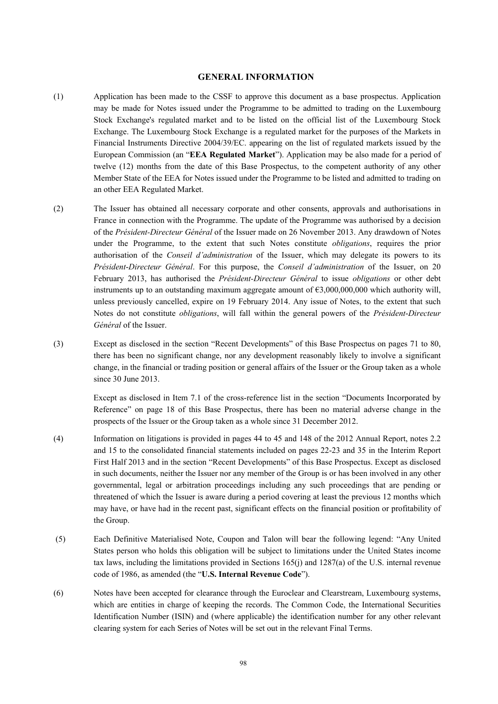#### **GENERAL INFORMATION**

- (1) Application has been made to the CSSF to approve this document as a base prospectus. Application may be made for Notes issued under the Programme to be admitted to trading on the Luxembourg Stock Exchange's regulated market and to be listed on the official list of the Luxembourg Stock Exchange. The Luxembourg Stock Exchange is a regulated market for the purposes of the Markets in Financial Instruments Directive 2004/39/EC. appearing on the list of regulated markets issued by the European Commission (an "**EEA Regulated Market**"). Application may be also made for a period of twelve (12) months from the date of this Base Prospectus, to the competent authority of any other Member State of the EEA for Notes issued under the Programme to be listed and admitted to trading on an other EEA Regulated Market.
- (2) The Issuer has obtained all necessary corporate and other consents, approvals and authorisations in France in connection with the Programme. The update of the Programme was authorised by a decision of the *Président-Directeur Général* of the Issuer made on 26 November 2013. Any drawdown of Notes under the Programme, to the extent that such Notes constitute *obligations*, requires the prior authorisation of the *Conseil d'administration* of the Issuer, which may delegate its powers to its *Président*-*Directeur Général*. For this purpose, the *Conseil d'administration* of the Issuer, on 20 February 2013, has authorised the *Président-Directeur Général* to issue *obligations* or other debt instruments up to an outstanding maximum aggregate amount of  $63,000,000,000$  which authority will, unless previously cancelled, expire on 19 February 2014. Any issue of Notes, to the extent that such Notes do not constitute *obligations*, will fall within the general powers of the *Président*-*Directeur Général* of the Issuer.
- (3) Except as disclosed in the section "Recent Developments" of this Base Prospectus on pages 71 to 80, there has been no significant change, nor any development reasonably likely to involve a significant change, in the financial or trading position or general affairs of the Issuer or the Group taken as a whole since 30 June 2013.

Except as disclosed in Item 7.1 of the cross-reference list in the section "Documents Incorporated by Reference" on page 18 of this Base Prospectus, there has been no material adverse change in the prospects of the Issuer or the Group taken as a whole since 31 December 2012.

- (4) Information on litigations is provided in pages 44 to 45 and 148 of the 2012 Annual Report, notes 2.2 and 15 to the consolidated financial statements included on pages 22-23 and 35 in the Interim Report First Half 2013 and in the section "Recent Developments" of this Base Prospectus. Except as disclosed in such documents, neither the Issuer nor any member of the Group is or has been involved in any other governmental, legal or arbitration proceedings including any such proceedings that are pending or threatened of which the Issuer is aware during a period covering at least the previous 12 months which may have, or have had in the recent past, significant effects on the financial position or profitability of the Group.
- (5) Each Definitive Materialised Note, Coupon and Talon will bear the following legend: "Any United States person who holds this obligation will be subject to limitations under the United States income tax laws, including the limitations provided in Sections 165(j) and 1287(a) of the U.S. internal revenue code of 1986, as amended (the "**U.S. Internal Revenue Code**").
- (6) Notes have been accepted for clearance through the Euroclear and Clearstream, Luxembourg systems, which are entities in charge of keeping the records. The Common Code, the International Securities Identification Number (ISIN) and (where applicable) the identification number for any other relevant clearing system for each Series of Notes will be set out in the relevant Final Terms.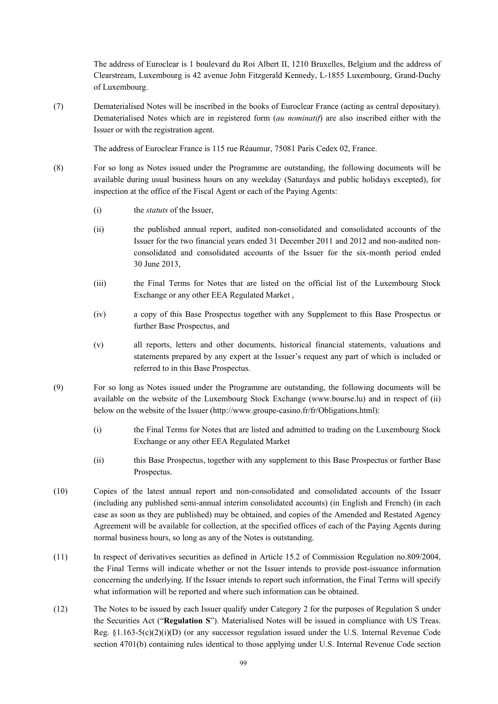The address of Euroclear is 1 boulevard du Roi Albert II, 1210 Bruxelles, Belgium and the address of Clearstream, Luxembourg is 42 avenue John Fitzgerald Kennedy, L-1855 Luxembourg, Grand-Duchy of Luxembourg.

(7) Dematerialised Notes will be inscribed in the books of Euroclear France (acting as central depositary). Dematerialised Notes which are in registered form (*au nominatif*) are also inscribed either with the Issuer or with the registration agent.

The address of Euroclear France is 115 rue Réaumur, 75081 Paris Cedex 02, France.

- (8) For so long as Notes issued under the Programme are outstanding, the following documents will be available during usual business hours on any weekday (Saturdays and public holidays excepted), for inspection at the office of the Fiscal Agent or each of the Paying Agents:
	- (i) the *statuts* of the Issuer,
	- (ii) the published annual report, audited non-consolidated and consolidated accounts of the Issuer for the two financial years ended 31 December 2011 and 2012 and non-audited nonconsolidated and consolidated accounts of the Issuer for the six-month period ended 30 June 2013,
	- (iii) the Final Terms for Notes that are listed on the official list of the Luxembourg Stock Exchange or any other EEA Regulated Market ,
	- (iv) a copy of this Base Prospectus together with any Supplement to this Base Prospectus or further Base Prospectus, and
	- (v) all reports, letters and other documents, historical financial statements, valuations and statements prepared by any expert at the Issuer's request any part of which is included or referred to in this Base Prospectus.
- (9) For so long as Notes issued under the Programme are outstanding, the following documents will be available on the website of the Luxembourg Stock Exchange (www.bourse.lu) and in respect of (ii) below on the website of the Issuer (http://www.groupe-casino.fr/fr/Obligations.html):
	- (i) the Final Terms for Notes that are listed and admitted to trading on the Luxembourg Stock Exchange or any other EEA Regulated Market
	- (ii) this Base Prospectus, together with any supplement to this Base Prospectus or further Base Prospectus.
- (10) Copies of the latest annual report and non-consolidated and consolidated accounts of the Issuer (including any published semi-annual interim consolidated accounts) (in English and French) (in each case as soon as they are published) may be obtained, and copies of the Amended and Restated Agency Agreement will be available for collection, at the specified offices of each of the Paying Agents during normal business hours, so long as any of the Notes is outstanding.
- (11) In respect of derivatives securities as defined in Article 15.2 of Commission Regulation no.809/2004, the Final Terms will indicate whether or not the Issuer intends to provide post-issuance information concerning the underlying. If the Issuer intends to report such information, the Final Terms will specify what information will be reported and where such information can be obtained.
- (12) The Notes to be issued by each Issuer qualify under Category 2 for the purposes of Regulation S under the Securities Act ("**Regulation S**"). Materialised Notes will be issued in compliance with US Treas. Reg.  $\S1.163-5(c)(2)(i)(D)$  (or any successor regulation issued under the U.S. Internal Revenue Code section 4701(b) containing rules identical to those applying under U.S. Internal Revenue Code section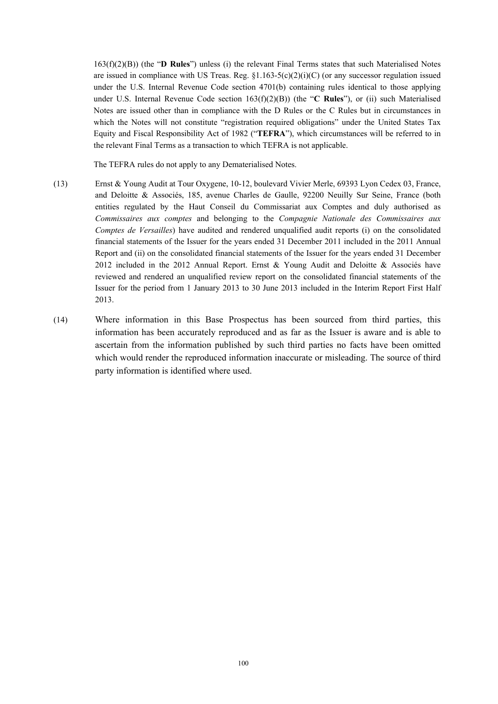163(f)(2)(B)) (the "**D Rules**") unless (i) the relevant Final Terms states that such Materialised Notes are issued in compliance with US Treas. Reg.  $\S1.163-5(c)(2)(i)(C)$  (or any successor regulation issued under the U.S. Internal Revenue Code section 4701(b) containing rules identical to those applying under U.S. Internal Revenue Code section 163(f)(2)(B)) (the "**C Rules**"), or (ii) such Materialised Notes are issued other than in compliance with the D Rules or the C Rules but in circumstances in which the Notes will not constitute "registration required obligations" under the United States Tax Equity and Fiscal Responsibility Act of 1982 ("**TEFRA**"), which circumstances will be referred to in the relevant Final Terms as a transaction to which TEFRA is not applicable.

The TEFRA rules do not apply to any Dematerialised Notes.

- (13) Ernst & Young Audit at Tour Oxygene, 10-12, boulevard Vivier Merle, 69393 Lyon Cedex 03, France, and Deloitte & Associés, 185, avenue Charles de Gaulle, 92200 Neuilly Sur Seine, France (both entities regulated by the Haut Conseil du Commissariat aux Comptes and duly authorised as *Commissaires aux comptes* and belonging to the *Compagnie Nationale des Commissaires aux Comptes de Versailles*) have audited and rendered unqualified audit reports (i) on the consolidated financial statements of the Issuer for the years ended 31 December 2011 included in the 2011 Annual Report and (ii) on the consolidated financial statements of the Issuer for the years ended 31 December 2012 included in the 2012 Annual Report. Ernst & Young Audit and Deloitte & Associés have reviewed and rendered an unqualified review report on the consolidated financial statements of the Issuer for the period from 1 January 2013 to 30 June 2013 included in the Interim Report First Half 2013.
- (14) Where information in this Base Prospectus has been sourced from third parties, this information has been accurately reproduced and as far as the Issuer is aware and is able to ascertain from the information published by such third parties no facts have been omitted which would render the reproduced information inaccurate or misleading. The source of third party information is identified where used.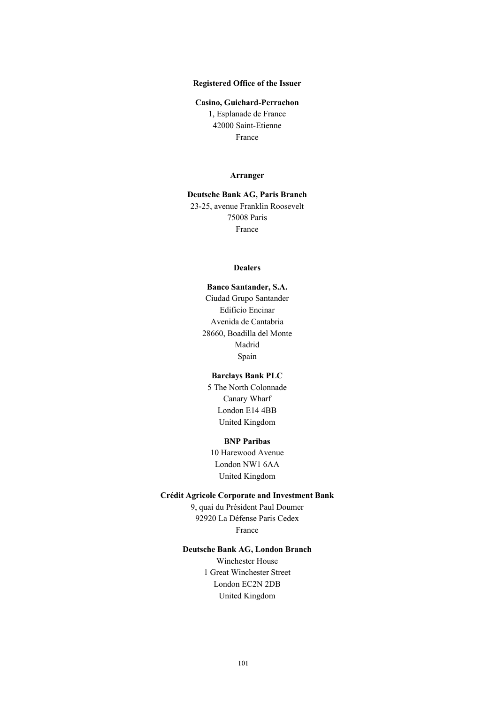### **Registered Office of the Issuer**

#### **Casino, Guichard-Perrachon**

1, Esplanade de France 42000 Saint-Etienne France

#### **Arranger**

**Deutsche Bank AG, Paris Branch** 23-25, avenue Franklin Roosevelt 75008 Paris France

#### **Dealers**

**Banco Santander, S.A.** Ciudad Grupo Santander Edificio Encinar Avenida de Cantabria 28660, Boadilla del Monte Madrid Spain

#### **Barclays Bank PLC**

5 The North Colonnade Canary Wharf London E14 4BB United Kingdom

#### **BNP Paribas**

10 Harewood Avenue London NW1 6AA United Kingdom

#### **Crédit Agricole Corporate and Investment Bank**

9, quai du Président Paul Doumer 92920 La Défense Paris Cedex France

### **Deutsche Bank AG, London Branch**

Winchester House 1 Great Winchester Street London EC2N 2DB United Kingdom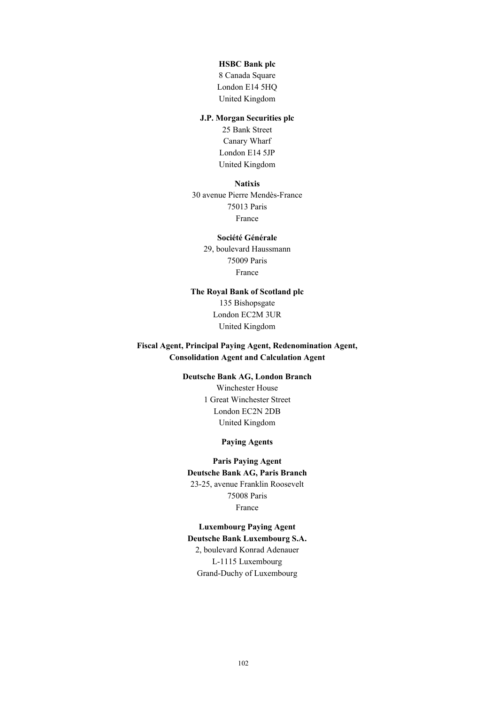#### **HSBC Bank plc**

8 Canada Square London E14 5HQ United Kingdom

### **J.P. Morgan Securities plc**

25 Bank Street Canary Wharf London E14 5JP United Kingdom

#### **Natixis**

30 avenue Pierre Mendès-France 75013 Paris France

### **Société Générale**

29, boulevard Haussmann 75009 Paris France

### **The Royal Bank of Scotland plc** 135 Bishopsgate London EC2M 3UR United Kingdom

### **Fiscal Agent, Principal Paying Agent, Redenomination Agent, Consolidation Agent and Calculation Agent**

## **Deutsche Bank AG, London Branch**

Winchester House 1 Great Winchester Street London EC2N 2DB United Kingdom

### **Paying Agents**

## **Paris Paying Agent Deutsche Bank AG, Paris Branch** 23-25, avenue Franklin Roosevelt 75008 Paris France

# **Luxembourg Paying Agent**

**Deutsche Bank Luxembourg S.A.** 2, boulevard Konrad Adenauer L-1115 Luxembourg Grand-Duchy of Luxembourg